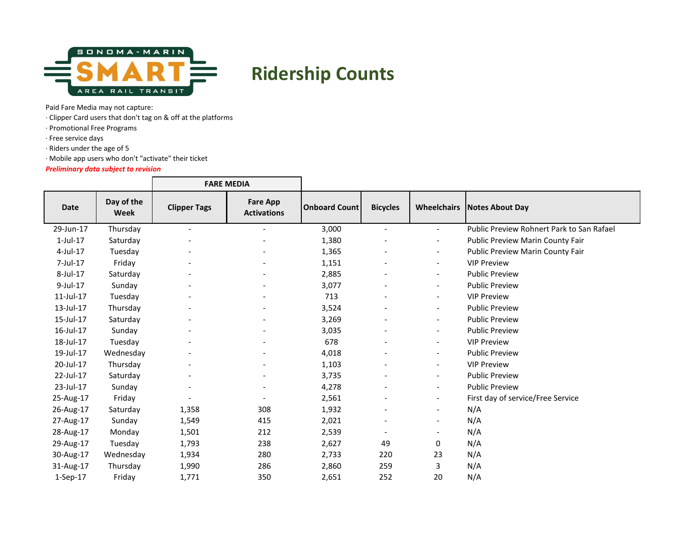

## **Ridership Counts**

Paid Fare Media may not capture:

· Clipper Card users that don't tag on & off at the platforms

· Promotional Free Programs

· Free service days

· Riders under the age of 5

· Mobile app users who don't "activate" their ticket

*Preliminary data subject to revision*

|                |                           | <b>FARE MEDIA</b>        |                                       |                      |                              |                          |                                           |
|----------------|---------------------------|--------------------------|---------------------------------------|----------------------|------------------------------|--------------------------|-------------------------------------------|
| Date           | Day of the<br><b>Week</b> | <b>Clipper Tags</b>      | <b>Fare App</b><br><b>Activations</b> | <b>Onboard Count</b> | <b>Bicycles</b>              |                          | <b>Wheelchairs Notes About Day</b>        |
| 29-Jun-17      | Thursday                  | $\overline{a}$           | $\blacksquare$                        | 3,000                | $\overline{\phantom{0}}$     | $\overline{\phantom{a}}$ | Public Preview Rohnert Park to San Rafael |
| $1$ -Jul- $17$ | Saturday                  |                          |                                       | 1,380                | $\overline{\phantom{0}}$     | $\overline{\phantom{a}}$ | <b>Public Preview Marin County Fair</b>   |
| $4$ -Jul-17    | Tuesday                   |                          |                                       | 1,365                |                              | $\overline{\phantom{a}}$ | <b>Public Preview Marin County Fair</b>   |
| 7-Jul-17       | Friday                    |                          |                                       | 1,151                |                              | $\overline{\phantom{a}}$ | <b>VIP Preview</b>                        |
| 8-Jul-17       | Saturday                  |                          |                                       | 2,885                |                              | $\overline{\phantom{a}}$ | <b>Public Preview</b>                     |
| 9-Jul-17       | Sunday                    | $\overline{\phantom{a}}$ |                                       | 3,077                | $\overline{\phantom{a}}$     | $\overline{\phantom{a}}$ | <b>Public Preview</b>                     |
| 11-Jul-17      | Tuesday                   |                          |                                       | 713                  |                              | $\overline{\phantom{a}}$ | <b>VIP Preview</b>                        |
| 13-Jul-17      | Thursday                  |                          |                                       | 3,524                |                              | $\overline{\phantom{a}}$ | <b>Public Preview</b>                     |
| 15-Jul-17      | Saturday                  |                          |                                       | 3,269                |                              | $\overline{\phantom{a}}$ | <b>Public Preview</b>                     |
| 16-Jul-17      | Sunday                    |                          |                                       | 3,035                |                              | $\overline{\phantom{a}}$ | <b>Public Preview</b>                     |
| 18-Jul-17      | Tuesday                   | $\overline{\phantom{a}}$ | $\blacksquare$                        | 678                  | $\overline{\phantom{0}}$     | $\overline{\phantom{a}}$ | <b>VIP Preview</b>                        |
| 19-Jul-17      | Wednesday                 |                          |                                       | 4,018                |                              | $\overline{\phantom{a}}$ | <b>Public Preview</b>                     |
| 20-Jul-17      | Thursday                  |                          |                                       | 1,103                |                              | $\overline{\phantom{a}}$ | <b>VIP Preview</b>                        |
| 22-Jul-17      | Saturday                  |                          |                                       | 3,735                |                              | $\overline{\phantom{a}}$ | <b>Public Preview</b>                     |
| 23-Jul-17      | Sunday                    |                          |                                       | 4,278                |                              | $\overline{\phantom{a}}$ | <b>Public Preview</b>                     |
| 25-Aug-17      | Friday                    |                          |                                       | 2,561                |                              | $\overline{\phantom{a}}$ | First day of service/Free Service         |
| 26-Aug-17      | Saturday                  | 1,358                    | 308                                   | 1,932                |                              | $\overline{\phantom{a}}$ | N/A                                       |
| 27-Aug-17      | Sunday                    | 1,549                    | 415                                   | 2,021                |                              | $\overline{\phantom{a}}$ | N/A                                       |
| 28-Aug-17      | Monday                    | 1,501                    | 212                                   | 2,539                | $\qquad \qquad \blacksquare$ | $\overline{\phantom{a}}$ | N/A                                       |
| 29-Aug-17      | Tuesday                   | 1,793                    | 238                                   | 2,627                | 49                           | 0                        | N/A                                       |
| 30-Aug-17      | Wednesday                 | 1,934                    | 280                                   | 2,733                | 220                          | 23                       | N/A                                       |
| 31-Aug-17      | Thursday                  | 1,990                    | 286                                   | 2,860                | 259                          | 3                        | N/A                                       |
| $1-Sep-17$     | Friday                    | 1,771                    | 350                                   | 2,651                | 252                          | 20                       | N/A                                       |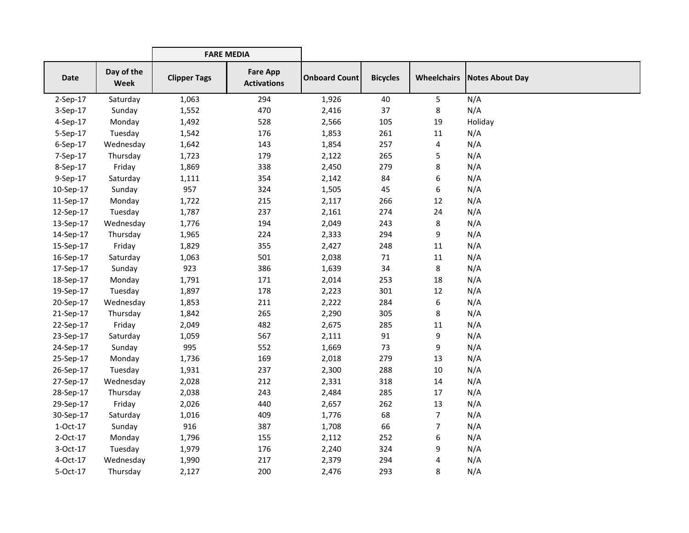|             |                           | <b>FARE MEDIA</b>   |                                       |                      |                 |                    |                 |
|-------------|---------------------------|---------------------|---------------------------------------|----------------------|-----------------|--------------------|-----------------|
| <b>Date</b> | Day of the<br><b>Week</b> | <b>Clipper Tags</b> | <b>Fare App</b><br><b>Activations</b> | <b>Onboard Count</b> | <b>Bicycles</b> | <b>Wheelchairs</b> | Notes About Day |
| 2-Sep-17    | Saturday                  | 1,063               | 294                                   | 1,926                | 40              | 5                  | N/A             |
| 3-Sep-17    | Sunday                    | 1,552               | 470                                   | 2,416                | 37              | 8                  | N/A             |
| 4-Sep-17    | Monday                    | 1,492               | 528                                   | 2,566                | 105             | 19                 | Holiday         |
| 5-Sep-17    | Tuesday                   | 1,542               | 176                                   | 1,853                | 261             | 11                 | N/A             |
| 6-Sep-17    | Wednesday                 | 1,642               | 143                                   | 1,854                | 257             | 4                  | N/A             |
| 7-Sep-17    | Thursday                  | 1,723               | 179                                   | 2,122                | 265             | 5                  | N/A             |
| 8-Sep-17    | Friday                    | 1,869               | 338                                   | 2,450                | 279             | 8                  | N/A             |
| 9-Sep-17    | Saturday                  | 1,111               | 354                                   | 2,142                | 84              | 6                  | N/A             |
| 10-Sep-17   | Sunday                    | 957                 | 324                                   | 1,505                | 45              | 6                  | N/A             |
| 11-Sep-17   | Monday                    | 1,722               | 215                                   | 2,117                | 266             | 12                 | N/A             |
| 12-Sep-17   | Tuesday                   | 1,787               | 237                                   | 2,161                | 274             | 24                 | N/A             |
| 13-Sep-17   | Wednesday                 | 1,776               | 194                                   | 2,049                | 243             | 8                  | N/A             |
| 14-Sep-17   | Thursday                  | 1,965               | 224                                   | 2,333                | 294             | 9                  | N/A             |
| 15-Sep-17   | Friday                    | 1,829               | 355                                   | 2,427                | 248             | 11                 | N/A             |
| 16-Sep-17   | Saturday                  | 1,063               | 501                                   | 2,038                | 71              | 11                 | N/A             |
| 17-Sep-17   | Sunday                    | 923                 | 386                                   | 1,639                | 34              | 8                  | N/A             |
| 18-Sep-17   | Monday                    | 1,791               | 171                                   | 2,014                | 253             | 18                 | N/A             |
| 19-Sep-17   | Tuesday                   | 1,897               | 178                                   | 2,223                | 301             | 12                 | N/A             |
| 20-Sep-17   | Wednesday                 | 1,853               | 211                                   | 2,222                | 284             | 6                  | N/A             |
| 21-Sep-17   | Thursday                  | 1,842               | 265                                   | 2,290                | 305             | 8                  | N/A             |
| 22-Sep-17   | Friday                    | 2,049               | 482                                   | 2,675                | 285             | 11                 | N/A             |
| 23-Sep-17   | Saturday                  | 1,059               | 567                                   | 2,111                | 91              | 9                  | N/A             |
| 24-Sep-17   | Sunday                    | 995                 | 552                                   | 1,669                | 73              | 9                  | N/A             |
| 25-Sep-17   | Monday                    | 1,736               | 169                                   | 2,018                | 279             | 13                 | N/A             |
| 26-Sep-17   | Tuesday                   | 1,931               | 237                                   | 2,300                | 288             | 10                 | N/A             |
| 27-Sep-17   | Wednesday                 | 2,028               | 212                                   | 2,331                | 318             | 14                 | N/A             |
| 28-Sep-17   | Thursday                  | 2,038               | 243                                   | 2,484                | 285             | 17                 | N/A             |
| 29-Sep-17   | Friday                    | 2,026               | 440                                   | 2,657                | 262             | 13                 | N/A             |
| 30-Sep-17   | Saturday                  | 1,016               | 409                                   | 1,776                | 68              | $\overline{7}$     | N/A             |
| 1-Oct-17    | Sunday                    | 916                 | 387                                   | 1,708                | 66              | 7                  | N/A             |
| 2-Oct-17    | Monday                    | 1,796               | 155                                   | 2,112                | 252             | 6                  | N/A             |
| 3-Oct-17    | Tuesday                   | 1,979               | 176                                   | 2,240                | 324             | 9                  | N/A             |
| 4-Oct-17    | Wednesday                 | 1,990               | 217                                   | 2,379                | 294             | 4                  | N/A             |
| 5-Oct-17    | Thursday                  | 2,127               | 200                                   | 2,476                | 293             | 8                  | N/A             |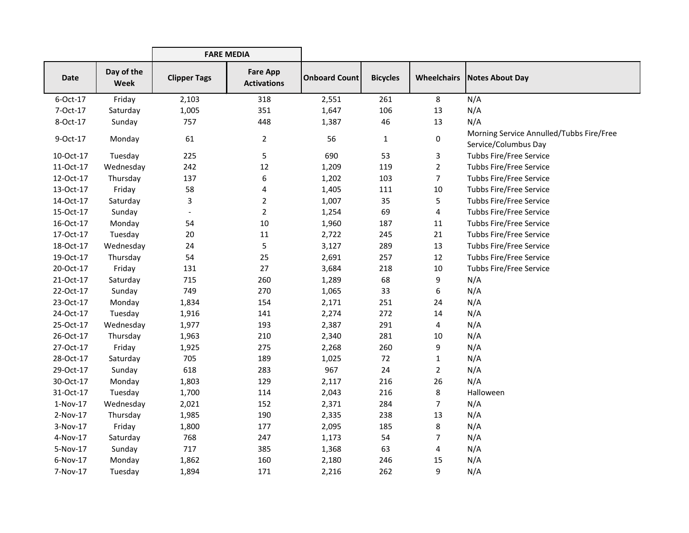|            |                           | <b>FARE MEDIA</b>   |                                       |                      |                 |                    |                                                                  |
|------------|---------------------------|---------------------|---------------------------------------|----------------------|-----------------|--------------------|------------------------------------------------------------------|
| Date       | Day of the<br><b>Week</b> | <b>Clipper Tags</b> | <b>Fare App</b><br><b>Activations</b> | <b>Onboard Count</b> | <b>Bicycles</b> | <b>Wheelchairs</b> | Notes About Day                                                  |
| 6-Oct-17   | Friday                    | 2,103               | 318                                   | 2,551                | 261             | 8                  | N/A                                                              |
| 7-Oct-17   | Saturday                  | 1,005               | 351                                   | 1,647                | 106             | 13                 | N/A                                                              |
| 8-Oct-17   | Sunday                    | 757                 | 448                                   | 1,387                | 46              | 13                 | N/A                                                              |
| 9-Oct-17   | Monday                    | 61                  | $\overline{2}$                        | 56                   | $\mathbf{1}$    | $\mathbf 0$        | Morning Service Annulled/Tubbs Fire/Free<br>Service/Columbus Day |
| 10-Oct-17  | Tuesday                   | 225                 | 5                                     | 690                  | 53              | 3                  | <b>Tubbs Fire/Free Service</b>                                   |
| 11-Oct-17  | Wednesday                 | 242                 | 12                                    | 1,209                | 119             | $\overline{2}$     | <b>Tubbs Fire/Free Service</b>                                   |
| 12-Oct-17  | Thursday                  | 137                 | 6                                     | 1,202                | 103             | $\overline{7}$     | <b>Tubbs Fire/Free Service</b>                                   |
| 13-Oct-17  | Friday                    | 58                  | 4                                     | 1,405                | 111             | 10                 | <b>Tubbs Fire/Free Service</b>                                   |
| 14-Oct-17  | Saturday                  | 3                   | $\overline{2}$                        | 1,007                | 35              | 5                  | <b>Tubbs Fire/Free Service</b>                                   |
| 15-Oct-17  | Sunday                    |                     | $\overline{2}$                        | 1,254                | 69              | 4                  | <b>Tubbs Fire/Free Service</b>                                   |
| 16-Oct-17  | Monday                    | 54                  | 10                                    | 1,960                | 187             | 11                 | <b>Tubbs Fire/Free Service</b>                                   |
| 17-Oct-17  | Tuesday                   | 20                  | 11                                    | 2,722                | 245             | 21                 | <b>Tubbs Fire/Free Service</b>                                   |
| 18-Oct-17  | Wednesday                 | 24                  | 5                                     | 3,127                | 289             | 13                 | <b>Tubbs Fire/Free Service</b>                                   |
| 19-Oct-17  | Thursday                  | 54                  | 25                                    | 2,691                | 257             | 12                 | <b>Tubbs Fire/Free Service</b>                                   |
| 20-Oct-17  | Friday                    | 131                 | 27                                    | 3,684                | 218             | 10                 | <b>Tubbs Fire/Free Service</b>                                   |
| 21-Oct-17  | Saturday                  | 715                 | 260                                   | 1,289                | 68              | 9                  | N/A                                                              |
| 22-Oct-17  | Sunday                    | 749                 | 270                                   | 1,065                | 33              | 6                  | N/A                                                              |
| 23-Oct-17  | Monday                    | 1,834               | 154                                   | 2,171                | 251             | 24                 | N/A                                                              |
| 24-Oct-17  | Tuesday                   | 1,916               | 141                                   | 2,274                | 272             | 14                 | N/A                                                              |
| 25-Oct-17  | Wednesday                 | 1,977               | 193                                   | 2,387                | 291             | 4                  | N/A                                                              |
| 26-Oct-17  | Thursday                  | 1,963               | 210                                   | 2,340                | 281             | 10                 | N/A                                                              |
| 27-Oct-17  | Friday                    | 1,925               | 275                                   | 2,268                | 260             | 9                  | N/A                                                              |
| 28-Oct-17  | Saturday                  | 705                 | 189                                   | 1,025                | 72              | 1                  | N/A                                                              |
| 29-Oct-17  | Sunday                    | 618                 | 283                                   | 967                  | 24              | $\overline{2}$     | N/A                                                              |
| 30-Oct-17  | Monday                    | 1,803               | 129                                   | 2,117                | 216             | 26                 | N/A                                                              |
| 31-Oct-17  | Tuesday                   | 1,700               | 114                                   | 2,043                | 216             | 8                  | Halloween                                                        |
| $1-Nov-17$ | Wednesday                 | 2,021               | 152                                   | 2,371                | 284             | 7                  | N/A                                                              |
| 2-Nov-17   | Thursday                  | 1,985               | 190                                   | 2,335                | 238             | 13                 | N/A                                                              |
| 3-Nov-17   | Friday                    | 1,800               | 177                                   | 2,095                | 185             | 8                  | N/A                                                              |
| 4-Nov-17   | Saturday                  | 768                 | 247                                   | 1,173                | 54              | 7                  | N/A                                                              |
| 5-Nov-17   | Sunday                    | 717                 | 385                                   | 1,368                | 63              | 4                  | N/A                                                              |
| 6-Nov-17   | Monday                    | 1,862               | 160                                   | 2,180                | 246             | 15                 | N/A                                                              |
| 7-Nov-17   | Tuesday                   | 1,894               | 171                                   | 2,216                | 262             | 9                  | N/A                                                              |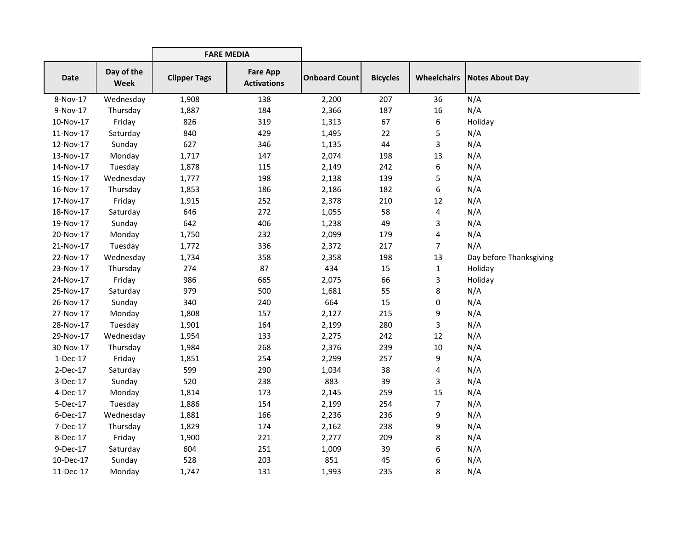|             |                           | <b>FARE MEDIA</b>   |                                       |                      |                 |                |                                      |
|-------------|---------------------------|---------------------|---------------------------------------|----------------------|-----------------|----------------|--------------------------------------|
| <b>Date</b> | Day of the<br><b>Week</b> | <b>Clipper Tags</b> | <b>Fare App</b><br><b>Activations</b> | <b>Onboard Count</b> | <b>Bicycles</b> |                | <b>Wheelchairs   Notes About Day</b> |
| 8-Nov-17    | Wednesday                 | 1,908               | 138                                   | 2,200                | 207             | 36             | N/A                                  |
| 9-Nov-17    | Thursday                  | 1,887               | 184                                   | 2,366                | 187             | 16             | N/A                                  |
| 10-Nov-17   | Friday                    | 826                 | 319                                   | 1,313                | 67              | 6              | Holiday                              |
| 11-Nov-17   | Saturday                  | 840                 | 429                                   | 1,495                | 22              | 5              | N/A                                  |
| 12-Nov-17   | Sunday                    | 627                 | 346                                   | 1,135                | 44              | 3              | N/A                                  |
| 13-Nov-17   | Monday                    | 1,717               | 147                                   | 2,074                | 198             | 13             | N/A                                  |
| 14-Nov-17   | Tuesday                   | 1,878               | 115                                   | 2,149                | 242             | 6              | N/A                                  |
| 15-Nov-17   | Wednesday                 | 1,777               | 198                                   | 2,138                | 139             | 5              | N/A                                  |
| 16-Nov-17   | Thursday                  | 1,853               | 186                                   | 2,186                | 182             | 6              | N/A                                  |
| 17-Nov-17   | Friday                    | 1,915               | 252                                   | 2,378                | 210             | 12             | N/A                                  |
| 18-Nov-17   | Saturday                  | 646                 | 272                                   | 1,055                | 58              | 4              | N/A                                  |
| 19-Nov-17   | Sunday                    | 642                 | 406                                   | 1,238                | 49              | 3              | N/A                                  |
| 20-Nov-17   | Monday                    | 1,750               | 232                                   | 2,099                | 179             | 4              | N/A                                  |
| 21-Nov-17   | Tuesday                   | 1,772               | 336                                   | 2,372                | 217             | $\overline{7}$ | N/A                                  |
| 22-Nov-17   | Wednesday                 | 1,734               | 358                                   | 2,358                | 198             | 13             | Day before Thanksgiving              |
| 23-Nov-17   | Thursday                  | 274                 | 87                                    | 434                  | 15              | $\mathbf{1}$   | Holiday                              |
| 24-Nov-17   | Friday                    | 986                 | 665                                   | 2,075                | 66              | 3              | Holiday                              |
| 25-Nov-17   | Saturday                  | 979                 | 500                                   | 1,681                | 55              | 8              | N/A                                  |
| 26-Nov-17   | Sunday                    | 340                 | 240                                   | 664                  | 15              | $\pmb{0}$      | N/A                                  |
| 27-Nov-17   | Monday                    | 1,808               | 157                                   | 2,127                | 215             | 9              | N/A                                  |
| 28-Nov-17   | Tuesday                   | 1,901               | 164                                   | 2,199                | 280             | 3              | N/A                                  |
| 29-Nov-17   | Wednesday                 | 1,954               | 133                                   | 2,275                | 242             | 12             | N/A                                  |
| 30-Nov-17   | Thursday                  | 1,984               | 268                                   | 2,376                | 239             | 10             | N/A                                  |
| 1-Dec-17    | Friday                    | 1,851               | 254                                   | 2,299                | 257             | 9              | N/A                                  |
| 2-Dec-17    | Saturday                  | 599                 | 290                                   | 1,034                | 38              | 4              | N/A                                  |
| 3-Dec-17    | Sunday                    | 520                 | 238                                   | 883                  | 39              | 3              | N/A                                  |
| 4-Dec-17    | Monday                    | 1,814               | 173                                   | 2,145                | 259             | 15             | N/A                                  |
| 5-Dec-17    | Tuesday                   | 1,886               | 154                                   | 2,199                | 254             | 7              | N/A                                  |
| 6-Dec-17    | Wednesday                 | 1,881               | 166                                   | 2,236                | 236             | 9              | N/A                                  |
| 7-Dec-17    | Thursday                  | 1,829               | 174                                   | 2,162                | 238             | 9              | N/A                                  |
| 8-Dec-17    | Friday                    | 1,900               | 221                                   | 2,277                | 209             | 8              | N/A                                  |
| 9-Dec-17    | Saturday                  | 604                 | 251                                   | 1,009                | 39              | 6              | N/A                                  |
| 10-Dec-17   | Sunday                    | 528                 | 203                                   | 851                  | 45              | 6              | N/A                                  |
| 11-Dec-17   | Monday                    | 1,747               | 131                                   | 1,993                | 235             | 8              | N/A                                  |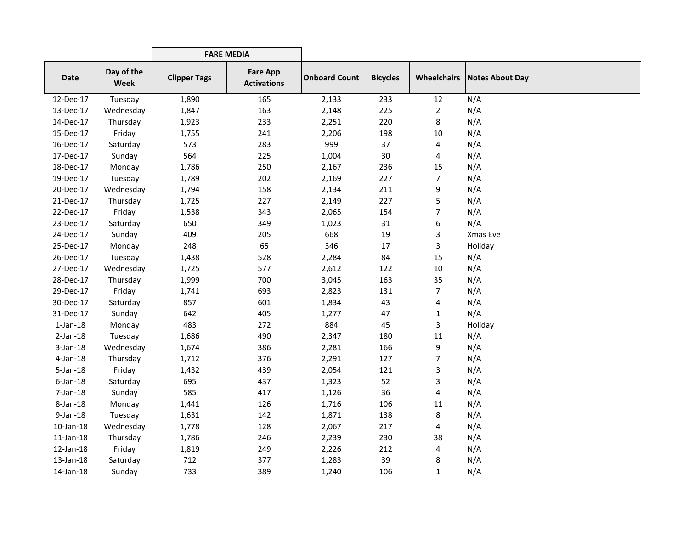|                 |                           | <b>FARE MEDIA</b>   |                                       |                      |                 |                    |                 |
|-----------------|---------------------------|---------------------|---------------------------------------|----------------------|-----------------|--------------------|-----------------|
| <b>Date</b>     | Day of the<br><b>Week</b> | <b>Clipper Tags</b> | <b>Fare App</b><br><b>Activations</b> | <b>Onboard Count</b> | <b>Bicycles</b> | <b>Wheelchairs</b> | Notes About Day |
| 12-Dec-17       | Tuesday                   | 1,890               | 165                                   | 2,133                | 233             | 12                 | N/A             |
| 13-Dec-17       | Wednesday                 | 1,847               | 163                                   | 2,148                | 225             | $\overline{2}$     | N/A             |
| 14-Dec-17       | Thursday                  | 1,923               | 233                                   | 2,251                | 220             | 8                  | N/A             |
| 15-Dec-17       | Friday                    | 1,755               | 241                                   | 2,206                | 198             | 10                 | N/A             |
| 16-Dec-17       | Saturday                  | 573                 | 283                                   | 999                  | 37              | 4                  | N/A             |
| 17-Dec-17       | Sunday                    | 564                 | 225                                   | 1,004                | 30              | 4                  | N/A             |
| 18-Dec-17       | Monday                    | 1,786               | 250                                   | 2,167                | 236             | 15                 | N/A             |
| 19-Dec-17       | Tuesday                   | 1,789               | 202                                   | 2,169                | 227             | $\overline{7}$     | N/A             |
| 20-Dec-17       | Wednesday                 | 1,794               | 158                                   | 2,134                | 211             | 9                  | N/A             |
| 21-Dec-17       | Thursday                  | 1,725               | 227                                   | 2,149                | 227             | 5                  | N/A             |
| 22-Dec-17       | Friday                    | 1,538               | 343                                   | 2,065                | 154             | 7                  | N/A             |
| 23-Dec-17       | Saturday                  | 650                 | 349                                   | 1,023                | 31              | 6                  | N/A             |
| 24-Dec-17       | Sunday                    | 409                 | 205                                   | 668                  | 19              | 3                  | Xmas Eve        |
| 25-Dec-17       | Monday                    | 248                 | 65                                    | 346                  | 17              | 3                  | Holiday         |
| 26-Dec-17       | Tuesday                   | 1,438               | 528                                   | 2,284                | 84              | 15                 | N/A             |
| 27-Dec-17       | Wednesday                 | 1,725               | 577                                   | 2,612                | 122             | 10                 | N/A             |
| 28-Dec-17       | Thursday                  | 1,999               | 700                                   | 3,045                | 163             | 35                 | N/A             |
| 29-Dec-17       | Friday                    | 1,741               | 693                                   | 2,823                | 131             | 7                  | N/A             |
| 30-Dec-17       | Saturday                  | 857                 | 601                                   | 1,834                | 43              | 4                  | N/A             |
| 31-Dec-17       | Sunday                    | 642                 | 405                                   | 1,277                | 47              | $\mathbf{1}$       | N/A             |
| $1$ -Jan- $18$  | Monday                    | 483                 | 272                                   | 884                  | 45              | 3                  | Holiday         |
| $2-Jan-18$      | Tuesday                   | 1,686               | 490                                   | 2,347                | 180             | 11                 | N/A             |
| $3$ -Jan-18     | Wednesday                 | 1,674               | 386                                   | 2,281                | 166             | 9                  | N/A             |
| $4$ -Jan-18     | Thursday                  | 1,712               | 376                                   | 2,291                | 127             | 7                  | N/A             |
| $5$ -Jan-18     | Friday                    | 1,432               | 439                                   | 2,054                | 121             | 3                  | N/A             |
| $6$ -Jan-18     | Saturday                  | 695                 | 437                                   | 1,323                | 52              | 3                  | N/A             |
| 7-Jan-18        | Sunday                    | 585                 | 417                                   | 1,126                | 36              | 4                  | N/A             |
| 8-Jan-18        | Monday                    | 1,441               | 126                                   | 1,716                | 106             | 11                 | N/A             |
| $9$ -Jan-18     | Tuesday                   | 1,631               | 142                                   | 1,871                | 138             | 8                  | N/A             |
| $10$ -Jan- $18$ | Wednesday                 | 1,778               | 128                                   | 2,067                | 217             | 4                  | N/A             |
| $11$ -Jan- $18$ | Thursday                  | 1,786               | 246                                   | 2,239                | 230             | 38                 | N/A             |
| $12$ -Jan- $18$ | Friday                    | 1,819               | 249                                   | 2,226                | 212             | 4                  | N/A             |
| 13-Jan-18       | Saturday                  | 712                 | 377                                   | 1,283                | 39              | 8                  | N/A             |
| 14-Jan-18       | Sunday                    | 733                 | 389                                   | 1,240                | 106             | 1                  | N/A             |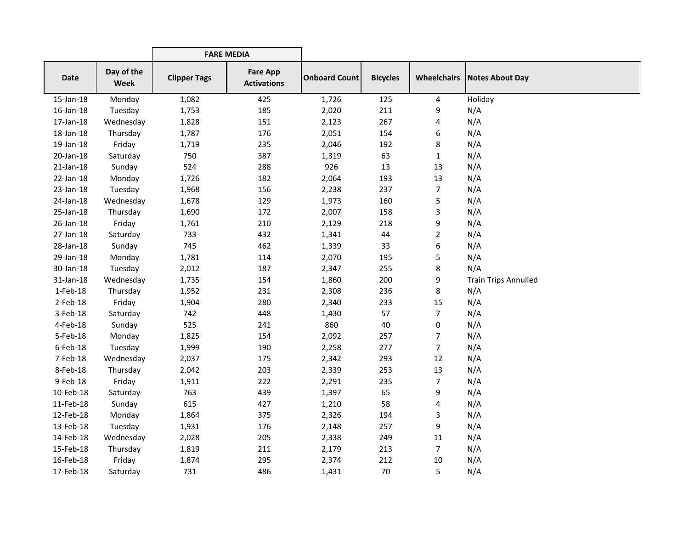|                 | <b>FARE MEDIA</b>         |                     |                                       |                      |                 |                    |                             |
|-----------------|---------------------------|---------------------|---------------------------------------|----------------------|-----------------|--------------------|-----------------------------|
| <b>Date</b>     | Day of the<br><b>Week</b> | <b>Clipper Tags</b> | <b>Fare App</b><br><b>Activations</b> | <b>Onboard Count</b> | <b>Bicycles</b> | <b>Wheelchairs</b> | <b>Notes About Day</b>      |
| $15$ -Jan- $18$ | Monday                    | 1,082               | 425                                   | 1,726                | 125             | 4                  | Holiday                     |
| 16-Jan-18       | Tuesday                   | 1,753               | 185                                   | 2,020                | 211             | 9                  | N/A                         |
| 17-Jan-18       | Wednesday                 | 1,828               | 151                                   | 2,123                | 267             | 4                  | N/A                         |
| 18-Jan-18       | Thursday                  | 1,787               | 176                                   | 2,051                | 154             | 6                  | N/A                         |
| 19-Jan-18       | Friday                    | 1,719               | 235                                   | 2,046                | 192             | 8                  | N/A                         |
| 20-Jan-18       | Saturday                  | 750                 | 387                                   | 1,319                | 63              | $\mathbf{1}$       | N/A                         |
| $21$ -Jan-18    | Sunday                    | 524                 | 288                                   | 926                  | 13              | 13                 | N/A                         |
| 22-Jan-18       | Monday                    | 1,726               | 182                                   | 2,064                | 193             | 13                 | N/A                         |
| 23-Jan-18       | Tuesday                   | 1,968               | 156                                   | 2,238                | 237             | $\overline{7}$     | N/A                         |
| 24-Jan-18       | Wednesday                 | 1,678               | 129                                   | 1,973                | 160             | 5                  | N/A                         |
| 25-Jan-18       | Thursday                  | 1,690               | 172                                   | 2,007                | 158             | 3                  | N/A                         |
| 26-Jan-18       | Friday                    | 1,761               | 210                                   | 2,129                | 218             | 9                  | N/A                         |
| 27-Jan-18       | Saturday                  | 733                 | 432                                   | 1,341                | 44              | $\overline{2}$     | N/A                         |
| 28-Jan-18       | Sunday                    | 745                 | 462                                   | 1,339                | 33              | 6                  | N/A                         |
| 29-Jan-18       | Monday                    | 1,781               | 114                                   | 2,070                | 195             | 5                  | N/A                         |
| 30-Jan-18       | Tuesday                   | 2,012               | 187                                   | 2,347                | 255             | 8                  | N/A                         |
| 31-Jan-18       | Wednesday                 | 1,735               | 154                                   | 1,860                | 200             | 9                  | <b>Train Trips Annulled</b> |
| $1-Feb-18$      | Thursday                  | 1,952               | 231                                   | 2,308                | 236             | 8                  | N/A                         |
| $2$ -Feb-18     | Friday                    | 1,904               | 280                                   | 2,340                | 233             | 15                 | N/A                         |
| 3-Feb-18        | Saturday                  | 742                 | 448                                   | 1,430                | 57              | $\overline{7}$     | N/A                         |
| 4-Feb-18        | Sunday                    | 525                 | 241                                   | 860                  | 40              | 0                  | N/A                         |
| 5-Feb-18        | Monday                    | 1,825               | 154                                   | 2,092                | 257             | $\overline{7}$     | N/A                         |
| $6$ -Feb-18     | Tuesday                   | 1,999               | 190                                   | 2,258                | 277             | $\overline{7}$     | N/A                         |
| 7-Feb-18        | Wednesday                 | 2,037               | 175                                   | 2,342                | 293             | 12                 | N/A                         |
| 8-Feb-18        | Thursday                  | 2,042               | 203                                   | 2,339                | 253             | 13                 | N/A                         |
| 9-Feb-18        | Friday                    | 1,911               | 222                                   | 2,291                | 235             | $\overline{7}$     | N/A                         |
| 10-Feb-18       | Saturday                  | 763                 | 439                                   | 1,397                | 65              | 9                  | N/A                         |
| 11-Feb-18       | Sunday                    | 615                 | 427                                   | 1,210                | 58              | 4                  | N/A                         |
| 12-Feb-18       | Monday                    | 1,864               | 375                                   | 2,326                | 194             | 3                  | N/A                         |
| 13-Feb-18       | Tuesday                   | 1,931               | 176                                   | 2,148                | 257             | 9                  | N/A                         |
| 14-Feb-18       | Wednesday                 | 2,028               | 205                                   | 2,338                | 249             | 11                 | N/A                         |
| 15-Feb-18       | Thursday                  | 1,819               | 211                                   | 2,179                | 213             | 7                  | N/A                         |
| 16-Feb-18       | Friday                    | 1,874               | 295                                   | 2,374                | 212             | 10                 | N/A                         |
| 17-Feb-18       | Saturday                  | 731                 | 486                                   | 1,431                | 70              | 5                  | N/A                         |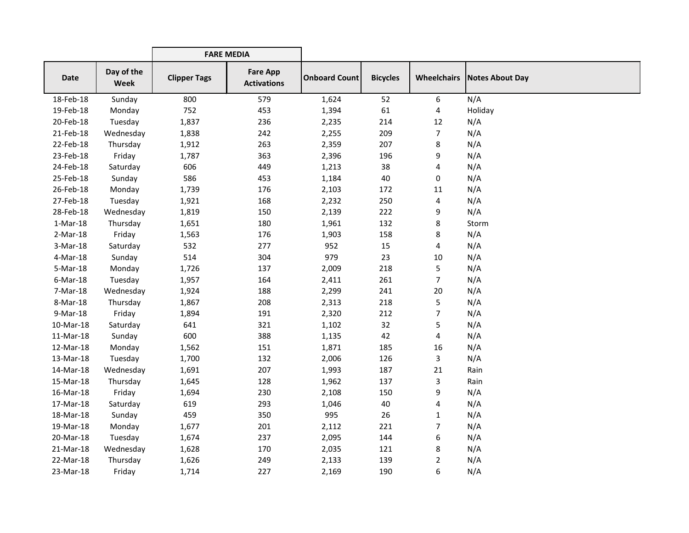|             |                           | <b>FARE MEDIA</b>   |                                       |                      |                 |                |                               |
|-------------|---------------------------|---------------------|---------------------------------------|----------------------|-----------------|----------------|-------------------------------|
| Date        | Day of the<br><b>Week</b> | <b>Clipper Tags</b> | <b>Fare App</b><br><b>Activations</b> | <b>Onboard Count</b> | <b>Bicycles</b> |                | Wheelchairs   Notes About Day |
| 18-Feb-18   | Sunday                    | 800                 | 579                                   | 1,624                | 52              | 6              | N/A                           |
| 19-Feb-18   | Monday                    | 752                 | 453                                   | 1,394                | 61              | 4              | Holiday                       |
| 20-Feb-18   | Tuesday                   | 1,837               | 236                                   | 2,235                | 214             | 12             | N/A                           |
| 21-Feb-18   | Wednesday                 | 1,838               | 242                                   | 2,255                | 209             | $\overline{7}$ | N/A                           |
| 22-Feb-18   | Thursday                  | 1,912               | 263                                   | 2,359                | 207             | 8              | N/A                           |
| 23-Feb-18   | Friday                    | 1,787               | 363                                   | 2,396                | 196             | 9              | N/A                           |
| 24-Feb-18   | Saturday                  | 606                 | 449                                   | 1,213                | 38              | 4              | N/A                           |
| 25-Feb-18   | Sunday                    | 586                 | 453                                   | 1,184                | 40              | 0              | N/A                           |
| 26-Feb-18   | Monday                    | 1,739               | 176                                   | 2,103                | 172             | 11             | N/A                           |
| 27-Feb-18   | Tuesday                   | 1,921               | 168                                   | 2,232                | 250             | 4              | N/A                           |
| 28-Feb-18   | Wednesday                 | 1,819               | 150                                   | 2,139                | 222             | 9              | N/A                           |
| $1-Mar-18$  | Thursday                  | 1,651               | 180                                   | 1,961                | 132             | 8              | Storm                         |
| $2-Mar-18$  | Friday                    | 1,563               | 176                                   | 1,903                | 158             | 8              | N/A                           |
| $3-Mar-18$  | Saturday                  | 532                 | 277                                   | 952                  | 15              | 4              | N/A                           |
| 4-Mar-18    | Sunday                    | 514                 | 304                                   | 979                  | 23              | 10             | N/A                           |
| 5-Mar-18    | Monday                    | 1,726               | 137                                   | 2,009                | 218             | 5              | N/A                           |
| $6$ -Mar-18 | Tuesday                   | 1,957               | 164                                   | 2,411                | 261             | $\overline{7}$ | N/A                           |
| 7-Mar-18    | Wednesday                 | 1,924               | 188                                   | 2,299                | 241             | 20             | N/A                           |
| 8-Mar-18    | Thursday                  | 1,867               | 208                                   | 2,313                | 218             | 5              | N/A                           |
| 9-Mar-18    | Friday                    | 1,894               | 191                                   | 2,320                | 212             | 7              | N/A                           |
| 10-Mar-18   | Saturday                  | 641                 | 321                                   | 1,102                | 32              | 5              | N/A                           |
| 11-Mar-18   | Sunday                    | 600                 | 388                                   | 1,135                | 42              | 4              | N/A                           |
| 12-Mar-18   | Monday                    | 1,562               | 151                                   | 1,871                | 185             | 16             | N/A                           |
| 13-Mar-18   | Tuesday                   | 1,700               | 132                                   | 2,006                | 126             | 3              | N/A                           |
| 14-Mar-18   | Wednesday                 | 1,691               | 207                                   | 1,993                | 187             | 21             | Rain                          |
| 15-Mar-18   | Thursday                  | 1,645               | 128                                   | 1,962                | 137             | 3              | Rain                          |
| 16-Mar-18   | Friday                    | 1,694               | 230                                   | 2,108                | 150             | 9              | N/A                           |
| 17-Mar-18   | Saturday                  | 619                 | 293                                   | 1,046                | 40              | 4              | N/A                           |
| 18-Mar-18   | Sunday                    | 459                 | 350                                   | 995                  | 26              | $\mathbf{1}$   | N/A                           |
| 19-Mar-18   | Monday                    | 1,677               | 201                                   | 2,112                | 221             | 7              | N/A                           |
| 20-Mar-18   | Tuesday                   | 1,674               | 237                                   | 2,095                | 144             | 6              | N/A                           |
| 21-Mar-18   | Wednesday                 | 1,628               | 170                                   | 2,035                | 121             | 8              | N/A                           |
| 22-Mar-18   | Thursday                  | 1,626               | 249                                   | 2,133                | 139             | 2              | N/A                           |
| 23-Mar-18   | Friday                    | 1,714               | 227                                   | 2,169                | 190             | 6              | N/A                           |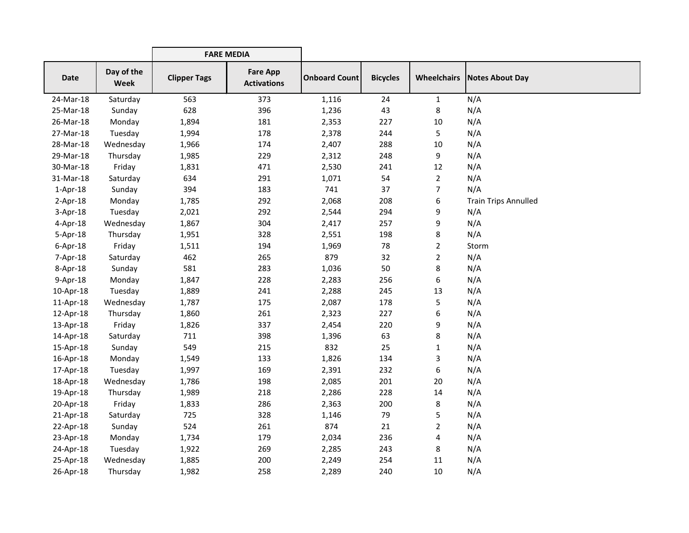|                |                           | <b>FARE MEDIA</b>   |                                       |                      |                 |                    |                             |
|----------------|---------------------------|---------------------|---------------------------------------|----------------------|-----------------|--------------------|-----------------------------|
| Date           | Day of the<br><b>Week</b> | <b>Clipper Tags</b> | <b>Fare App</b><br><b>Activations</b> | <b>Onboard Count</b> | <b>Bicycles</b> | <b>Wheelchairs</b> | Notes About Day             |
| 24-Mar-18      | Saturday                  | 563                 | 373                                   | 1,116                | 24              | $\mathbf{1}$       | N/A                         |
| 25-Mar-18      | Sunday                    | 628                 | 396                                   | 1,236                | 43              | 8                  | N/A                         |
| 26-Mar-18      | Monday                    | 1,894               | 181                                   | 2,353                | 227             | 10                 | N/A                         |
| 27-Mar-18      | Tuesday                   | 1,994               | 178                                   | 2,378                | 244             | 5                  | N/A                         |
| 28-Mar-18      | Wednesday                 | 1,966               | 174                                   | 2,407                | 288             | 10                 | N/A                         |
| 29-Mar-18      | Thursday                  | 1,985               | 229                                   | 2,312                | 248             | 9                  | N/A                         |
| 30-Mar-18      | Friday                    | 1,831               | 471                                   | 2,530                | 241             | 12                 | N/A                         |
| 31-Mar-18      | Saturday                  | 634                 | 291                                   | 1,071                | 54              | $\overline{2}$     | N/A                         |
| $1-Apr-18$     | Sunday                    | 394                 | 183                                   | 741                  | 37              | $\overline{7}$     | N/A                         |
| $2-Apr-18$     | Monday                    | 1,785               | 292                                   | 2,068                | 208             | 6                  | <b>Train Trips Annulled</b> |
| $3-Apr-18$     | Tuesday                   | 2,021               | 292                                   | 2,544                | 294             | 9                  | N/A                         |
| $4$ -Apr-18    | Wednesday                 | 1,867               | 304                                   | 2,417                | 257             | 9                  | N/A                         |
| $5-Apr-18$     | Thursday                  | 1,951               | 328                                   | 2,551                | 198             | 8                  | N/A                         |
| $6 - Apr - 18$ | Friday                    | 1,511               | 194                                   | 1,969                | 78              | $\overline{2}$     | Storm                       |
| 7-Apr-18       | Saturday                  | 462                 | 265                                   | 879                  | 32              | $\overline{2}$     | N/A                         |
| $8 - Apr - 18$ | Sunday                    | 581                 | 283                                   | 1,036                | 50              | 8                  | N/A                         |
| $9-Apr-18$     | Monday                    | 1,847               | 228                                   | 2,283                | 256             | 6                  | N/A                         |
| 10-Apr-18      | Tuesday                   | 1,889               | 241                                   | 2,288                | 245             | 13                 | N/A                         |
| 11-Apr-18      | Wednesday                 | 1,787               | 175                                   | 2,087                | 178             | 5                  | N/A                         |
| 12-Apr-18      | Thursday                  | 1,860               | 261                                   | 2,323                | 227             | 6                  | N/A                         |
| 13-Apr-18      | Friday                    | 1,826               | 337                                   | 2,454                | 220             | 9                  | N/A                         |
| 14-Apr-18      | Saturday                  | 711                 | 398                                   | 1,396                | 63              | 8                  | N/A                         |
| 15-Apr-18      | Sunday                    | 549                 | 215                                   | 832                  | 25              | 1                  | N/A                         |
| 16-Apr-18      | Monday                    | 1,549               | 133                                   | 1,826                | 134             | 3                  | N/A                         |
| 17-Apr-18      | Tuesday                   | 1,997               | 169                                   | 2,391                | 232             | 6                  | N/A                         |
| 18-Apr-18      | Wednesday                 | 1,786               | 198                                   | 2,085                | 201             | 20                 | N/A                         |
| 19-Apr-18      | Thursday                  | 1,989               | 218                                   | 2,286                | 228             | 14                 | N/A                         |
| 20-Apr-18      | Friday                    | 1,833               | 286                                   | 2,363                | 200             | 8                  | N/A                         |
| 21-Apr-18      | Saturday                  | 725                 | 328                                   | 1,146                | 79              | 5                  | N/A                         |
| 22-Apr-18      | Sunday                    | 524                 | 261                                   | 874                  | 21              | $\overline{2}$     | N/A                         |
| 23-Apr-18      | Monday                    | 1,734               | 179                                   | 2,034                | 236             | 4                  | N/A                         |
| 24-Apr-18      | Tuesday                   | 1,922               | 269                                   | 2,285                | 243             | 8                  | N/A                         |
| 25-Apr-18      | Wednesday                 | 1,885               | 200                                   | 2,249                | 254             | 11                 | N/A                         |
| 26-Apr-18      | Thursday                  | 1,982               | 258                                   | 2,289                | 240             | 10                 | N/A                         |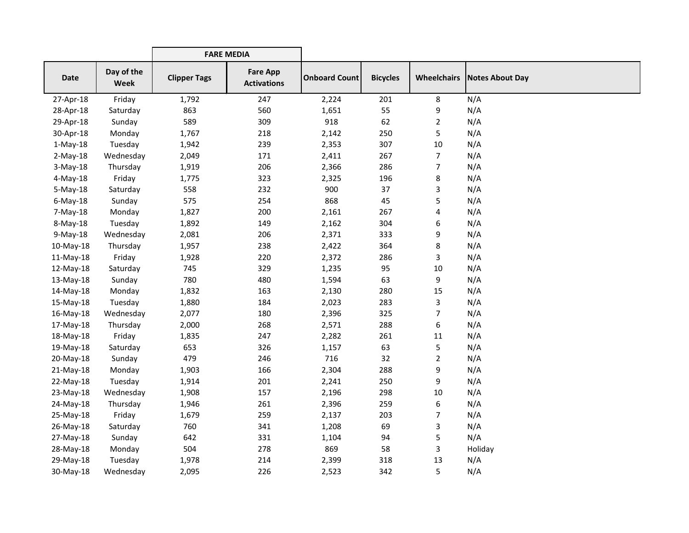|             |                    |                     | <b>FARE MEDIA</b>                     |                      |                 |                    |                 |
|-------------|--------------------|---------------------|---------------------------------------|----------------------|-----------------|--------------------|-----------------|
| <b>Date</b> | Day of the<br>Week | <b>Clipper Tags</b> | <b>Fare App</b><br><b>Activations</b> | <b>Onboard Count</b> | <b>Bicycles</b> | <b>Wheelchairs</b> | Notes About Day |
| 27-Apr-18   | Friday             | 1,792               | 247                                   | 2,224                | 201             | 8                  | N/A             |
| 28-Apr-18   | Saturday           | 863                 | 560                                   | 1,651                | 55              | 9                  | N/A             |
| 29-Apr-18   | Sunday             | 589                 | 309                                   | 918                  | 62              | $\overline{c}$     | N/A             |
| 30-Apr-18   | Monday             | 1,767               | 218                                   | 2,142                | 250             | 5                  | N/A             |
| $1-May-18$  | Tuesday            | 1,942               | 239                                   | 2,353                | 307             | 10                 | N/A             |
| $2-May-18$  | Wednesday          | 2,049               | 171                                   | 2,411                | 267             | $\overline{7}$     | N/A             |
| $3-May-18$  | Thursday           | 1,919               | 206                                   | 2,366                | 286             | $\overline{7}$     | N/A             |
| $4$ -May-18 | Friday             | 1,775               | 323                                   | 2,325                | 196             | 8                  | N/A             |
| $5-May-18$  | Saturday           | 558                 | 232                                   | 900                  | 37              | 3                  | N/A             |
| $6$ -May-18 | Sunday             | 575                 | 254                                   | 868                  | 45              | 5                  | N/A             |
| 7-May-18    | Monday             | 1,827               | 200                                   | 2,161                | 267             | 4                  | N/A             |
| 8-May-18    | Tuesday            | 1,892               | 149                                   | 2,162                | 304             | 6                  | N/A             |
| $9-May-18$  | Wednesday          | 2,081               | 206                                   | 2,371                | 333             | 9                  | N/A             |
| 10-May-18   | Thursday           | 1,957               | 238                                   | 2,422                | 364             | 8                  | N/A             |
| 11-May-18   | Friday             | 1,928               | 220                                   | 2,372                | 286             | 3                  | N/A             |
| 12-May-18   | Saturday           | 745                 | 329                                   | 1,235                | 95              | 10                 | N/A             |
| 13-May-18   | Sunday             | 780                 | 480                                   | 1,594                | 63              | 9                  | N/A             |
| 14-May-18   | Monday             | 1,832               | 163                                   | 2,130                | 280             | 15                 | N/A             |
| 15-May-18   | Tuesday            | 1,880               | 184                                   | 2,023                | 283             | 3                  | N/A             |
| 16-May-18   | Wednesday          | 2,077               | 180                                   | 2,396                | 325             | 7                  | N/A             |
| 17-May-18   | Thursday           | 2,000               | 268                                   | 2,571                | 288             | 6                  | N/A             |
| 18-May-18   | Friday             | 1,835               | 247                                   | 2,282                | 261             | 11                 | N/A             |
| 19-May-18   | Saturday           | 653                 | 326                                   | 1,157                | 63              | 5                  | N/A             |
| 20-May-18   | Sunday             | 479                 | 246                                   | 716                  | 32              | $\overline{2}$     | N/A             |
| 21-May-18   | Monday             | 1,903               | 166                                   | 2,304                | 288             | 9                  | N/A             |
| 22-May-18   | Tuesday            | 1,914               | 201                                   | 2,241                | 250             | 9                  | N/A             |
| 23-May-18   | Wednesday          | 1,908               | 157                                   | 2,196                | 298             | 10                 | N/A             |
| 24-May-18   | Thursday           | 1,946               | 261                                   | 2,396                | 259             | 6                  | N/A             |
| 25-May-18   | Friday             | 1,679               | 259                                   | 2,137                | 203             | 7                  | N/A             |
| 26-May-18   | Saturday           | 760                 | 341                                   | 1,208                | 69              | 3                  | N/A             |
| 27-May-18   | Sunday             | 642                 | 331                                   | 1,104                | 94              | 5                  | N/A             |
| 28-May-18   | Monday             | 504                 | 278                                   | 869                  | 58              | 3                  | Holiday         |
| 29-May-18   | Tuesday            | 1,978               | 214                                   | 2,399                | 318             | 13                 | N/A             |
| 30-May-18   | Wednesday          | 2,095               | 226                                   | 2,523                | 342             | 5                  | N/A             |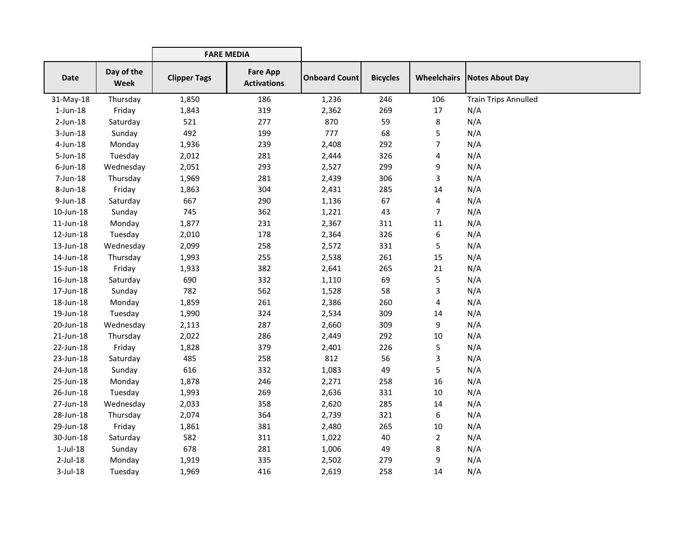|                 |                           | <b>FARE MEDIA</b>   |                                       |                      |                 |                    |                             |
|-----------------|---------------------------|---------------------|---------------------------------------|----------------------|-----------------|--------------------|-----------------------------|
| Date            | Day of the<br><b>Week</b> | <b>Clipper Tags</b> | <b>Fare App</b><br><b>Activations</b> | <b>Onboard Count</b> | <b>Bicycles</b> | <b>Wheelchairs</b> | Notes About Day             |
| 31-May-18       | Thursday                  | 1,850               | 186                                   | 1,236                | 246             | 106                | <b>Train Trips Annulled</b> |
| $1$ -Jun- $18$  | Friday                    | 1,843               | 319                                   | 2,362                | 269             | 17                 | N/A                         |
| $2$ -Jun-18     | Saturday                  | 521                 | 277                                   | 870                  | 59              | 8                  | N/A                         |
| $3$ -Jun-18     | Sunday                    | 492                 | 199                                   | 777                  | 68              | 5                  | N/A                         |
| $4$ -Jun-18     | Monday                    | 1,936               | 239                                   | 2,408                | 292             | 7                  | N/A                         |
| 5-Jun-18        | Tuesday                   | 2,012               | 281                                   | 2,444                | 326             | 4                  | N/A                         |
| $6$ -Jun-18     | Wednesday                 | 2,051               | 293                                   | 2,527                | 299             | 9                  | N/A                         |
| 7-Jun-18        | Thursday                  | 1,969               | 281                                   | 2,439                | 306             | 3                  | N/A                         |
| 8-Jun-18        | Friday                    | 1,863               | 304                                   | 2,431                | 285             | 14                 | N/A                         |
| 9-Jun-18        | Saturday                  | 667                 | 290                                   | 1,136                | 67              | 4                  | N/A                         |
| 10-Jun-18       | Sunday                    | 745                 | 362                                   | 1,221                | 43              | 7                  | N/A                         |
| $11$ -Jun- $18$ | Monday                    | 1,877               | 231                                   | 2,367                | 311             | 11                 | N/A                         |
| 12-Jun-18       | Tuesday                   | 2,010               | 178                                   | 2,364                | 326             | 6                  | N/A                         |
| 13-Jun-18       | Wednesday                 | 2,099               | 258                                   | 2,572                | 331             | 5                  | N/A                         |
| 14-Jun-18       | Thursday                  | 1,993               | 255                                   | 2,538                | 261             | 15                 | N/A                         |
| 15-Jun-18       | Friday                    | 1,933               | 382                                   | 2,641                | 265             | 21                 | N/A                         |
| 16-Jun-18       | Saturday                  | 690                 | 332                                   | 1,110                | 69              | 5                  | N/A                         |
| 17-Jun-18       | Sunday                    | 782                 | 562                                   | 1,528                | 58              | 3                  | N/A                         |
| 18-Jun-18       | Monday                    | 1,859               | 261                                   | 2,386                | 260             | 4                  | N/A                         |
| 19-Jun-18       | Tuesday                   | 1,990               | 324                                   | 2,534                | 309             | 14                 | N/A                         |
| 20-Jun-18       | Wednesday                 | 2,113               | 287                                   | 2,660                | 309             | 9                  | N/A                         |
| 21-Jun-18       | Thursday                  | 2,022               | 286                                   | 2,449                | 292             | 10                 | N/A                         |
| 22-Jun-18       | Friday                    | 1,828               | 379                                   | 2,401                | 226             | 5                  | N/A                         |
| 23-Jun-18       | Saturday                  | 485                 | 258                                   | 812                  | 56              | 3                  | N/A                         |
| 24-Jun-18       | Sunday                    | 616                 | 332                                   | 1,083                | 49              | 5                  | N/A                         |
| 25-Jun-18       | Monday                    | 1,878               | 246                                   | 2,271                | 258             | 16                 | N/A                         |
| 26-Jun-18       | Tuesday                   | 1,993               | 269                                   | 2,636                | 331             | $10\,$             | N/A                         |
| 27-Jun-18       | Wednesday                 | 2,033               | 358                                   | 2,620                | 285             | 14                 | N/A                         |
| 28-Jun-18       | Thursday                  | 2,074               | 364                                   | 2,739                | 321             | 6                  | N/A                         |
| 29-Jun-18       | Friday                    | 1,861               | 381                                   | 2,480                | 265             | 10                 | N/A                         |
| 30-Jun-18       | Saturday                  | 582                 | 311                                   | 1,022                | 40              | $\overline{2}$     | N/A                         |
| $1$ -Jul- $18$  | Sunday                    | 678                 | 281                                   | 1,006                | 49              | 8                  | N/A                         |
| $2$ -Jul-18     | Monday                    | 1,919               | 335                                   | 2,502                | 279             | 9                  | N/A                         |
| $3$ -Jul-18     | Tuesday                   | 1,969               | 416                                   | 2,619                | 258             | 14                 | N/A                         |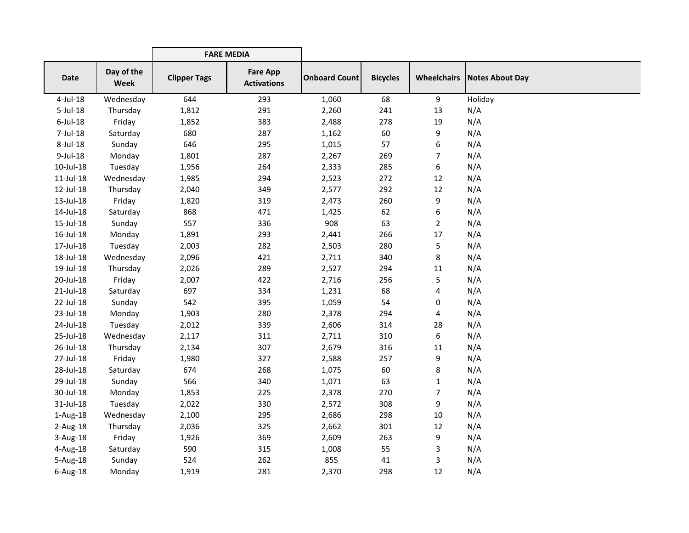|             |                    | <b>FARE MEDIA</b>   |                                       |                      |                 |                |                                      |
|-------------|--------------------|---------------------|---------------------------------------|----------------------|-----------------|----------------|--------------------------------------|
| <b>Date</b> | Day of the<br>Week | <b>Clipper Tags</b> | <b>Fare App</b><br><b>Activations</b> | <b>Onboard Count</b> | <b>Bicycles</b> |                | <b>Wheelchairs   Notes About Day</b> |
| 4-Jul-18    | Wednesday          | 644                 | 293                                   | 1,060                | 68              | 9              | Holiday                              |
| 5-Jul-18    | Thursday           | 1,812               | 291                                   | 2,260                | 241             | 13             | N/A                                  |
| $6$ -Jul-18 | Friday             | 1,852               | 383                                   | 2,488                | 278             | 19             | N/A                                  |
| 7-Jul-18    | Saturday           | 680                 | 287                                   | 1,162                | 60              | 9              | N/A                                  |
| 8-Jul-18    | Sunday             | 646                 | 295                                   | 1,015                | 57              | 6              | N/A                                  |
| 9-Jul-18    | Monday             | 1,801               | 287                                   | 2,267                | 269             | 7              | N/A                                  |
| 10-Jul-18   | Tuesday            | 1,956               | 264                                   | 2,333                | 285             | 6              | N/A                                  |
| 11-Jul-18   | Wednesday          | 1,985               | 294                                   | 2,523                | 272             | 12             | N/A                                  |
| 12-Jul-18   | Thursday           | 2,040               | 349                                   | 2,577                | 292             | 12             | N/A                                  |
| 13-Jul-18   | Friday             | 1,820               | 319                                   | 2,473                | 260             | 9              | N/A                                  |
| 14-Jul-18   | Saturday           | 868                 | 471                                   | 1,425                | 62              | 6              | N/A                                  |
| 15-Jul-18   | Sunday             | 557                 | 336                                   | 908                  | 63              | $\overline{2}$ | N/A                                  |
| 16-Jul-18   | Monday             | 1,891               | 293                                   | 2,441                | 266             | 17             | N/A                                  |
| 17-Jul-18   | Tuesday            | 2,003               | 282                                   | 2,503                | 280             | 5              | N/A                                  |
| 18-Jul-18   | Wednesday          | 2,096               | 421                                   | 2,711                | 340             | 8              | N/A                                  |
| 19-Jul-18   | Thursday           | 2,026               | 289                                   | 2,527                | 294             | 11             | N/A                                  |
| 20-Jul-18   | Friday             | 2,007               | 422                                   | 2,716                | 256             | 5              | N/A                                  |
| 21-Jul-18   | Saturday           | 697                 | 334                                   | 1,231                | 68              | 4              | N/A                                  |
| 22-Jul-18   | Sunday             | 542                 | 395                                   | 1,059                | 54              | $\pmb{0}$      | N/A                                  |
| 23-Jul-18   | Monday             | 1,903               | 280                                   | 2,378                | 294             | 4              | N/A                                  |
| 24-Jul-18   | Tuesday            | 2,012               | 339                                   | 2,606                | 314             | 28             | N/A                                  |
| 25-Jul-18   | Wednesday          | 2,117               | 311                                   | 2,711                | 310             | 6              | N/A                                  |
| 26-Jul-18   | Thursday           | 2,134               | 307                                   | 2,679                | 316             | 11             | N/A                                  |
| 27-Jul-18   | Friday             | 1,980               | 327                                   | 2,588                | 257             | 9              | N/A                                  |
| 28-Jul-18   | Saturday           | 674                 | 268                                   | 1,075                | 60              | 8              | N/A                                  |
| 29-Jul-18   | Sunday             | 566                 | 340                                   | 1,071                | 63              | $\mathbf{1}$   | N/A                                  |
| 30-Jul-18   | Monday             | 1,853               | 225                                   | 2,378                | 270             | $\overline{7}$ | N/A                                  |
| 31-Jul-18   | Tuesday            | 2,022               | 330                                   | 2,572                | 308             | 9              | N/A                                  |
| 1-Aug-18    | Wednesday          | 2,100               | 295                                   | 2,686                | 298             | 10             | N/A                                  |
| $2-Aug-18$  | Thursday           | 2,036               | 325                                   | 2,662                | 301             | 12             | N/A                                  |
| 3-Aug-18    | Friday             | 1,926               | 369                                   | 2,609                | 263             | 9              | N/A                                  |
| 4-Aug-18    | Saturday           | 590                 | 315                                   | 1,008                | 55              | 3              | N/A                                  |
| 5-Aug-18    | Sunday             | 524                 | 262                                   | 855                  | 41              | 3              | N/A                                  |
| $6$ -Aug-18 | Monday             | 1,919               | 281                                   | 2,370                | 298             | 12             | N/A                                  |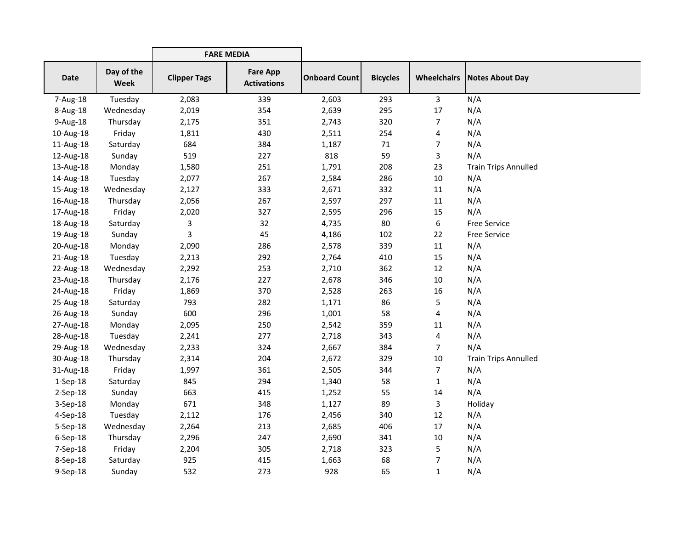|                |                           | <b>FARE MEDIA</b>   |                                       |                      |                 |                |                                    |
|----------------|---------------------------|---------------------|---------------------------------------|----------------------|-----------------|----------------|------------------------------------|
| <b>Date</b>    | Day of the<br><b>Week</b> | <b>Clipper Tags</b> | <b>Fare App</b><br><b>Activations</b> | <b>Onboard Count</b> | <b>Bicycles</b> |                | <b>Wheelchairs Notes About Day</b> |
| 7-Aug-18       | Tuesday                   | 2,083               | 339                                   | 2,603                | 293             | 3              | N/A                                |
| 8-Aug-18       | Wednesday                 | 2,019               | 354                                   | 2,639                | 295             | 17             | N/A                                |
| 9-Aug-18       | Thursday                  | 2,175               | 351                                   | 2,743                | 320             | $\overline{7}$ | N/A                                |
| 10-Aug-18      | Friday                    | 1,811               | 430                                   | 2,511                | 254             | 4              | N/A                                |
| 11-Aug-18      | Saturday                  | 684                 | 384                                   | 1,187                | 71              | 7              | N/A                                |
| 12-Aug-18      | Sunday                    | 519                 | 227                                   | 818                  | 59              | 3              | N/A                                |
| 13-Aug-18      | Monday                    | 1,580               | 251                                   | 1,791                | 208             | 23             | <b>Train Trips Annulled</b>        |
| 14-Aug-18      | Tuesday                   | 2,077               | 267                                   | 2,584                | 286             | 10             | N/A                                |
| 15-Aug-18      | Wednesday                 | 2,127               | 333                                   | 2,671                | 332             | 11             | N/A                                |
| 16-Aug-18      | Thursday                  | 2,056               | 267                                   | 2,597                | 297             | 11             | N/A                                |
| 17-Aug-18      | Friday                    | 2,020               | 327                                   | 2,595                | 296             | 15             | N/A                                |
| 18-Aug-18      | Saturday                  | 3                   | 32                                    | 4,735                | 80              | 6              | <b>Free Service</b>                |
| 19-Aug-18      | Sunday                    | 3                   | 45                                    | 4,186                | 102             | 22             | <b>Free Service</b>                |
| 20-Aug-18      | Monday                    | 2,090               | 286                                   | 2,578                | 339             | 11             | N/A                                |
| 21-Aug-18      | Tuesday                   | 2,213               | 292                                   | 2,764                | 410             | 15             | N/A                                |
| 22-Aug-18      | Wednesday                 | 2,292               | 253                                   | 2,710                | 362             | 12             | N/A                                |
| 23-Aug-18      | Thursday                  | 2,176               | 227                                   | 2,678                | 346             | 10             | N/A                                |
| 24-Aug-18      | Friday                    | 1,869               | 370                                   | 2,528                | 263             | 16             | N/A                                |
| 25-Aug-18      | Saturday                  | 793                 | 282                                   | 1,171                | 86              | 5              | N/A                                |
| 26-Aug-18      | Sunday                    | 600                 | 296                                   | 1,001                | 58              | 4              | N/A                                |
| 27-Aug-18      | Monday                    | 2,095               | 250                                   | 2,542                | 359             | 11             | N/A                                |
| 28-Aug-18      | Tuesday                   | 2,241               | 277                                   | 2,718                | 343             | 4              | N/A                                |
| 29-Aug-18      | Wednesday                 | 2,233               | 324                                   | 2,667                | 384             | $\overline{7}$ | N/A                                |
| 30-Aug-18      | Thursday                  | 2,314               | 204                                   | 2,672                | 329             | 10             | <b>Train Trips Annulled</b>        |
| 31-Aug-18      | Friday                    | 1,997               | 361                                   | 2,505                | 344             | $\overline{7}$ | N/A                                |
| $1-Sep-18$     | Saturday                  | 845                 | 294                                   | 1,340                | 58              | $\mathbf{1}$   | N/A                                |
| $2-Sep-18$     | Sunday                    | 663                 | 415                                   | 1,252                | 55              | 14             | N/A                                |
| 3-Sep-18       | Monday                    | 671                 | 348                                   | 1,127                | 89              | $\overline{3}$ | Holiday                            |
| 4-Sep-18       | Tuesday                   | 2,112               | 176                                   | 2,456                | 340             | 12             | N/A                                |
| 5-Sep-18       | Wednesday                 | 2,264               | 213                                   | 2,685                | 406             | 17             | N/A                                |
| $6-$ Sep $-18$ | Thursday                  | 2,296               | 247                                   | 2,690                | 341             | 10             | N/A                                |
| 7-Sep-18       | Friday                    | 2,204               | 305                                   | 2,718                | 323             | 5              | N/A                                |
| 8-Sep-18       | Saturday                  | 925                 | 415                                   | 1,663                | 68              | 7              | N/A                                |
| 9-Sep-18       | Sunday                    | 532                 | 273                                   | 928                  | 65              | 1              | N/A                                |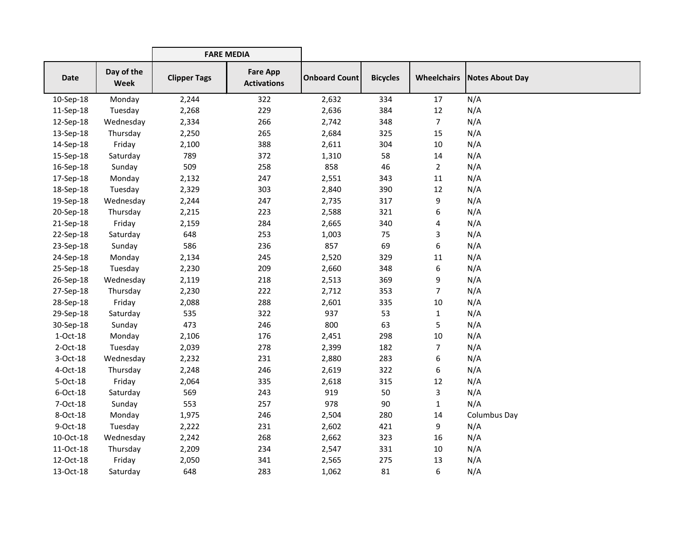|             |                           | <b>FARE MEDIA</b>   |                                       |                      |                 |                    |                        |
|-------------|---------------------------|---------------------|---------------------------------------|----------------------|-----------------|--------------------|------------------------|
| Date        | Day of the<br><b>Week</b> | <b>Clipper Tags</b> | <b>Fare App</b><br><b>Activations</b> | <b>Onboard Count</b> | <b>Bicycles</b> | <b>Wheelchairs</b> | <b>Notes About Day</b> |
| 10-Sep-18   | Monday                    | 2,244               | 322                                   | 2,632                | 334             | 17                 | N/A                    |
| 11-Sep-18   | Tuesday                   | 2,268               | 229                                   | 2,636                | 384             | 12                 | N/A                    |
| 12-Sep-18   | Wednesday                 | 2,334               | 266                                   | 2,742                | 348             | $\overline{7}$     | N/A                    |
| 13-Sep-18   | Thursday                  | 2,250               | 265                                   | 2,684                | 325             | 15                 | N/A                    |
| 14-Sep-18   | Friday                    | 2,100               | 388                                   | 2,611                | 304             | 10                 | N/A                    |
| 15-Sep-18   | Saturday                  | 789                 | 372                                   | 1,310                | 58              | 14                 | N/A                    |
| 16-Sep-18   | Sunday                    | 509                 | 258                                   | 858                  | 46              | $\overline{2}$     | N/A                    |
| 17-Sep-18   | Monday                    | 2,132               | 247                                   | 2,551                | 343             | 11                 | N/A                    |
| 18-Sep-18   | Tuesday                   | 2,329               | 303                                   | 2,840                | 390             | 12                 | N/A                    |
| 19-Sep-18   | Wednesday                 | 2,244               | 247                                   | 2,735                | 317             | 9                  | N/A                    |
| 20-Sep-18   | Thursday                  | 2,215               | 223                                   | 2,588                | 321             | 6                  | N/A                    |
| 21-Sep-18   | Friday                    | 2,159               | 284                                   | 2,665                | 340             | 4                  | N/A                    |
| 22-Sep-18   | Saturday                  | 648                 | 253                                   | 1,003                | 75              | 3                  | N/A                    |
| 23-Sep-18   | Sunday                    | 586                 | 236                                   | 857                  | 69              | 6                  | N/A                    |
| 24-Sep-18   | Monday                    | 2,134               | 245                                   | 2,520                | 329             | 11                 | N/A                    |
| 25-Sep-18   | Tuesday                   | 2,230               | 209                                   | 2,660                | 348             | 6                  | N/A                    |
| 26-Sep-18   | Wednesday                 | 2,119               | 218                                   | 2,513                | 369             | 9                  | N/A                    |
| 27-Sep-18   | Thursday                  | 2,230               | 222                                   | 2,712                | 353             | $\overline{7}$     | N/A                    |
| 28-Sep-18   | Friday                    | 2,088               | 288                                   | 2,601                | 335             | 10                 | N/A                    |
| 29-Sep-18   | Saturday                  | 535                 | 322                                   | 937                  | 53              | $\mathbf{1}$       | N/A                    |
| 30-Sep-18   | Sunday                    | 473                 | 246                                   | 800                  | 63              | 5                  | N/A                    |
| $1-Oct-18$  | Monday                    | 2,106               | 176                                   | 2,451                | 298             | 10                 | N/A                    |
| 2-Oct-18    | Tuesday                   | 2,039               | 278                                   | 2,399                | 182             | $\overline{7}$     | N/A                    |
| 3-Oct-18    | Wednesday                 | 2,232               | 231                                   | 2,880                | 283             | 6                  | N/A                    |
| 4-Oct-18    | Thursday                  | 2,248               | 246                                   | 2,619                | 322             | 6                  | N/A                    |
| 5-Oct-18    | Friday                    | 2,064               | 335                                   | 2,618                | 315             | 12                 | N/A                    |
| $6$ -Oct-18 | Saturday                  | 569                 | 243                                   | 919                  | 50              | 3                  | N/A                    |
| 7-Oct-18    | Sunday                    | 553                 | 257                                   | 978                  | 90              | $\mathbf{1}$       | N/A                    |
| 8-Oct-18    | Monday                    | 1,975               | 246                                   | 2,504                | 280             | 14                 | Columbus Day           |
| 9-Oct-18    | Tuesday                   | 2,222               | 231                                   | 2,602                | 421             | 9                  | N/A                    |
| 10-Oct-18   | Wednesday                 | 2,242               | 268                                   | 2,662                | 323             | 16                 | N/A                    |
| 11-Oct-18   | Thursday                  | 2,209               | 234                                   | 2,547                | 331             | 10                 | N/A                    |
| 12-Oct-18   | Friday                    | 2,050               | 341                                   | 2,565                | 275             | 13                 | N/A                    |
| 13-Oct-18   | Saturday                  | 648                 | 283                                   | 1,062                | 81              | 6                  | N/A                    |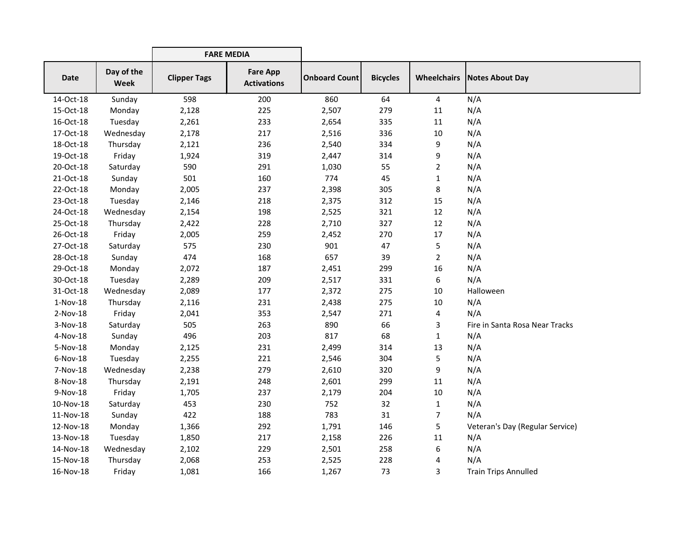|             |                           | <b>FARE MEDIA</b>   |                                       |                      |                 |                    |                                 |
|-------------|---------------------------|---------------------|---------------------------------------|----------------------|-----------------|--------------------|---------------------------------|
| <b>Date</b> | Day of the<br><b>Week</b> | <b>Clipper Tags</b> | <b>Fare App</b><br><b>Activations</b> | <b>Onboard Count</b> | <b>Bicycles</b> | <b>Wheelchairs</b> | <b>Notes About Day</b>          |
| 14-Oct-18   | Sunday                    | 598                 | 200                                   | 860                  | 64              | 4                  | N/A                             |
| 15-Oct-18   | Monday                    | 2,128               | 225                                   | 2,507                | 279             | 11                 | N/A                             |
| 16-Oct-18   | Tuesday                   | 2,261               | 233                                   | 2,654                | 335             | 11                 | N/A                             |
| 17-Oct-18   | Wednesday                 | 2,178               | 217                                   | 2,516                | 336             | 10                 | N/A                             |
| 18-Oct-18   | Thursday                  | 2,121               | 236                                   | 2,540                | 334             | 9                  | N/A                             |
| 19-Oct-18   | Friday                    | 1,924               | 319                                   | 2,447                | 314             | 9                  | N/A                             |
| 20-Oct-18   | Saturday                  | 590                 | 291                                   | 1,030                | 55              | $\overline{2}$     | N/A                             |
| 21-Oct-18   | Sunday                    | 501                 | 160                                   | 774                  | 45              | $\mathbf{1}$       | N/A                             |
| 22-Oct-18   | Monday                    | 2,005               | 237                                   | 2,398                | 305             | 8                  | N/A                             |
| 23-Oct-18   | Tuesday                   | 2,146               | 218                                   | 2,375                | 312             | 15                 | N/A                             |
| 24-Oct-18   | Wednesday                 | 2,154               | 198                                   | 2,525                | 321             | 12                 | N/A                             |
| 25-Oct-18   | Thursday                  | 2,422               | 228                                   | 2,710                | 327             | 12                 | N/A                             |
| 26-Oct-18   | Friday                    | 2,005               | 259                                   | 2,452                | 270             | 17                 | N/A                             |
| 27-Oct-18   | Saturday                  | 575                 | 230                                   | 901                  | 47              | 5                  | N/A                             |
| 28-Oct-18   | Sunday                    | 474                 | 168                                   | 657                  | 39              | $\overline{2}$     | N/A                             |
| 29-Oct-18   | Monday                    | 2,072               | 187                                   | 2,451                | 299             | 16                 | N/A                             |
| 30-Oct-18   | Tuesday                   | 2,289               | 209                                   | 2,517                | 331             | 6                  | N/A                             |
| 31-Oct-18   | Wednesday                 | 2,089               | 177                                   | 2,372                | 275             | 10                 | Halloween                       |
| $1-Nov-18$  | Thursday                  | 2,116               | 231                                   | 2,438                | 275             | 10                 | N/A                             |
| 2-Nov-18    | Friday                    | 2,041               | 353                                   | 2,547                | 271             | 4                  | N/A                             |
| $3-Nov-18$  | Saturday                  | 505                 | 263                                   | 890                  | 66              | 3                  | Fire in Santa Rosa Near Tracks  |
| 4-Nov-18    | Sunday                    | 496                 | 203                                   | 817                  | 68              | 1                  | N/A                             |
| 5-Nov-18    | Monday                    | 2,125               | 231                                   | 2,499                | 314             | 13                 | N/A                             |
| 6-Nov-18    | Tuesday                   | 2,255               | 221                                   | 2,546                | 304             | 5                  | N/A                             |
| 7-Nov-18    | Wednesday                 | 2,238               | 279                                   | 2,610                | 320             | 9                  | N/A                             |
| 8-Nov-18    | Thursday                  | 2,191               | 248                                   | 2,601                | 299             | 11                 | N/A                             |
| 9-Nov-18    | Friday                    | 1,705               | 237                                   | 2,179                | 204             | 10                 | N/A                             |
| 10-Nov-18   | Saturday                  | 453                 | 230                                   | 752                  | 32              | $\mathbf{1}$       | N/A                             |
| 11-Nov-18   | Sunday                    | 422                 | 188                                   | 783                  | 31              | 7                  | N/A                             |
| 12-Nov-18   | Monday                    | 1,366               | 292                                   | 1,791                | 146             | 5                  | Veteran's Day (Regular Service) |
| 13-Nov-18   | Tuesday                   | 1,850               | 217                                   | 2,158                | 226             | 11                 | N/A                             |
| 14-Nov-18   | Wednesday                 | 2,102               | 229                                   | 2,501                | 258             | 6                  | N/A                             |
| 15-Nov-18   | Thursday                  | 2,068               | 253                                   | 2,525                | 228             | 4                  | N/A                             |
| 16-Nov-18   | Friday                    | 1,081               | 166                                   | 1,267                | 73              | 3                  | <b>Train Trips Annulled</b>     |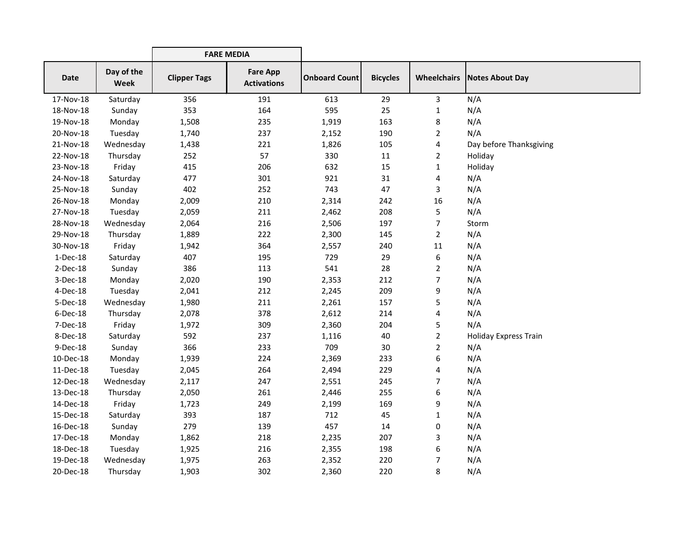|             |                           | <b>FARE MEDIA</b>   |                                       |                      |                 |                |                                      |
|-------------|---------------------------|---------------------|---------------------------------------|----------------------|-----------------|----------------|--------------------------------------|
| <b>Date</b> | Day of the<br><b>Week</b> | <b>Clipper Tags</b> | <b>Fare App</b><br><b>Activations</b> | <b>Onboard Count</b> | <b>Bicycles</b> |                | <b>Wheelchairs   Notes About Day</b> |
| 17-Nov-18   | Saturday                  | 356                 | 191                                   | 613                  | 29              | 3              | N/A                                  |
| 18-Nov-18   | Sunday                    | 353                 | 164                                   | 595                  | 25              | $\mathbf{1}$   | N/A                                  |
| 19-Nov-18   | Monday                    | 1,508               | 235                                   | 1,919                | 163             | 8              | N/A                                  |
| 20-Nov-18   | Tuesday                   | 1,740               | 237                                   | 2,152                | 190             | $\overline{2}$ | N/A                                  |
| 21-Nov-18   | Wednesday                 | 1,438               | 221                                   | 1,826                | 105             | 4              | Day before Thanksgiving              |
| 22-Nov-18   | Thursday                  | 252                 | 57                                    | 330                  | 11              | $\overline{2}$ | Holiday                              |
| 23-Nov-18   | Friday                    | 415                 | 206                                   | 632                  | 15              | $\mathbf{1}$   | Holiday                              |
| 24-Nov-18   | Saturday                  | 477                 | 301                                   | 921                  | 31              | 4              | N/A                                  |
| 25-Nov-18   | Sunday                    | 402                 | 252                                   | 743                  | 47              | 3              | N/A                                  |
| 26-Nov-18   | Monday                    | 2,009               | 210                                   | 2,314                | 242             | 16             | N/A                                  |
| 27-Nov-18   | Tuesday                   | 2,059               | 211                                   | 2,462                | 208             | 5              | N/A                                  |
| 28-Nov-18   | Wednesday                 | 2,064               | 216                                   | 2,506                | 197             | 7              | Storm                                |
| 29-Nov-18   | Thursday                  | 1,889               | 222                                   | 2,300                | 145             | $\overline{2}$ | N/A                                  |
| 30-Nov-18   | Friday                    | 1,942               | 364                                   | 2,557                | 240             | 11             | N/A                                  |
| 1-Dec-18    | Saturday                  | 407                 | 195                                   | 729                  | 29              | 6              | N/A                                  |
| $2$ -Dec-18 | Sunday                    | 386                 | 113                                   | 541                  | 28              | 2              | N/A                                  |
| 3-Dec-18    | Monday                    | 2,020               | 190                                   | 2,353                | 212             | 7              | N/A                                  |
| 4-Dec-18    | Tuesday                   | 2,041               | 212                                   | 2,245                | 209             | 9              | N/A                                  |
| 5-Dec-18    | Wednesday                 | 1,980               | 211                                   | 2,261                | 157             | 5              | N/A                                  |
| 6-Dec-18    | Thursday                  | 2,078               | 378                                   | 2,612                | 214             | 4              | N/A                                  |
| 7-Dec-18    | Friday                    | 1,972               | 309                                   | 2,360                | 204             | 5              | N/A                                  |
| 8-Dec-18    | Saturday                  | 592                 | 237                                   | 1,116                | 40              | $\overline{2}$ | <b>Holiday Express Train</b>         |
| 9-Dec-18    | Sunday                    | 366                 | 233                                   | 709                  | 30              | 2              | N/A                                  |
| 10-Dec-18   | Monday                    | 1,939               | 224                                   | 2,369                | 233             | 6              | N/A                                  |
| 11-Dec-18   | Tuesday                   | 2,045               | 264                                   | 2,494                | 229             | 4              | N/A                                  |
| 12-Dec-18   | Wednesday                 | 2,117               | 247                                   | 2,551                | 245             | 7              | N/A                                  |
| 13-Dec-18   | Thursday                  | 2,050               | 261                                   | 2,446                | 255             | 6              | N/A                                  |
| 14-Dec-18   | Friday                    | 1,723               | 249                                   | 2,199                | 169             | 9              | N/A                                  |
| 15-Dec-18   | Saturday                  | 393                 | 187                                   | 712                  | 45              | $\mathbf{1}$   | N/A                                  |
| 16-Dec-18   | Sunday                    | 279                 | 139                                   | 457                  | 14              | 0              | N/A                                  |
| 17-Dec-18   | Monday                    | 1,862               | 218                                   | 2,235                | 207             | 3              | N/A                                  |
| 18-Dec-18   | Tuesday                   | 1,925               | 216                                   | 2,355                | 198             | 6              | N/A                                  |
| 19-Dec-18   | Wednesday                 | 1,975               | 263                                   | 2,352                | 220             | 7              | N/A                                  |
| 20-Dec-18   | Thursday                  | 1,903               | 302                                   | 2,360                | 220             | 8              | N/A                                  |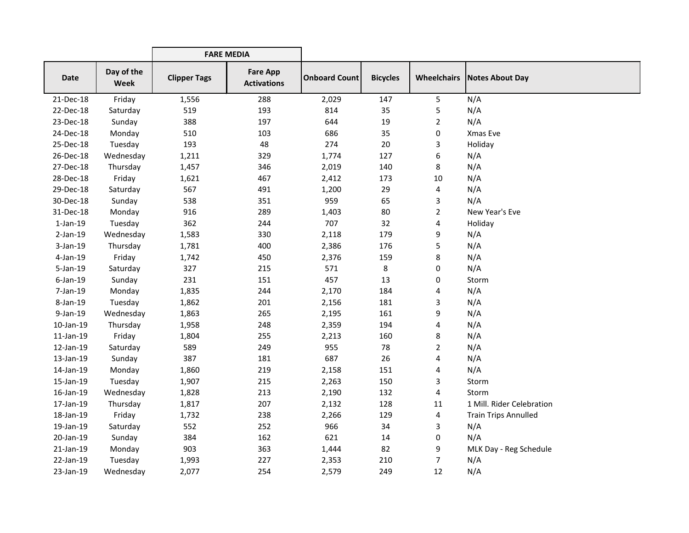|                |                           | <b>FARE MEDIA</b>   |                                       |                      |                 |                    |                             |
|----------------|---------------------------|---------------------|---------------------------------------|----------------------|-----------------|--------------------|-----------------------------|
| <b>Date</b>    | Day of the<br><b>Week</b> | <b>Clipper Tags</b> | <b>Fare App</b><br><b>Activations</b> | <b>Onboard Count</b> | <b>Bicycles</b> | <b>Wheelchairs</b> | Notes About Day             |
| 21-Dec-18      | Friday                    | 1,556               | 288                                   | 2,029                | 147             | 5                  | N/A                         |
| 22-Dec-18      | Saturday                  | 519                 | 193                                   | 814                  | 35              | 5                  | N/A                         |
| 23-Dec-18      | Sunday                    | 388                 | 197                                   | 644                  | 19              | $\overline{c}$     | N/A                         |
| 24-Dec-18      | Monday                    | 510                 | 103                                   | 686                  | 35              | 0                  | Xmas Eve                    |
| 25-Dec-18      | Tuesday                   | 193                 | 48                                    | 274                  | 20              | 3                  | Holiday                     |
| 26-Dec-18      | Wednesday                 | 1,211               | 329                                   | 1,774                | 127             | 6                  | N/A                         |
| 27-Dec-18      | Thursday                  | 1,457               | 346                                   | 2,019                | 140             | 8                  | N/A                         |
| 28-Dec-18      | Friday                    | 1,621               | 467                                   | 2,412                | 173             | 10                 | N/A                         |
| 29-Dec-18      | Saturday                  | 567                 | 491                                   | 1,200                | 29              | 4                  | N/A                         |
| 30-Dec-18      | Sunday                    | 538                 | 351                                   | 959                  | 65              | 3                  | N/A                         |
| 31-Dec-18      | Monday                    | 916                 | 289                                   | 1,403                | 80              | $\overline{2}$     | New Year's Eve              |
| $1$ -Jan- $19$ | Tuesday                   | 362                 | 244                                   | 707                  | 32              | 4                  | Holiday                     |
| $2$ -Jan-19    | Wednesday                 | 1,583               | 330                                   | 2,118                | 179             | 9                  | N/A                         |
| $3-Jan-19$     | Thursday                  | 1,781               | 400                                   | 2,386                | 176             | 5                  | N/A                         |
| 4-Jan-19       | Friday                    | 1,742               | 450                                   | 2,376                | 159             | 8                  | N/A                         |
| 5-Jan-19       | Saturday                  | 327                 | 215                                   | 571                  | 8               | 0                  | N/A                         |
| $6$ -Jan-19    | Sunday                    | 231                 | 151                                   | 457                  | 13              | 0                  | Storm                       |
| 7-Jan-19       | Monday                    | 1,835               | 244                                   | 2,170                | 184             | 4                  | N/A                         |
| 8-Jan-19       | Tuesday                   | 1,862               | 201                                   | 2,156                | 181             | 3                  | N/A                         |
| 9-Jan-19       | Wednesday                 | 1,863               | 265                                   | 2,195                | 161             | 9                  | N/A                         |
| 10-Jan-19      | Thursday                  | 1,958               | 248                                   | 2,359                | 194             | 4                  | N/A                         |
| 11-Jan-19      | Friday                    | 1,804               | 255                                   | 2,213                | 160             | 8                  | N/A                         |
| 12-Jan-19      | Saturday                  | 589                 | 249                                   | 955                  | 78              | $\overline{c}$     | N/A                         |
| 13-Jan-19      | Sunday                    | 387                 | 181                                   | 687                  | 26              | 4                  | N/A                         |
| 14-Jan-19      | Monday                    | 1,860               | 219                                   | 2,158                | 151             | 4                  | N/A                         |
| 15-Jan-19      | Tuesday                   | 1,907               | 215                                   | 2,263                | 150             | 3                  | Storm                       |
| 16-Jan-19      | Wednesday                 | 1,828               | 213                                   | 2,190                | 132             | 4                  | Storm                       |
| 17-Jan-19      | Thursday                  | 1,817               | 207                                   | 2,132                | 128             | 11                 | 1 Mill. Rider Celebration   |
| 18-Jan-19      | Friday                    | 1,732               | 238                                   | 2,266                | 129             | 4                  | <b>Train Trips Annulled</b> |
| 19-Jan-19      | Saturday                  | 552                 | 252                                   | 966                  | 34              | 3                  | N/A                         |
| 20-Jan-19      | Sunday                    | 384                 | 162                                   | 621                  | 14              | 0                  | N/A                         |
| $21$ -Jan-19   | Monday                    | 903                 | 363                                   | 1,444                | 82              | 9                  | MLK Day - Reg Schedule      |
| 22-Jan-19      | Tuesday                   | 1,993               | 227                                   | 2,353                | 210             | 7                  | N/A                         |
| 23-Jan-19      | Wednesday                 | 2,077               | 254                                   | 2,579                | 249             | 12                 | N/A                         |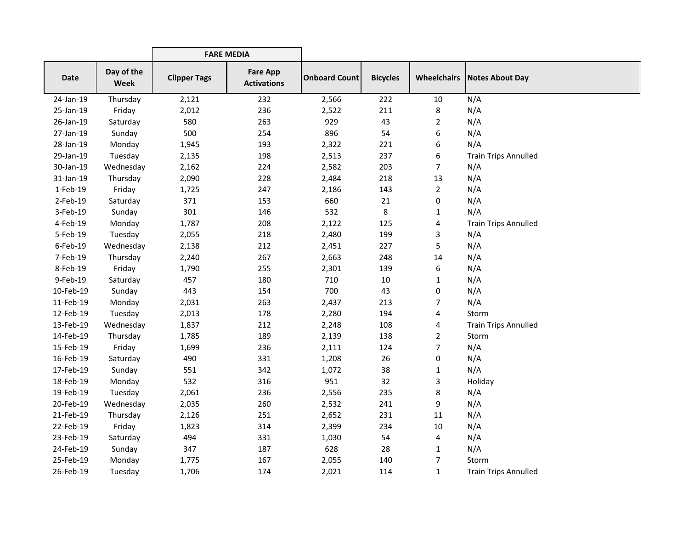|           |                           | <b>FARE MEDIA</b>   |                                       |                      |                 |                    |                             |
|-----------|---------------------------|---------------------|---------------------------------------|----------------------|-----------------|--------------------|-----------------------------|
| Date      | Day of the<br><b>Week</b> | <b>Clipper Tags</b> | <b>Fare App</b><br><b>Activations</b> | <b>Onboard Count</b> | <b>Bicycles</b> | <b>Wheelchairs</b> | <b>Notes About Day</b>      |
| 24-Jan-19 | Thursday                  | 2,121               | 232                                   | 2,566                | 222             | 10                 | N/A                         |
| 25-Jan-19 | Friday                    | 2,012               | 236                                   | 2,522                | 211             | 8                  | N/A                         |
| 26-Jan-19 | Saturday                  | 580                 | 263                                   | 929                  | 43              | $\overline{2}$     | N/A                         |
| 27-Jan-19 | Sunday                    | 500                 | 254                                   | 896                  | 54              | 6                  | N/A                         |
| 28-Jan-19 | Monday                    | 1,945               | 193                                   | 2,322                | 221             | 6                  | N/A                         |
| 29-Jan-19 | Tuesday                   | 2,135               | 198                                   | 2,513                | 237             | 6                  | <b>Train Trips Annulled</b> |
| 30-Jan-19 | Wednesday                 | 2,162               | 224                                   | 2,582                | 203             | 7                  | N/A                         |
| 31-Jan-19 | Thursday                  | 2,090               | 228                                   | 2,484                | 218             | 13                 | N/A                         |
| 1-Feb-19  | Friday                    | 1,725               | 247                                   | 2,186                | 143             | $\overline{a}$     | N/A                         |
| 2-Feb-19  | Saturday                  | 371                 | 153                                   | 660                  | 21              | 0                  | N/A                         |
| 3-Feb-19  | Sunday                    | 301                 | 146                                   | 532                  | 8               | 1                  | N/A                         |
| 4-Feb-19  | Monday                    | 1,787               | 208                                   | 2,122                | 125             | 4                  | <b>Train Trips Annulled</b> |
| 5-Feb-19  | Tuesday                   | 2,055               | 218                                   | 2,480                | 199             | 3                  | N/A                         |
| 6-Feb-19  | Wednesday                 | 2,138               | 212                                   | 2,451                | 227             | 5                  | N/A                         |
| 7-Feb-19  | Thursday                  | 2,240               | 267                                   | 2,663                | 248             | 14                 | N/A                         |
| 8-Feb-19  | Friday                    | 1,790               | 255                                   | 2,301                | 139             | 6                  | N/A                         |
| 9-Feb-19  | Saturday                  | 457                 | 180                                   | 710                  | 10              | 1                  | N/A                         |
| 10-Feb-19 | Sunday                    | 443                 | 154                                   | 700                  | 43              | 0                  | N/A                         |
| 11-Feb-19 | Monday                    | 2,031               | 263                                   | 2,437                | 213             | 7                  | N/A                         |
| 12-Feb-19 | Tuesday                   | 2,013               | 178                                   | 2,280                | 194             | 4                  | Storm                       |
| 13-Feb-19 | Wednesday                 | 1,837               | 212                                   | 2,248                | 108             | 4                  | <b>Train Trips Annulled</b> |
| 14-Feb-19 | Thursday                  | 1,785               | 189                                   | 2,139                | 138             | $\overline{2}$     | Storm                       |
| 15-Feb-19 | Friday                    | 1,699               | 236                                   | 2,111                | 124             | 7                  | N/A                         |
| 16-Feb-19 | Saturday                  | 490                 | 331                                   | 1,208                | 26              | 0                  | N/A                         |
| 17-Feb-19 | Sunday                    | 551                 | 342                                   | 1,072                | 38              | 1                  | N/A                         |
| 18-Feb-19 | Monday                    | 532                 | 316                                   | 951                  | 32              | 3                  | Holiday                     |
| 19-Feb-19 | Tuesday                   | 2,061               | 236                                   | 2,556                | 235             | 8                  | N/A                         |
| 20-Feb-19 | Wednesday                 | 2,035               | 260                                   | 2,532                | 241             | 9                  | N/A                         |
| 21-Feb-19 | Thursday                  | 2,126               | 251                                   | 2,652                | 231             | 11                 | N/A                         |
| 22-Feb-19 | Friday                    | 1,823               | 314                                   | 2,399                | 234             | 10                 | N/A                         |
| 23-Feb-19 | Saturday                  | 494                 | 331                                   | 1,030                | 54              | 4                  | N/A                         |
| 24-Feb-19 | Sunday                    | 347                 | 187                                   | 628                  | 28              | 1                  | N/A                         |
| 25-Feb-19 | Monday                    | 1,775               | 167                                   | 2,055                | 140             | 7                  | Storm                       |
| 26-Feb-19 | Tuesday                   | 1,706               | 174                                   | 2,021                | 114             | $\mathbf{1}$       | <b>Train Trips Annulled</b> |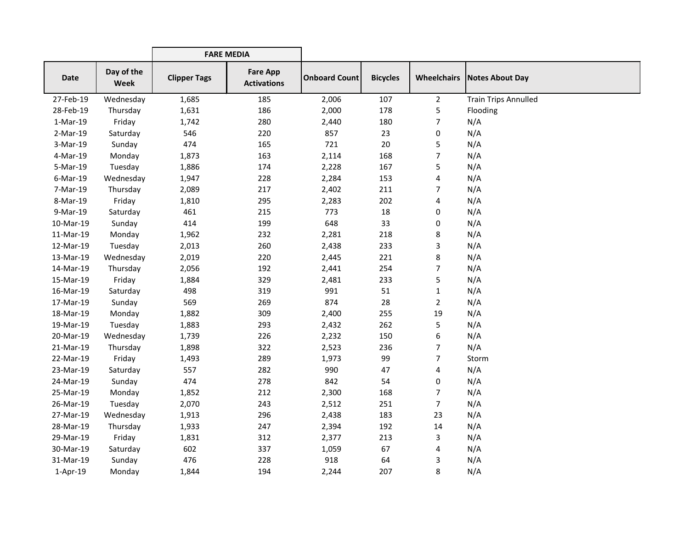|            |                    | <b>FARE MEDIA</b>   |                                       |                      |                 |                |                                      |
|------------|--------------------|---------------------|---------------------------------------|----------------------|-----------------|----------------|--------------------------------------|
| Date       | Day of the<br>Week | <b>Clipper Tags</b> | <b>Fare App</b><br><b>Activations</b> | <b>Onboard Count</b> | <b>Bicycles</b> |                | <b>Wheelchairs   Notes About Day</b> |
| 27-Feb-19  | Wednesday          | 1,685               | 185                                   | 2,006                | 107             | $\overline{2}$ | <b>Train Trips Annulled</b>          |
| 28-Feb-19  | Thursday           | 1,631               | 186                                   | 2,000                | 178             | 5              | Flooding                             |
| $1-Mar-19$ | Friday             | 1,742               | 280                                   | 2,440                | 180             | 7              | N/A                                  |
| 2-Mar-19   | Saturday           | 546                 | 220                                   | 857                  | 23              | 0              | N/A                                  |
| 3-Mar-19   | Sunday             | 474                 | 165                                   | 721                  | 20              | 5              | N/A                                  |
| 4-Mar-19   | Monday             | 1,873               | 163                                   | 2,114                | 168             | 7              | N/A                                  |
| 5-Mar-19   | Tuesday            | 1,886               | 174                                   | 2,228                | 167             | 5              | N/A                                  |
| 6-Mar-19   | Wednesday          | 1,947               | 228                                   | 2,284                | 153             | 4              | N/A                                  |
| 7-Mar-19   | Thursday           | 2,089               | 217                                   | 2,402                | 211             | 7              | N/A                                  |
| 8-Mar-19   | Friday             | 1,810               | 295                                   | 2,283                | 202             | 4              | N/A                                  |
| 9-Mar-19   | Saturday           | 461                 | 215                                   | 773                  | 18              | 0              | N/A                                  |
| 10-Mar-19  | Sunday             | 414                 | 199                                   | 648                  | 33              | 0              | N/A                                  |
| 11-Mar-19  | Monday             | 1,962               | 232                                   | 2,281                | 218             | 8              | N/A                                  |
| 12-Mar-19  | Tuesday            | 2,013               | 260                                   | 2,438                | 233             | 3              | N/A                                  |
| 13-Mar-19  | Wednesday          | 2,019               | 220                                   | 2,445                | 221             | 8              | N/A                                  |
| 14-Mar-19  | Thursday           | 2,056               | 192                                   | 2,441                | 254             | 7              | N/A                                  |
| 15-Mar-19  | Friday             | 1,884               | 329                                   | 2,481                | 233             | 5              | N/A                                  |
| 16-Mar-19  | Saturday           | 498                 | 319                                   | 991                  | 51              | 1              | N/A                                  |
| 17-Mar-19  | Sunday             | 569                 | 269                                   | 874                  | 28              | $\overline{2}$ | N/A                                  |
| 18-Mar-19  | Monday             | 1,882               | 309                                   | 2,400                | 255             | 19             | N/A                                  |
| 19-Mar-19  | Tuesday            | 1,883               | 293                                   | 2,432                | 262             | 5              | N/A                                  |
| 20-Mar-19  | Wednesday          | 1,739               | 226                                   | 2,232                | 150             | 6              | N/A                                  |
| 21-Mar-19  | Thursday           | 1,898               | 322                                   | 2,523                | 236             | 7              | N/A                                  |
| 22-Mar-19  | Friday             | 1,493               | 289                                   | 1,973                | 99              | 7              | Storm                                |
| 23-Mar-19  | Saturday           | 557                 | 282                                   | 990                  | 47              | 4              | N/A                                  |
| 24-Mar-19  | Sunday             | 474                 | 278                                   | 842                  | 54              | 0              | N/A                                  |
| 25-Mar-19  | Monday             | 1,852               | 212                                   | 2,300                | 168             | 7              | N/A                                  |
| 26-Mar-19  | Tuesday            | 2,070               | 243                                   | 2,512                | 251             | 7              | N/A                                  |
| 27-Mar-19  | Wednesday          | 1,913               | 296                                   | 2,438                | 183             | 23             | N/A                                  |
| 28-Mar-19  | Thursday           | 1,933               | 247                                   | 2,394                | 192             | 14             | N/A                                  |
| 29-Mar-19  | Friday             | 1,831               | 312                                   | 2,377                | 213             | 3              | N/A                                  |
| 30-Mar-19  | Saturday           | 602                 | 337                                   | 1,059                | 67              | 4              | N/A                                  |
| 31-Mar-19  | Sunday             | 476                 | 228                                   | 918                  | 64              | 3              | N/A                                  |
| $1-Apr-19$ | Monday             | 1,844               | 194                                   | 2,244                | 207             | 8              | N/A                                  |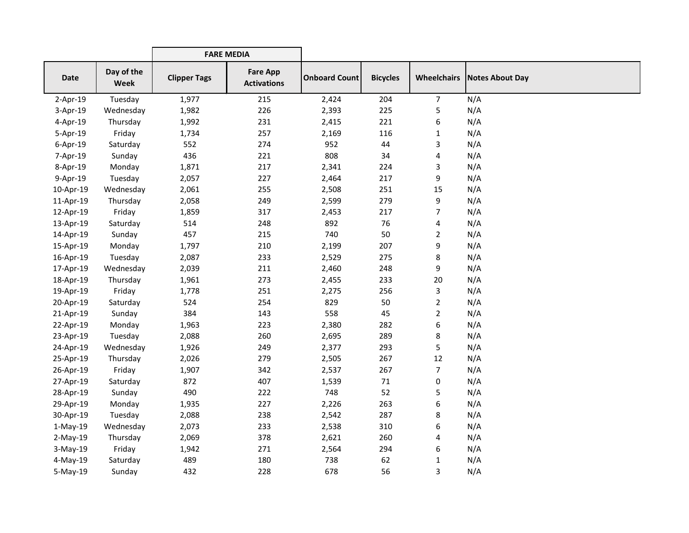|                |                           | <b>FARE MEDIA</b>   |                                       |                      |                 |                |                                      |
|----------------|---------------------------|---------------------|---------------------------------------|----------------------|-----------------|----------------|--------------------------------------|
| <b>Date</b>    | Day of the<br><b>Week</b> | <b>Clipper Tags</b> | <b>Fare App</b><br><b>Activations</b> | <b>Onboard Count</b> | <b>Bicycles</b> |                | <b>Wheelchairs   Notes About Day</b> |
| $2-Apr-19$     | Tuesday                   | 1,977               | 215                                   | 2,424                | 204             | $\overline{7}$ | N/A                                  |
| 3-Apr-19       | Wednesday                 | 1,982               | 226                                   | 2,393                | 225             | 5              | N/A                                  |
| 4-Apr-19       | Thursday                  | 1,992               | 231                                   | 2,415                | 221             | 6              | N/A                                  |
| 5-Apr-19       | Friday                    | 1,734               | 257                                   | 2,169                | 116             | 1              | N/A                                  |
| $6 - Apr - 19$ | Saturday                  | 552                 | 274                                   | 952                  | 44              | 3              | N/A                                  |
| 7-Apr-19       | Sunday                    | 436                 | 221                                   | 808                  | 34              | 4              | N/A                                  |
| 8-Apr-19       | Monday                    | 1,871               | 217                                   | 2,341                | 224             | 3              | N/A                                  |
| 9-Apr-19       | Tuesday                   | 2,057               | 227                                   | 2,464                | 217             | 9              | N/A                                  |
| 10-Apr-19      | Wednesday                 | 2,061               | 255                                   | 2,508                | 251             | 15             | N/A                                  |
| 11-Apr-19      | Thursday                  | 2,058               | 249                                   | 2,599                | 279             | 9              | N/A                                  |
| 12-Apr-19      | Friday                    | 1,859               | 317                                   | 2,453                | 217             | 7              | N/A                                  |
| 13-Apr-19      | Saturday                  | 514                 | 248                                   | 892                  | 76              | 4              | N/A                                  |
| 14-Apr-19      | Sunday                    | 457                 | 215                                   | 740                  | 50              | $\overline{2}$ | N/A                                  |
| 15-Apr-19      | Monday                    | 1,797               | 210                                   | 2,199                | 207             | 9              | N/A                                  |
| 16-Apr-19      | Tuesday                   | 2,087               | 233                                   | 2,529                | 275             | 8              | N/A                                  |
| 17-Apr-19      | Wednesday                 | 2,039               | 211                                   | 2,460                | 248             | 9              | N/A                                  |
| 18-Apr-19      | Thursday                  | 1,961               | 273                                   | 2,455                | 233             | 20             | N/A                                  |
| 19-Apr-19      | Friday                    | 1,778               | 251                                   | 2,275                | 256             | 3              | N/A                                  |
| 20-Apr-19      | Saturday                  | 524                 | 254                                   | 829                  | 50              | $\overline{2}$ | N/A                                  |
| 21-Apr-19      | Sunday                    | 384                 | 143                                   | 558                  | 45              | $\overline{2}$ | N/A                                  |
| 22-Apr-19      | Monday                    | 1,963               | 223                                   | 2,380                | 282             | 6              | N/A                                  |
| 23-Apr-19      | Tuesday                   | 2,088               | 260                                   | 2,695                | 289             | 8              | N/A                                  |
| 24-Apr-19      | Wednesday                 | 1,926               | 249                                   | 2,377                | 293             | 5              | N/A                                  |
| 25-Apr-19      | Thursday                  | 2,026               | 279                                   | 2,505                | 267             | 12             | N/A                                  |
| 26-Apr-19      | Friday                    | 1,907               | 342                                   | 2,537                | 267             | 7              | N/A                                  |
| 27-Apr-19      | Saturday                  | 872                 | 407                                   | 1,539                | 71              | 0              | N/A                                  |
| 28-Apr-19      | Sunday                    | 490                 | 222                                   | 748                  | 52              | 5              | N/A                                  |
| 29-Apr-19      | Monday                    | 1,935               | 227                                   | 2,226                | 263             | 6              | N/A                                  |
| 30-Apr-19      | Tuesday                   | 2,088               | 238                                   | 2,542                | 287             | 8              | N/A                                  |
| $1-May-19$     | Wednesday                 | 2,073               | 233                                   | 2,538                | 310             | 6              | N/A                                  |
| $2-May-19$     | Thursday                  | 2,069               | 378                                   | 2,621                | 260             | 4              | N/A                                  |
| $3-May-19$     | Friday                    | 1,942               | 271                                   | 2,564                | 294             | 6              | N/A                                  |
| 4-May-19       | Saturday                  | 489                 | 180                                   | 738                  | 62              | 1              | N/A                                  |
| 5-May-19       | Sunday                    | 432                 | 228                                   | 678                  | 56              | 3              | N/A                                  |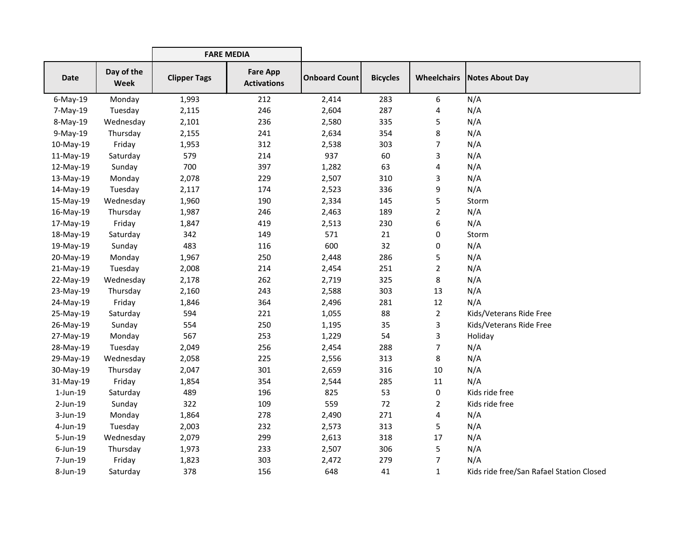|                |                    | <b>FARE MEDIA</b>   |                                       |                      |                 |                    |                                          |
|----------------|--------------------|---------------------|---------------------------------------|----------------------|-----------------|--------------------|------------------------------------------|
| Date           | Day of the<br>Week | <b>Clipper Tags</b> | <b>Fare App</b><br><b>Activations</b> | <b>Onboard Count</b> | <b>Bicycles</b> | <b>Wheelchairs</b> | Notes About Day                          |
| $6$ -May-19    | Monday             | 1,993               | 212                                   | 2,414                | 283             | 6                  | N/A                                      |
| 7-May-19       | Tuesday            | 2,115               | 246                                   | 2,604                | 287             | 4                  | N/A                                      |
| 8-May-19       | Wednesday          | 2,101               | 236                                   | 2,580                | 335             | 5                  | N/A                                      |
| 9-May-19       | Thursday           | 2,155               | 241                                   | 2,634                | 354             | 8                  | N/A                                      |
| 10-May-19      | Friday             | 1,953               | 312                                   | 2,538                | 303             | 7                  | N/A                                      |
| 11-May-19      | Saturday           | 579                 | 214                                   | 937                  | 60              | 3                  | N/A                                      |
| 12-May-19      | Sunday             | 700                 | 397                                   | 1,282                | 63              | 4                  | N/A                                      |
| 13-May-19      | Monday             | 2,078               | 229                                   | 2,507                | 310             | 3                  | N/A                                      |
| 14-May-19      | Tuesday            | 2,117               | 174                                   | 2,523                | 336             | 9                  | N/A                                      |
| 15-May-19      | Wednesday          | 1,960               | 190                                   | 2,334                | 145             | 5                  | Storm                                    |
| 16-May-19      | Thursday           | 1,987               | 246                                   | 2,463                | 189             | $\overline{c}$     | N/A                                      |
| 17-May-19      | Friday             | 1,847               | 419                                   | 2,513                | 230             | 6                  | N/A                                      |
| 18-May-19      | Saturday           | 342                 | 149                                   | 571                  | 21              | 0                  | Storm                                    |
| 19-May-19      | Sunday             | 483                 | 116                                   | 600                  | 32              | 0                  | N/A                                      |
| 20-May-19      | Monday             | 1,967               | 250                                   | 2,448                | 286             | 5                  | N/A                                      |
| 21-May-19      | Tuesday            | 2,008               | 214                                   | 2,454                | 251             | $\overline{2}$     | N/A                                      |
| 22-May-19      | Wednesday          | 2,178               | 262                                   | 2,719                | 325             | 8                  | N/A                                      |
| 23-May-19      | Thursday           | 2,160               | 243                                   | 2,588                | 303             | 13                 | N/A                                      |
| 24-May-19      | Friday             | 1,846               | 364                                   | 2,496                | 281             | 12                 | N/A                                      |
| 25-May-19      | Saturday           | 594                 | 221                                   | 1,055                | 88              | $\overline{2}$     | Kids/Veterans Ride Free                  |
| 26-May-19      | Sunday             | 554                 | 250                                   | 1,195                | 35              | 3                  | Kids/Veterans Ride Free                  |
| 27-May-19      | Monday             | 567                 | 253                                   | 1,229                | 54              | 3                  | Holiday                                  |
| 28-May-19      | Tuesday            | 2,049               | 256                                   | 2,454                | 288             | 7                  | N/A                                      |
| 29-May-19      | Wednesday          | 2,058               | 225                                   | 2,556                | 313             | 8                  | N/A                                      |
| 30-May-19      | Thursday           | 2,047               | 301                                   | 2,659                | 316             | 10                 | N/A                                      |
| 31-May-19      | Friday             | 1,854               | 354                                   | 2,544                | 285             | $11\,$             | N/A                                      |
| $1$ -Jun- $19$ | Saturday           | 489                 | 196                                   | 825                  | 53              | 0                  | Kids ride free                           |
| 2-Jun-19       | Sunday             | 322                 | 109                                   | 559                  | 72              | $\overline{2}$     | Kids ride free                           |
| 3-Jun-19       | Monday             | 1,864               | 278                                   | 2,490                | 271             | 4                  | N/A                                      |
| 4-Jun-19       | Tuesday            | 2,003               | 232                                   | 2,573                | 313             | 5                  | N/A                                      |
| 5-Jun-19       | Wednesday          | 2,079               | 299                                   | 2,613                | 318             | 17                 | N/A                                      |
| $6$ -Jun-19    | Thursday           | 1,973               | 233                                   | 2,507                | 306             | 5                  | N/A                                      |
| 7-Jun-19       | Friday             | 1,823               | 303                                   | 2,472                | 279             | 7                  | N/A                                      |
| 8-Jun-19       | Saturday           | 378                 | 156                                   | 648                  | 41              | 1                  | Kids ride free/San Rafael Station Closed |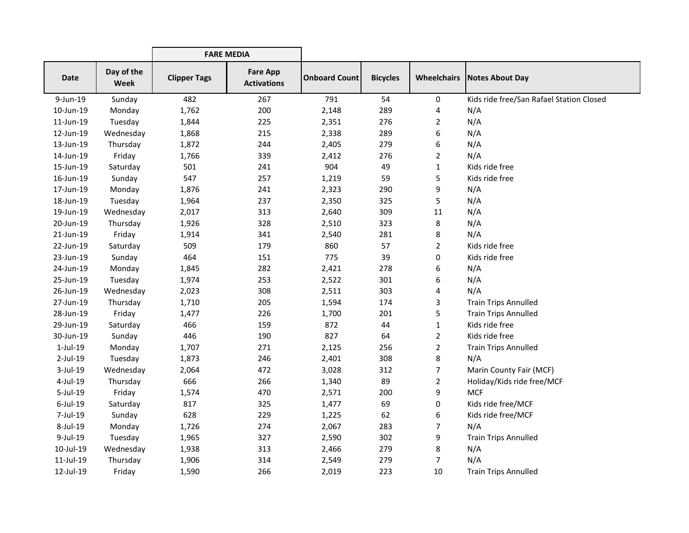|                |                           | <b>FARE MEDIA</b>   |                                       |                      |                 |                    |                                          |
|----------------|---------------------------|---------------------|---------------------------------------|----------------------|-----------------|--------------------|------------------------------------------|
| Date           | Day of the<br><b>Week</b> | <b>Clipper Tags</b> | <b>Fare App</b><br><b>Activations</b> | <b>Onboard Count</b> | <b>Bicycles</b> | <b>Wheelchairs</b> | Notes About Day                          |
| 9-Jun-19       | Sunday                    | 482                 | 267                                   | 791                  | 54              | 0                  | Kids ride free/San Rafael Station Closed |
| 10-Jun-19      | Monday                    | 1,762               | 200                                   | 2,148                | 289             | 4                  | N/A                                      |
| 11-Jun-19      | Tuesday                   | 1,844               | 225                                   | 2,351                | 276             | 2                  | N/A                                      |
| 12-Jun-19      | Wednesday                 | 1,868               | 215                                   | 2,338                | 289             | 6                  | N/A                                      |
| 13-Jun-19      | Thursday                  | 1,872               | 244                                   | 2,405                | 279             | 6                  | N/A                                      |
| 14-Jun-19      | Friday                    | 1,766               | 339                                   | 2,412                | 276             | $\overline{2}$     | N/A                                      |
| 15-Jun-19      | Saturday                  | 501                 | 241                                   | 904                  | 49              | 1                  | Kids ride free                           |
| 16-Jun-19      | Sunday                    | 547                 | 257                                   | 1,219                | 59              | 5                  | Kids ride free                           |
| 17-Jun-19      | Monday                    | 1,876               | 241                                   | 2,323                | 290             | 9                  | N/A                                      |
| 18-Jun-19      | Tuesday                   | 1,964               | 237                                   | 2,350                | 325             | 5                  | N/A                                      |
| 19-Jun-19      | Wednesday                 | 2,017               | 313                                   | 2,640                | 309             | 11                 | N/A                                      |
| 20-Jun-19      | Thursday                  | 1,926               | 328                                   | 2,510                | 323             | 8                  | N/A                                      |
| 21-Jun-19      | Friday                    | 1,914               | 341                                   | 2,540                | 281             | 8                  | N/A                                      |
| 22-Jun-19      | Saturday                  | 509                 | 179                                   | 860                  | 57              | $\overline{2}$     | Kids ride free                           |
| 23-Jun-19      | Sunday                    | 464                 | 151                                   | 775                  | 39              | 0                  | Kids ride free                           |
| 24-Jun-19      | Monday                    | 1,845               | 282                                   | 2,421                | 278             | 6                  | N/A                                      |
| 25-Jun-19      | Tuesday                   | 1,974               | 253                                   | 2,522                | 301             | 6                  | N/A                                      |
| 26-Jun-19      | Wednesday                 | 2,023               | 308                                   | 2,511                | 303             | 4                  | N/A                                      |
| 27-Jun-19      | Thursday                  | 1,710               | 205                                   | 1,594                | 174             | 3                  | <b>Train Trips Annulled</b>              |
| 28-Jun-19      | Friday                    | 1,477               | 226                                   | 1,700                | 201             | 5                  | <b>Train Trips Annulled</b>              |
| 29-Jun-19      | Saturday                  | 466                 | 159                                   | 872                  | 44              | $\mathbf{1}$       | Kids ride free                           |
| 30-Jun-19      | Sunday                    | 446                 | 190                                   | 827                  | 64              | $\overline{2}$     | Kids ride free                           |
| $1$ -Jul- $19$ | Monday                    | 1,707               | 271                                   | 2,125                | 256             | 2                  | <b>Train Trips Annulled</b>              |
| 2-Jul-19       | Tuesday                   | 1,873               | 246                                   | 2,401                | 308             | 8                  | N/A                                      |
| 3-Jul-19       | Wednesday                 | 2,064               | 472                                   | 3,028                | 312             | 7                  | Marin County Fair (MCF)                  |
| 4-Jul-19       | Thursday                  | 666                 | 266                                   | 1,340                | 89              | $\overline{2}$     | Holiday/Kids ride free/MCF               |
| 5-Jul-19       | Friday                    | 1,574               | 470                                   | 2,571                | 200             | 9                  | <b>MCF</b>                               |
| $6$ -Jul-19    | Saturday                  | 817                 | 325                                   | 1,477                | 69              | 0                  | Kids ride free/MCF                       |
| 7-Jul-19       | Sunday                    | 628                 | 229                                   | 1,225                | 62              | 6                  | Kids ride free/MCF                       |
| 8-Jul-19       | Monday                    | 1,726               | 274                                   | 2,067                | 283             | 7                  | N/A                                      |
| 9-Jul-19       | Tuesday                   | 1,965               | 327                                   | 2,590                | 302             | 9                  | <b>Train Trips Annulled</b>              |
| 10-Jul-19      | Wednesday                 | 1,938               | 313                                   | 2,466                | 279             | 8                  | N/A                                      |
| 11-Jul-19      | Thursday                  | 1,906               | 314                                   | 2,549                | 279             | 7                  | N/A                                      |
| 12-Jul-19      | Friday                    | 1,590               | 266                                   | 2,019                | 223             | 10                 | <b>Train Trips Annulled</b>              |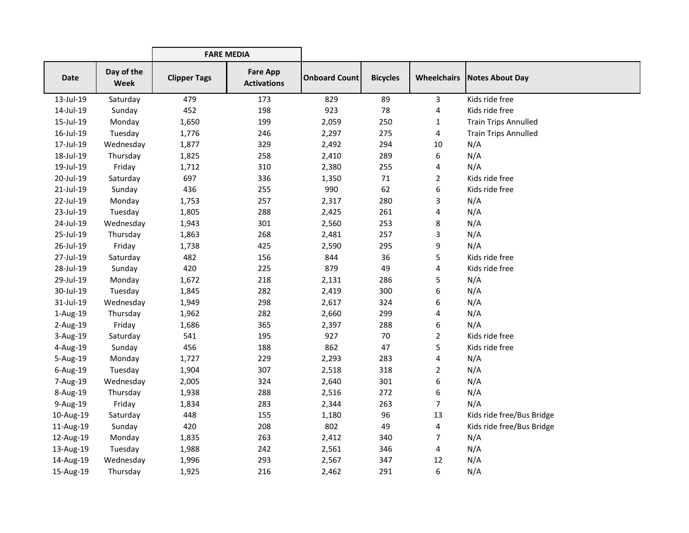|                |                           | <b>FARE MEDIA</b>   |                                       |                      |                 |                |                                      |
|----------------|---------------------------|---------------------|---------------------------------------|----------------------|-----------------|----------------|--------------------------------------|
| <b>Date</b>    | Day of the<br><b>Week</b> | <b>Clipper Tags</b> | <b>Fare App</b><br><b>Activations</b> | <b>Onboard Count</b> | <b>Bicycles</b> |                | <b>Wheelchairs   Notes About Day</b> |
| 13-Jul-19      | Saturday                  | 479                 | 173                                   | 829                  | 89              | 3              | Kids ride free                       |
| 14-Jul-19      | Sunday                    | 452                 | 198                                   | 923                  | 78              | 4              | Kids ride free                       |
| 15-Jul-19      | Monday                    | 1,650               | 199                                   | 2,059                | 250             | $\mathbf{1}$   | <b>Train Trips Annulled</b>          |
| 16-Jul-19      | Tuesday                   | 1,776               | 246                                   | 2,297                | 275             | 4              | <b>Train Trips Annulled</b>          |
| 17-Jul-19      | Wednesday                 | 1,877               | 329                                   | 2,492                | 294             | 10             | N/A                                  |
| 18-Jul-19      | Thursday                  | 1,825               | 258                                   | 2,410                | 289             | 6              | N/A                                  |
| 19-Jul-19      | Friday                    | 1,712               | 310                                   | 2,380                | 255             | 4              | N/A                                  |
| 20-Jul-19      | Saturday                  | 697                 | 336                                   | 1,350                | 71              | $\overline{2}$ | Kids ride free                       |
| 21-Jul-19      | Sunday                    | 436                 | 255                                   | 990                  | 62              | 6              | Kids ride free                       |
| 22-Jul-19      | Monday                    | 1,753               | 257                                   | 2,317                | 280             | 3              | N/A                                  |
| 23-Jul-19      | Tuesday                   | 1,805               | 288                                   | 2,425                | 261             | 4              | N/A                                  |
| 24-Jul-19      | Wednesday                 | 1,943               | 301                                   | 2,560                | 253             | 8              | N/A                                  |
| 25-Jul-19      | Thursday                  | 1,863               | 268                                   | 2,481                | 257             | 3              | N/A                                  |
| 26-Jul-19      | Friday                    | 1,738               | 425                                   | 2,590                | 295             | 9              | N/A                                  |
| 27-Jul-19      | Saturday                  | 482                 | 156                                   | 844                  | 36              | 5              | Kids ride free                       |
| 28-Jul-19      | Sunday                    | 420                 | 225                                   | 879                  | 49              | 4              | Kids ride free                       |
| 29-Jul-19      | Monday                    | 1,672               | 218                                   | 2,131                | 286             | 5              | N/A                                  |
| 30-Jul-19      | Tuesday                   | 1,845               | 282                                   | 2,419                | 300             | 6              | N/A                                  |
| 31-Jul-19      | Wednesday                 | 1,949               | 298                                   | 2,617                | 324             | 6              | N/A                                  |
| $1$ -Aug- $19$ | Thursday                  | 1,962               | 282                                   | 2,660                | 299             | 4              | N/A                                  |
| 2-Aug-19       | Friday                    | 1,686               | 365                                   | 2,397                | 288             | 6              | N/A                                  |
| 3-Aug-19       | Saturday                  | 541                 | 195                                   | 927                  | 70              | $\overline{2}$ | Kids ride free                       |
| 4-Aug-19       | Sunday                    | 456                 | 188                                   | 862                  | 47              | 5              | Kids ride free                       |
| 5-Aug-19       | Monday                    | 1,727               | 229                                   | 2,293                | 283             | 4              | N/A                                  |
| 6-Aug-19       | Tuesday                   | 1,904               | 307                                   | 2,518                | 318             | $\overline{2}$ | N/A                                  |
| 7-Aug-19       | Wednesday                 | 2,005               | 324                                   | 2,640                | 301             | 6              | N/A                                  |
| 8-Aug-19       | Thursday                  | 1,938               | 288                                   | 2,516                | 272             | 6              | N/A                                  |
| 9-Aug-19       | Friday                    | 1,834               | 283                                   | 2,344                | 263             | $\overline{7}$ | N/A                                  |
| 10-Aug-19      | Saturday                  | 448                 | 155                                   | 1,180                | 96              | 13             | Kids ride free/Bus Bridge            |
| 11-Aug-19      | Sunday                    | 420                 | 208                                   | 802                  | 49              | 4              | Kids ride free/Bus Bridge            |
| 12-Aug-19      | Monday                    | 1,835               | 263                                   | 2,412                | 340             | $\overline{7}$ | N/A                                  |
| 13-Aug-19      | Tuesday                   | 1,988               | 242                                   | 2,561                | 346             | 4              | N/A                                  |
| 14-Aug-19      | Wednesday                 | 1,996               | 293                                   | 2,567                | 347             | 12             | N/A                                  |
| 15-Aug-19      | Thursday                  | 1,925               | 216                                   | 2,462                | 291             | 6              | N/A                                  |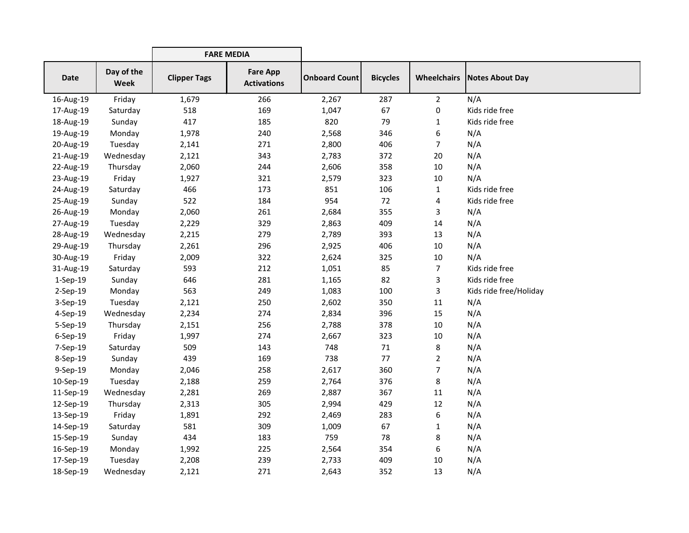|             |                           | <b>FARE MEDIA</b>   |                                       |                      |                 |                    |                        |
|-------------|---------------------------|---------------------|---------------------------------------|----------------------|-----------------|--------------------|------------------------|
| <b>Date</b> | Day of the<br><b>Week</b> | <b>Clipper Tags</b> | <b>Fare App</b><br><b>Activations</b> | <b>Onboard Count</b> | <b>Bicycles</b> | <b>Wheelchairs</b> | Notes About Day        |
| 16-Aug-19   | Friday                    | 1,679               | 266                                   | 2,267                | 287             | $\overline{2}$     | N/A                    |
| 17-Aug-19   | Saturday                  | 518                 | 169                                   | 1,047                | 67              | 0                  | Kids ride free         |
| 18-Aug-19   | Sunday                    | 417                 | 185                                   | 820                  | 79              | 1                  | Kids ride free         |
| 19-Aug-19   | Monday                    | 1,978               | 240                                   | 2,568                | 346             | 6                  | N/A                    |
| 20-Aug-19   | Tuesday                   | 2,141               | 271                                   | 2,800                | 406             | $\overline{7}$     | N/A                    |
| 21-Aug-19   | Wednesday                 | 2,121               | 343                                   | 2,783                | 372             | 20                 | N/A                    |
| 22-Aug-19   | Thursday                  | 2,060               | 244                                   | 2,606                | 358             | 10                 | N/A                    |
| 23-Aug-19   | Friday                    | 1,927               | 321                                   | 2,579                | 323             | 10                 | N/A                    |
| 24-Aug-19   | Saturday                  | 466                 | 173                                   | 851                  | 106             | $\mathbf{1}$       | Kids ride free         |
| 25-Aug-19   | Sunday                    | 522                 | 184                                   | 954                  | 72              | 4                  | Kids ride free         |
| 26-Aug-19   | Monday                    | 2,060               | 261                                   | 2,684                | 355             | 3                  | N/A                    |
| 27-Aug-19   | Tuesday                   | 2,229               | 329                                   | 2,863                | 409             | 14                 | N/A                    |
| 28-Aug-19   | Wednesday                 | 2,215               | 279                                   | 2,789                | 393             | 13                 | N/A                    |
| 29-Aug-19   | Thursday                  | 2,261               | 296                                   | 2,925                | 406             | 10                 | N/A                    |
| 30-Aug-19   | Friday                    | 2,009               | 322                                   | 2,624                | 325             | 10                 | N/A                    |
| 31-Aug-19   | Saturday                  | 593                 | 212                                   | 1,051                | 85              | $\overline{7}$     | Kids ride free         |
| 1-Sep-19    | Sunday                    | 646                 | 281                                   | 1,165                | 82              | 3                  | Kids ride free         |
| $2-Sep-19$  | Monday                    | 563                 | 249                                   | 1,083                | 100             | 3                  | Kids ride free/Holiday |
| 3-Sep-19    | Tuesday                   | 2,121               | 250                                   | 2,602                | 350             | 11                 | N/A                    |
| 4-Sep-19    | Wednesday                 | 2,234               | 274                                   | 2,834                | 396             | 15                 | N/A                    |
| 5-Sep-19    | Thursday                  | 2,151               | 256                                   | 2,788                | 378             | 10                 | N/A                    |
| 6-Sep-19    | Friday                    | 1,997               | 274                                   | 2,667                | 323             | 10                 | N/A                    |
| 7-Sep-19    | Saturday                  | 509                 | 143                                   | 748                  | 71              | 8                  | N/A                    |
| 8-Sep-19    | Sunday                    | 439                 | 169                                   | 738                  | 77              | $\overline{2}$     | N/A                    |
| 9-Sep-19    | Monday                    | 2,046               | 258                                   | 2,617                | 360             | $\overline{7}$     | N/A                    |
| 10-Sep-19   | Tuesday                   | 2,188               | 259                                   | 2,764                | 376             | 8                  | N/A                    |
| 11-Sep-19   | Wednesday                 | 2,281               | 269                                   | 2,887                | 367             | $11\,$             | N/A                    |
| 12-Sep-19   | Thursday                  | 2,313               | 305                                   | 2,994                | 429             | 12                 | N/A                    |
| 13-Sep-19   | Friday                    | 1,891               | 292                                   | 2,469                | 283             | 6                  | N/A                    |
| 14-Sep-19   | Saturday                  | 581                 | 309                                   | 1,009                | 67              | 1                  | N/A                    |
| 15-Sep-19   | Sunday                    | 434                 | 183                                   | 759                  | 78              | 8                  | N/A                    |
| 16-Sep-19   | Monday                    | 1,992               | 225                                   | 2,564                | 354             | 6                  | N/A                    |
| 17-Sep-19   | Tuesday                   | 2,208               | 239                                   | 2,733                | 409             | 10                 | N/A                    |
| 18-Sep-19   | Wednesday                 | 2,121               | 271                                   | 2,643                | 352             | 13                 | N/A                    |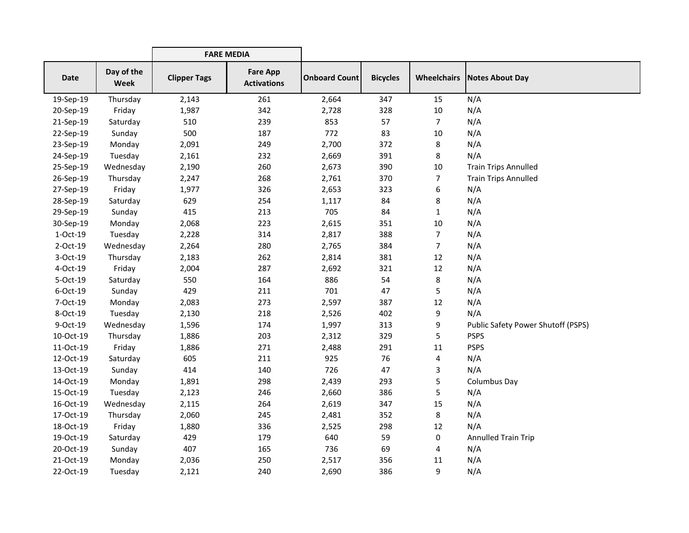|           |                           | <b>FARE MEDIA</b>   |                                       |                      |                 |                |                                           |
|-----------|---------------------------|---------------------|---------------------------------------|----------------------|-----------------|----------------|-------------------------------------------|
| Date      | Day of the<br><b>Week</b> | <b>Clipper Tags</b> | <b>Fare App</b><br><b>Activations</b> | <b>Onboard Count</b> | <b>Bicycles</b> |                | <b>Wheelchairs   Notes About Day</b>      |
| 19-Sep-19 | Thursday                  | 2,143               | 261                                   | 2,664                | 347             | 15             | N/A                                       |
| 20-Sep-19 | Friday                    | 1,987               | 342                                   | 2,728                | 328             | 10             | N/A                                       |
| 21-Sep-19 | Saturday                  | 510                 | 239                                   | 853                  | 57              | $\overline{7}$ | N/A                                       |
| 22-Sep-19 | Sunday                    | 500                 | 187                                   | 772                  | 83              | 10             | N/A                                       |
| 23-Sep-19 | Monday                    | 2,091               | 249                                   | 2,700                | 372             | 8              | N/A                                       |
| 24-Sep-19 | Tuesday                   | 2,161               | 232                                   | 2,669                | 391             | 8              | N/A                                       |
| 25-Sep-19 | Wednesday                 | 2,190               | 260                                   | 2,673                | 390             | 10             | <b>Train Trips Annulled</b>               |
| 26-Sep-19 | Thursday                  | 2,247               | 268                                   | 2,761                | 370             | 7              | <b>Train Trips Annulled</b>               |
| 27-Sep-19 | Friday                    | 1,977               | 326                                   | 2,653                | 323             | 6              | N/A                                       |
| 28-Sep-19 | Saturday                  | 629                 | 254                                   | 1,117                | 84              | 8              | N/A                                       |
| 29-Sep-19 | Sunday                    | 415                 | 213                                   | 705                  | 84              | $\mathbf{1}$   | N/A                                       |
| 30-Sep-19 | Monday                    | 2,068               | 223                                   | 2,615                | 351             | 10             | N/A                                       |
| 1-Oct-19  | Tuesday                   | 2,228               | 314                                   | 2,817                | 388             | 7              | N/A                                       |
| 2-Oct-19  | Wednesday                 | 2,264               | 280                                   | 2,765                | 384             | 7              | N/A                                       |
| 3-Oct-19  | Thursday                  | 2,183               | 262                                   | 2,814                | 381             | 12             | N/A                                       |
| 4-Oct-19  | Friday                    | 2,004               | 287                                   | 2,692                | 321             | 12             | N/A                                       |
| 5-Oct-19  | Saturday                  | 550                 | 164                                   | 886                  | 54              | 8              | N/A                                       |
| 6-Oct-19  | Sunday                    | 429                 | 211                                   | 701                  | 47              | 5              | N/A                                       |
| 7-Oct-19  | Monday                    | 2,083               | 273                                   | 2,597                | 387             | 12             | N/A                                       |
| 8-Oct-19  | Tuesday                   | 2,130               | 218                                   | 2,526                | 402             | 9              | N/A                                       |
| 9-Oct-19  | Wednesday                 | 1,596               | 174                                   | 1,997                | 313             | 9              | <b>Public Safety Power Shutoff (PSPS)</b> |
| 10-Oct-19 | Thursday                  | 1,886               | 203                                   | 2,312                | 329             | 5              | <b>PSPS</b>                               |
| 11-Oct-19 | Friday                    | 1,886               | 271                                   | 2,488                | 291             | 11             | <b>PSPS</b>                               |
| 12-Oct-19 | Saturday                  | 605                 | 211                                   | 925                  | 76              | 4              | N/A                                       |
| 13-Oct-19 | Sunday                    | 414                 | 140                                   | 726                  | 47              | 3              | N/A                                       |
| 14-Oct-19 | Monday                    | 1,891               | 298                                   | 2,439                | 293             | 5              | Columbus Day                              |
| 15-Oct-19 | Tuesday                   | 2,123               | 246                                   | 2,660                | 386             | 5              | N/A                                       |
| 16-Oct-19 | Wednesday                 | 2,115               | 264                                   | 2,619                | 347             | 15             | N/A                                       |
| 17-Oct-19 | Thursday                  | 2,060               | 245                                   | 2,481                | 352             | 8              | N/A                                       |
| 18-Oct-19 | Friday                    | 1,880               | 336                                   | 2,525                | 298             | 12             | N/A                                       |
| 19-Oct-19 | Saturday                  | 429                 | 179                                   | 640                  | 59              | 0              | Annulled Train Trip                       |
| 20-Oct-19 | Sunday                    | 407                 | 165                                   | 736                  | 69              | 4              | N/A                                       |
| 21-Oct-19 | Monday                    | 2,036               | 250                                   | 2,517                | 356             | 11             | N/A                                       |
| 22-Oct-19 | Tuesday                   | 2,121               | 240                                   | 2,690                | 386             | 9              | N/A                                       |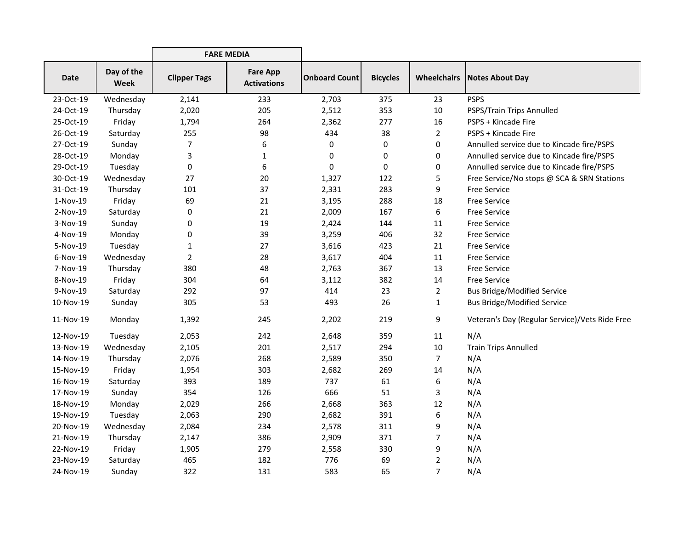|             |                    | <b>FARE MEDIA</b>   |                                       |                      |                 |                    |                                                |
|-------------|--------------------|---------------------|---------------------------------------|----------------------|-----------------|--------------------|------------------------------------------------|
| <b>Date</b> | Day of the<br>Week | <b>Clipper Tags</b> | <b>Fare App</b><br><b>Activations</b> | <b>Onboard Count</b> | <b>Bicycles</b> | <b>Wheelchairs</b> | <b>Notes About Day</b>                         |
| 23-Oct-19   | Wednesday          | 2,141               | 233                                   | 2,703                | 375             | 23                 | <b>PSPS</b>                                    |
| 24-Oct-19   | Thursday           | 2,020               | 205                                   | 2,512                | 353             | 10                 | PSPS/Train Trips Annulled                      |
| 25-Oct-19   | Friday             | 1,794               | 264                                   | 2,362                | 277             | 16                 | PSPS + Kincade Fire                            |
| 26-Oct-19   | Saturday           | 255                 | 98                                    | 434                  | 38              | $\overline{2}$     | PSPS + Kincade Fire                            |
| 27-Oct-19   | Sunday             | 7                   | 6                                     | 0                    | 0               | 0                  | Annulled service due to Kincade fire/PSPS      |
| 28-Oct-19   | Monday             | 3                   | 1                                     | 0                    | 0               | 0                  | Annulled service due to Kincade fire/PSPS      |
| 29-Oct-19   | Tuesday            | 0                   | 6                                     | $\pmb{0}$            | 0               | 0                  | Annulled service due to Kincade fire/PSPS      |
| 30-Oct-19   | Wednesday          | 27                  | 20                                    | 1,327                | 122             | 5                  | Free Service/No stops @ SCA & SRN Stations     |
| 31-Oct-19   | Thursday           | 101                 | 37                                    | 2,331                | 283             | 9                  | <b>Free Service</b>                            |
| 1-Nov-19    | Friday             | 69                  | 21                                    | 3,195                | 288             | 18                 | <b>Free Service</b>                            |
| 2-Nov-19    | Saturday           | 0                   | 21                                    | 2,009                | 167             | 6                  | <b>Free Service</b>                            |
| 3-Nov-19    | Sunday             | 0                   | 19                                    | 2,424                | 144             | 11                 | <b>Free Service</b>                            |
| 4-Nov-19    | Monday             | 0                   | 39                                    | 3,259                | 406             | 32                 | <b>Free Service</b>                            |
| 5-Nov-19    | Tuesday            | $\mathbf{1}$        | 27                                    | 3,616                | 423             | 21                 | <b>Free Service</b>                            |
| 6-Nov-19    | Wednesday          | $\overline{2}$      | 28                                    | 3,617                | 404             | 11                 | <b>Free Service</b>                            |
| 7-Nov-19    | Thursday           | 380                 | 48                                    | 2,763                | 367             | 13                 | <b>Free Service</b>                            |
| 8-Nov-19    | Friday             | 304                 | 64                                    | 3,112                | 382             | 14                 | <b>Free Service</b>                            |
| 9-Nov-19    | Saturday           | 292                 | 97                                    | 414                  | 23              | 2                  | <b>Bus Bridge/Modified Service</b>             |
| 10-Nov-19   | Sunday             | 305                 | 53                                    | 493                  | 26              | $\mathbf{1}$       | <b>Bus Bridge/Modified Service</b>             |
| 11-Nov-19   | Monday             | 1,392               | 245                                   | 2,202                | 219             | 9                  | Veteran's Day (Regular Service)/Vets Ride Free |
| 12-Nov-19   | Tuesday            | 2,053               | 242                                   | 2,648                | 359             | 11                 | N/A                                            |
| 13-Nov-19   | Wednesday          | 2,105               | 201                                   | 2,517                | 294             | 10                 | <b>Train Trips Annulled</b>                    |
| 14-Nov-19   | Thursday           | 2,076               | 268                                   | 2,589                | 350             | $\overline{7}$     | N/A                                            |
| 15-Nov-19   | Friday             | 1,954               | 303                                   | 2,682                | 269             | 14                 | N/A                                            |
| 16-Nov-19   | Saturday           | 393                 | 189                                   | 737                  | 61              | 6                  | N/A                                            |
| 17-Nov-19   | Sunday             | 354                 | 126                                   | 666                  | 51              | 3                  | N/A                                            |
| 18-Nov-19   | Monday             | 2,029               | 266                                   | 2,668                | 363             | 12                 | N/A                                            |
| 19-Nov-19   | Tuesday            | 2,063               | 290                                   | 2,682                | 391             | 6                  | N/A                                            |
| 20-Nov-19   | Wednesday          | 2,084               | 234                                   | 2,578                | 311             | 9                  | N/A                                            |
| 21-Nov-19   | Thursday           | 2,147               | 386                                   | 2,909                | 371             | 7                  | N/A                                            |
| 22-Nov-19   | Friday             | 1,905               | 279                                   | 2,558                | 330             | 9                  | N/A                                            |
| 23-Nov-19   | Saturday           | 465                 | 182                                   | 776                  | 69              | 2                  | N/A                                            |
| 24-Nov-19   | Sunday             | 322                 | 131                                   | 583                  | 65              | 7                  | N/A                                            |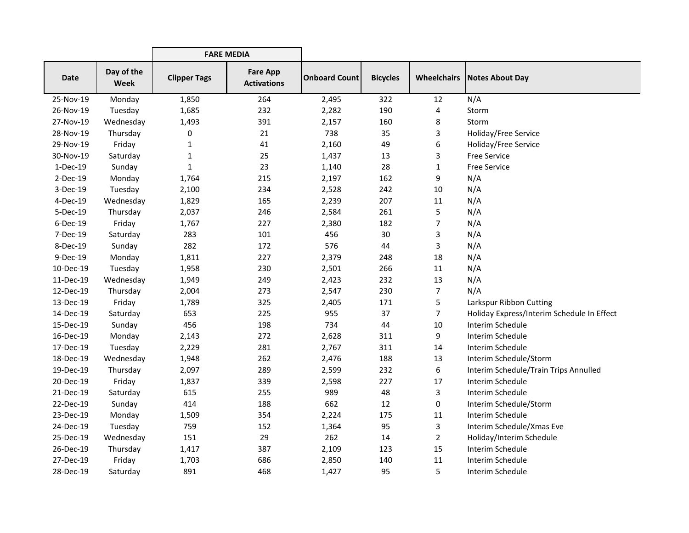|             |                    | <b>FARE MEDIA</b>   |                                       |                      |                 |                |                                            |
|-------------|--------------------|---------------------|---------------------------------------|----------------------|-----------------|----------------|--------------------------------------------|
| <b>Date</b> | Day of the<br>Week | <b>Clipper Tags</b> | <b>Fare App</b><br><b>Activations</b> | <b>Onboard Count</b> | <b>Bicycles</b> |                | <b>Wheelchairs   Notes About Day</b>       |
| 25-Nov-19   | Monday             | 1,850               | 264                                   | 2,495                | 322             | 12             | N/A                                        |
| 26-Nov-19   | Tuesday            | 1,685               | 232                                   | 2,282                | 190             | 4              | Storm                                      |
| 27-Nov-19   | Wednesday          | 1,493               | 391                                   | 2,157                | 160             | 8              | Storm                                      |
| 28-Nov-19   | Thursday           | 0                   | 21                                    | 738                  | 35              | 3              | Holiday/Free Service                       |
| 29-Nov-19   | Friday             | $\mathbf{1}$        | 41                                    | 2,160                | 49              | 6              | Holiday/Free Service                       |
| 30-Nov-19   | Saturday           | $\mathbf{1}$        | 25                                    | 1,437                | 13              | 3              | <b>Free Service</b>                        |
| 1-Dec-19    | Sunday             | $\mathbf{1}$        | 23                                    | 1,140                | 28              | $\mathbf{1}$   | <b>Free Service</b>                        |
| 2-Dec-19    | Monday             | 1,764               | 215                                   | 2,197                | 162             | 9              | N/A                                        |
| 3-Dec-19    | Tuesday            | 2,100               | 234                                   | 2,528                | 242             | 10             | N/A                                        |
| 4-Dec-19    | Wednesday          | 1,829               | 165                                   | 2,239                | 207             | 11             | N/A                                        |
| 5-Dec-19    | Thursday           | 2,037               | 246                                   | 2,584                | 261             | 5              | N/A                                        |
| 6-Dec-19    | Friday             | 1,767               | 227                                   | 2,380                | 182             | 7              | N/A                                        |
| 7-Dec-19    | Saturday           | 283                 | 101                                   | 456                  | 30              | 3              | N/A                                        |
| 8-Dec-19    | Sunday             | 282                 | 172                                   | 576                  | 44              | 3              | N/A                                        |
| 9-Dec-19    | Monday             | 1,811               | 227                                   | 2,379                | 248             | 18             | N/A                                        |
| 10-Dec-19   | Tuesday            | 1,958               | 230                                   | 2,501                | 266             | 11             | N/A                                        |
| 11-Dec-19   | Wednesday          | 1,949               | 249                                   | 2,423                | 232             | 13             | N/A                                        |
| 12-Dec-19   | Thursday           | 2,004               | 273                                   | 2,547                | 230             | $\overline{7}$ | N/A                                        |
| 13-Dec-19   | Friday             | 1,789               | 325                                   | 2,405                | 171             | 5              | Larkspur Ribbon Cutting                    |
| 14-Dec-19   | Saturday           | 653                 | 225                                   | 955                  | 37              | $\overline{7}$ | Holiday Express/Interim Schedule In Effect |
| 15-Dec-19   | Sunday             | 456                 | 198                                   | 734                  | 44              | 10             | Interim Schedule                           |
| 16-Dec-19   | Monday             | 2,143               | 272                                   | 2,628                | 311             | 9              | Interim Schedule                           |
| 17-Dec-19   | Tuesday            | 2,229               | 281                                   | 2,767                | 311             | 14             | Interim Schedule                           |
| 18-Dec-19   | Wednesday          | 1,948               | 262                                   | 2,476                | 188             | 13             | Interim Schedule/Storm                     |
| 19-Dec-19   | Thursday           | 2,097               | 289                                   | 2,599                | 232             | 6              | Interim Schedule/Train Trips Annulled      |
| 20-Dec-19   | Friday             | 1,837               | 339                                   | 2,598                | 227             | 17             | Interim Schedule                           |
| 21-Dec-19   | Saturday           | 615                 | 255                                   | 989                  | 48              | 3              | Interim Schedule                           |
| 22-Dec-19   | Sunday             | 414                 | 188                                   | 662                  | 12              | 0              | Interim Schedule/Storm                     |
| 23-Dec-19   | Monday             | 1,509               | 354                                   | 2,224                | 175             | 11             | Interim Schedule                           |
| 24-Dec-19   | Tuesday            | 759                 | 152                                   | 1,364                | 95              | 3              | Interim Schedule/Xmas Eve                  |
| 25-Dec-19   | Wednesday          | 151                 | 29                                    | 262                  | 14              | $\overline{2}$ | Holiday/Interim Schedule                   |
| 26-Dec-19   | Thursday           | 1,417               | 387                                   | 2,109                | 123             | 15             | Interim Schedule                           |
| 27-Dec-19   | Friday             | 1,703               | 686                                   | 2,850                | 140             | 11             | Interim Schedule                           |
| 28-Dec-19   | Saturday           | 891                 | 468                                   | 1,427                | 95              | 5              | Interim Schedule                           |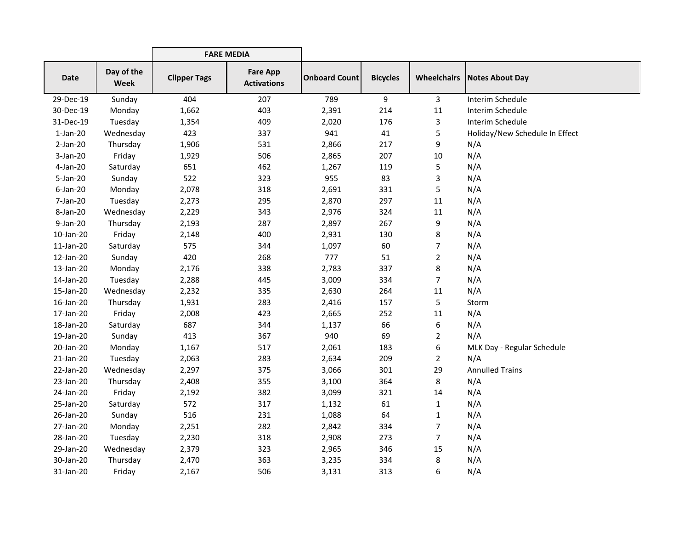|             |                           | <b>FARE MEDIA</b>   |                                       |                      |                 |                    |                                |
|-------------|---------------------------|---------------------|---------------------------------------|----------------------|-----------------|--------------------|--------------------------------|
| <b>Date</b> | Day of the<br><b>Week</b> | <b>Clipper Tags</b> | <b>Fare App</b><br><b>Activations</b> | <b>Onboard Count</b> | <b>Bicycles</b> | <b>Wheelchairs</b> | Notes About Day                |
| 29-Dec-19   | Sunday                    | 404                 | 207                                   | 789                  | 9               | $\mathbf{3}$       | Interim Schedule               |
| 30-Dec-19   | Monday                    | 1,662               | 403                                   | 2,391                | 214             | 11                 | Interim Schedule               |
| 31-Dec-19   | Tuesday                   | 1,354               | 409                                   | 2,020                | 176             | 3                  | Interim Schedule               |
| $1-Jan-20$  | Wednesday                 | 423                 | 337                                   | 941                  | 41              | 5                  | Holiday/New Schedule In Effect |
| $2-Jan-20$  | Thursday                  | 1,906               | 531                                   | 2,866                | 217             | 9                  | N/A                            |
| $3-Jan-20$  | Friday                    | 1,929               | 506                                   | 2,865                | 207             | 10                 | N/A                            |
| 4-Jan-20    | Saturday                  | 651                 | 462                                   | 1,267                | 119             | 5                  | N/A                            |
| 5-Jan-20    | Sunday                    | 522                 | 323                                   | 955                  | 83              | 3                  | N/A                            |
| $6$ -Jan-20 | Monday                    | 2,078               | 318                                   | 2,691                | 331             | 5                  | N/A                            |
| 7-Jan-20    | Tuesday                   | 2,273               | 295                                   | 2,870                | 297             | 11                 | N/A                            |
| 8-Jan-20    | Wednesday                 | 2,229               | 343                                   | 2,976                | 324             | 11                 | N/A                            |
| 9-Jan-20    | Thursday                  | 2,193               | 287                                   | 2,897                | 267             | 9                  | N/A                            |
| 10-Jan-20   | Friday                    | 2,148               | 400                                   | 2,931                | 130             | 8                  | N/A                            |
| 11-Jan-20   | Saturday                  | 575                 | 344                                   | 1,097                | 60              | 7                  | N/A                            |
| 12-Jan-20   | Sunday                    | 420                 | 268                                   | 777                  | 51              | 2                  | N/A                            |
| 13-Jan-20   | Monday                    | 2,176               | 338                                   | 2,783                | 337             | 8                  | N/A                            |
| 14-Jan-20   | Tuesday                   | 2,288               | 445                                   | 3,009                | 334             | $\overline{7}$     | N/A                            |
| 15-Jan-20   | Wednesday                 | 2,232               | 335                                   | 2,630                | 264             | 11                 | N/A                            |
| 16-Jan-20   | Thursday                  | 1,931               | 283                                   | 2,416                | 157             | 5                  | Storm                          |
| 17-Jan-20   | Friday                    | 2,008               | 423                                   | 2,665                | 252             | 11                 | N/A                            |
| 18-Jan-20   | Saturday                  | 687                 | 344                                   | 1,137                | 66              | 6                  | N/A                            |
| 19-Jan-20   | Sunday                    | 413                 | 367                                   | 940                  | 69              | $\overline{2}$     | N/A                            |
| 20-Jan-20   | Monday                    | 1,167               | 517                                   | 2,061                | 183             | 6                  | MLK Day - Regular Schedule     |
| 21-Jan-20   | Tuesday                   | 2,063               | 283                                   | 2,634                | 209             | $\overline{2}$     | N/A                            |
| 22-Jan-20   | Wednesday                 | 2,297               | 375                                   | 3,066                | 301             | 29                 | <b>Annulled Trains</b>         |
| 23-Jan-20   | Thursday                  | 2,408               | 355                                   | 3,100                | 364             | 8                  | N/A                            |
| 24-Jan-20   | Friday                    | 2,192               | 382                                   | 3,099                | 321             | 14                 | N/A                            |
| 25-Jan-20   | Saturday                  | 572                 | 317                                   | 1,132                | 61              | $\mathbf{1}$       | N/A                            |
| 26-Jan-20   | Sunday                    | 516                 | 231                                   | 1,088                | 64              | 1                  | N/A                            |
| 27-Jan-20   | Monday                    | 2,251               | 282                                   | 2,842                | 334             | 7                  | N/A                            |
| 28-Jan-20   | Tuesday                   | 2,230               | 318                                   | 2,908                | 273             | $\overline{7}$     | N/A                            |
| 29-Jan-20   | Wednesday                 | 2,379               | 323                                   | 2,965                | 346             | 15                 | N/A                            |
| 30-Jan-20   | Thursday                  | 2,470               | 363                                   | 3,235                | 334             | 8                  | N/A                            |
| 31-Jan-20   | Friday                    | 2,167               | 506                                   | 3,131                | 313             | 6                  | N/A                            |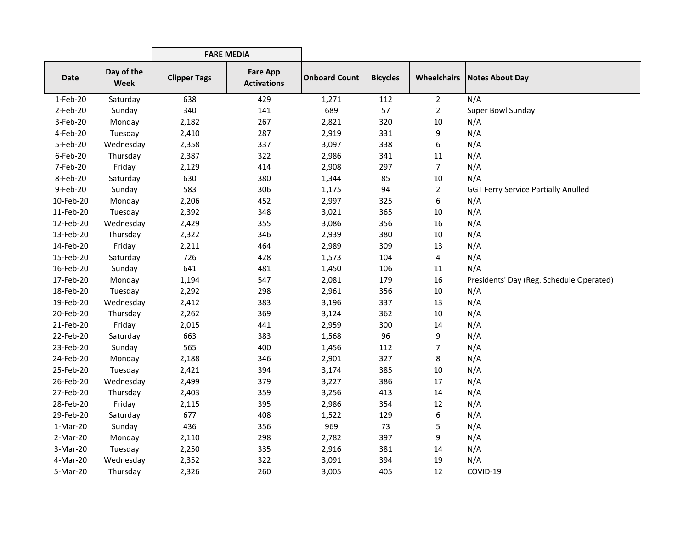|             |                           | <b>FARE MEDIA</b>   |                                       |                      |                 |                    |                                            |
|-------------|---------------------------|---------------------|---------------------------------------|----------------------|-----------------|--------------------|--------------------------------------------|
| <b>Date</b> | Day of the<br><b>Week</b> | <b>Clipper Tags</b> | <b>Fare App</b><br><b>Activations</b> | <b>Onboard Count</b> | <b>Bicycles</b> | <b>Wheelchairs</b> | <b>Notes About Day</b>                     |
| 1-Feb-20    | Saturday                  | 638                 | 429                                   | 1,271                | 112             | $\overline{2}$     | N/A                                        |
| 2-Feb-20    | Sunday                    | 340                 | 141                                   | 689                  | 57              | $\overline{2}$     | Super Bowl Sunday                          |
| 3-Feb-20    | Monday                    | 2,182               | 267                                   | 2,821                | 320             | 10                 | N/A                                        |
| 4-Feb-20    | Tuesday                   | 2,410               | 287                                   | 2,919                | 331             | 9                  | N/A                                        |
| 5-Feb-20    | Wednesday                 | 2,358               | 337                                   | 3,097                | 338             | 6                  | N/A                                        |
| 6-Feb-20    | Thursday                  | 2,387               | 322                                   | 2,986                | 341             | 11                 | N/A                                        |
| 7-Feb-20    | Friday                    | 2,129               | 414                                   | 2,908                | 297             | $\overline{7}$     | N/A                                        |
| 8-Feb-20    | Saturday                  | 630                 | 380                                   | 1,344                | 85              | 10                 | N/A                                        |
| 9-Feb-20    | Sunday                    | 583                 | 306                                   | 1,175                | 94              | $\overline{2}$     | <b>GGT Ferry Service Partially Anulled</b> |
| 10-Feb-20   | Monday                    | 2,206               | 452                                   | 2,997                | 325             | 6                  | N/A                                        |
| 11-Feb-20   | Tuesday                   | 2,392               | 348                                   | 3,021                | 365             | 10                 | N/A                                        |
| 12-Feb-20   | Wednesday                 | 2,429               | 355                                   | 3,086                | 356             | 16                 | N/A                                        |
| 13-Feb-20   | Thursday                  | 2,322               | 346                                   | 2,939                | 380             | 10                 | N/A                                        |
| 14-Feb-20   | Friday                    | 2,211               | 464                                   | 2,989                | 309             | 13                 | N/A                                        |
| 15-Feb-20   | Saturday                  | 726                 | 428                                   | 1,573                | 104             | 4                  | N/A                                        |
| 16-Feb-20   | Sunday                    | 641                 | 481                                   | 1,450                | 106             | 11                 | N/A                                        |
| 17-Feb-20   | Monday                    | 1,194               | 547                                   | 2,081                | 179             | 16                 | Presidents' Day (Reg. Schedule Operated)   |
| 18-Feb-20   | Tuesday                   | 2,292               | 298                                   | 2,961                | 356             | 10                 | N/A                                        |
| 19-Feb-20   | Wednesday                 | 2,412               | 383                                   | 3,196                | 337             | 13                 | N/A                                        |
| 20-Feb-20   | Thursday                  | 2,262               | 369                                   | 3,124                | 362             | 10                 | N/A                                        |
| 21-Feb-20   | Friday                    | 2,015               | 441                                   | 2,959                | 300             | 14                 | N/A                                        |
| 22-Feb-20   | Saturday                  | 663                 | 383                                   | 1,568                | 96              | 9                  | N/A                                        |
| 23-Feb-20   | Sunday                    | 565                 | 400                                   | 1,456                | 112             | 7                  | N/A                                        |
| 24-Feb-20   | Monday                    | 2,188               | 346                                   | 2,901                | 327             | 8                  | N/A                                        |
| 25-Feb-20   | Tuesday                   | 2,421               | 394                                   | 3,174                | 385             | 10                 | N/A                                        |
| 26-Feb-20   | Wednesday                 | 2,499               | 379                                   | 3,227                | 386             | 17                 | N/A                                        |
| 27-Feb-20   | Thursday                  | 2,403               | 359                                   | 3,256                | 413             | 14                 | N/A                                        |
| 28-Feb-20   | Friday                    | 2,115               | 395                                   | 2,986                | 354             | 12                 | N/A                                        |
| 29-Feb-20   | Saturday                  | 677                 | 408                                   | 1,522                | 129             | 6                  | N/A                                        |
| $1-Mar-20$  | Sunday                    | 436                 | 356                                   | 969                  | 73              | 5                  | N/A                                        |
| 2-Mar-20    | Monday                    | 2,110               | 298                                   | 2,782                | 397             | 9                  | N/A                                        |
| 3-Mar-20    | Tuesday                   | 2,250               | 335                                   | 2,916                | 381             | 14                 | N/A                                        |
| 4-Mar-20    | Wednesday                 | 2,352               | 322                                   | 3,091                | 394             | 19                 | N/A                                        |
| 5-Mar-20    | Thursday                  | 2,326               | 260                                   | 3,005                | 405             | 12                 | COVID-19                                   |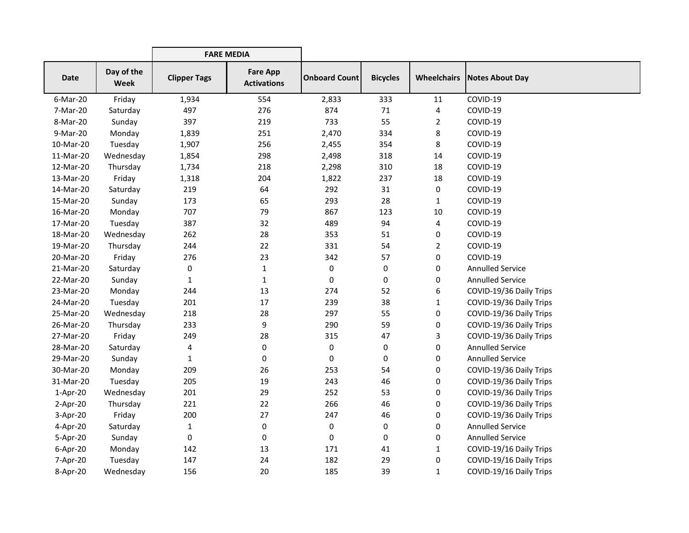|            |                           | <b>FARE MEDIA</b>   |                                       |                      |                 |                    |                         |
|------------|---------------------------|---------------------|---------------------------------------|----------------------|-----------------|--------------------|-------------------------|
| Date       | Day of the<br><b>Week</b> | <b>Clipper Tags</b> | <b>Fare App</b><br><b>Activations</b> | <b>Onboard Count</b> | <b>Bicycles</b> | <b>Wheelchairs</b> | Notes About Day         |
| 6-Mar-20   | Friday                    | 1,934               | 554                                   | 2,833                | 333             | 11                 | COVID-19                |
| 7-Mar-20   | Saturday                  | 497                 | 276                                   | 874                  | 71              | 4                  | COVID-19                |
| 8-Mar-20   | Sunday                    | 397                 | 219                                   | 733                  | 55              | $\overline{2}$     | COVID-19                |
| 9-Mar-20   | Monday                    | 1,839               | 251                                   | 2,470                | 334             | 8                  | COVID-19                |
| 10-Mar-20  | Tuesday                   | 1,907               | 256                                   | 2,455                | 354             | 8                  | COVID-19                |
| 11-Mar-20  | Wednesday                 | 1,854               | 298                                   | 2,498                | 318             | 14                 | COVID-19                |
| 12-Mar-20  | Thursday                  | 1,734               | 218                                   | 2,298                | 310             | 18                 | COVID-19                |
| 13-Mar-20  | Friday                    | 1,318               | 204                                   | 1,822                | 237             | 18                 | COVID-19                |
| 14-Mar-20  | Saturday                  | 219                 | 64                                    | 292                  | 31              | 0                  | COVID-19                |
| 15-Mar-20  | Sunday                    | 173                 | 65                                    | 293                  | 28              | 1                  | COVID-19                |
| 16-Mar-20  | Monday                    | 707                 | 79                                    | 867                  | 123             | 10                 | COVID-19                |
| 17-Mar-20  | Tuesday                   | 387                 | 32                                    | 489                  | 94              | 4                  | COVID-19                |
| 18-Mar-20  | Wednesday                 | 262                 | 28                                    | 353                  | 51              | 0                  | COVID-19                |
| 19-Mar-20  | Thursday                  | 244                 | 22                                    | 331                  | 54              | $\overline{2}$     | COVID-19                |
| 20-Mar-20  | Friday                    | 276                 | 23                                    | 342                  | 57              | 0                  | COVID-19                |
| 21-Mar-20  | Saturday                  | 0                   | $\mathbf{1}$                          | 0                    | 0               | 0                  | <b>Annulled Service</b> |
| 22-Mar-20  | Sunday                    | 1                   | $\mathbf{1}$                          | 0                    | 0               | 0                  | <b>Annulled Service</b> |
| 23-Mar-20  | Monday                    | 244                 | 13                                    | 274                  | 52              | 6                  | COVID-19/36 Daily Trips |
| 24-Mar-20  | Tuesday                   | 201                 | 17                                    | 239                  | 38              | 1                  | COVID-19/36 Daily Trips |
| 25-Mar-20  | Wednesday                 | 218                 | 28                                    | 297                  | 55              | 0                  | COVID-19/36 Daily Trips |
| 26-Mar-20  | Thursday                  | 233                 | 9                                     | 290                  | 59              | 0                  | COVID-19/36 Daily Trips |
| 27-Mar-20  | Friday                    | 249                 | 28                                    | 315                  | 47              | 3                  | COVID-19/36 Daily Trips |
| 28-Mar-20  | Saturday                  | 4                   | $\pmb{0}$                             | 0                    | 0               | 0                  | <b>Annulled Service</b> |
| 29-Mar-20  | Sunday                    | $\mathbf{1}$        | 0                                     | 0                    | 0               | 0                  | <b>Annulled Service</b> |
| 30-Mar-20  | Monday                    | 209                 | 26                                    | 253                  | 54              | 0                  | COVID-19/36 Daily Trips |
| 31-Mar-20  | Tuesday                   | 205                 | 19                                    | 243                  | 46              | 0                  | COVID-19/36 Daily Trips |
| $1-Apr-20$ | Wednesday                 | 201                 | 29                                    | 252                  | 53              | 0                  | COVID-19/36 Daily Trips |
| $2-Apr-20$ | Thursday                  | 221                 | 22                                    | 266                  | 46              | 0                  | COVID-19/36 Daily Trips |
| 3-Apr-20   | Friday                    | 200                 | 27                                    | 247                  | 46              | 0                  | COVID-19/36 Daily Trips |
| 4-Apr-20   | Saturday                  | $\mathbf{1}$        | 0                                     | 0                    | 0               | 0                  | <b>Annulled Service</b> |
| 5-Apr-20   | Sunday                    | 0                   | 0                                     | 0                    | 0               | 0                  | <b>Annulled Service</b> |
| 6-Apr-20   | Monday                    | 142                 | 13                                    | 171                  | 41              | 1                  | COVID-19/16 Daily Trips |
| 7-Apr-20   | Tuesday                   | 147                 | 24                                    | 182                  | 29              | 0                  | COVID-19/16 Daily Trips |
| 8-Apr-20   | Wednesday                 | 156                 | 20                                    | 185                  | 39              | 1                  | COVID-19/16 Daily Trips |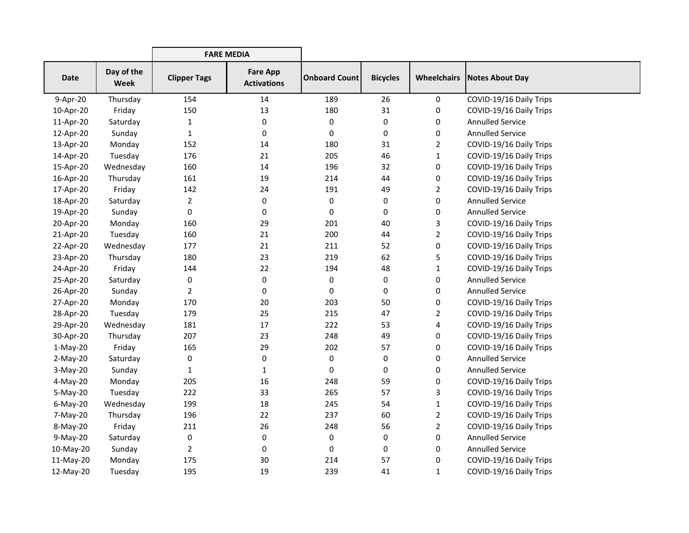|             |                           | <b>FARE MEDIA</b>   |                                       |                      |                 |                |                         |
|-------------|---------------------------|---------------------|---------------------------------------|----------------------|-----------------|----------------|-------------------------|
| Date        | Day of the<br><b>Week</b> | <b>Clipper Tags</b> | <b>Fare App</b><br><b>Activations</b> | <b>Onboard Count</b> | <b>Bicycles</b> | Wheelchairs    | Notes About Day         |
| 9-Apr-20    | Thursday                  | 154                 | 14                                    | 189                  | 26              | $\mathbf 0$    | COVID-19/16 Daily Trips |
| 10-Apr-20   | Friday                    | 150                 | 13                                    | 180                  | 31              | 0              | COVID-19/16 Daily Trips |
| 11-Apr-20   | Saturday                  | $\mathbf{1}$        | $\pmb{0}$                             | 0                    | 0               | 0              | <b>Annulled Service</b> |
| 12-Apr-20   | Sunday                    | 1                   | 0                                     | 0                    | 0               | 0              | <b>Annulled Service</b> |
| 13-Apr-20   | Monday                    | 152                 | 14                                    | 180                  | 31              | 2              | COVID-19/16 Daily Trips |
| 14-Apr-20   | Tuesday                   | 176                 | 21                                    | 205                  | 46              | 1              | COVID-19/16 Daily Trips |
| 15-Apr-20   | Wednesday                 | 160                 | 14                                    | 196                  | 32              | 0              | COVID-19/16 Daily Trips |
| 16-Apr-20   | Thursday                  | 161                 | 19                                    | 214                  | 44              | 0              | COVID-19/16 Daily Trips |
| 17-Apr-20   | Friday                    | 142                 | 24                                    | 191                  | 49              | $\overline{2}$ | COVID-19/16 Daily Trips |
| 18-Apr-20   | Saturday                  | $\overline{a}$      | $\mathbf 0$                           | 0                    | 0               | 0              | <b>Annulled Service</b> |
| 19-Apr-20   | Sunday                    | 0                   | $\mathbf 0$                           | 0                    | 0               | 0              | <b>Annulled Service</b> |
| 20-Apr-20   | Monday                    | 160                 | 29                                    | 201                  | 40              | 3              | COVID-19/16 Daily Trips |
| 21-Apr-20   | Tuesday                   | 160                 | 21                                    | 200                  | 44              | $\overline{2}$ | COVID-19/16 Daily Trips |
| 22-Apr-20   | Wednesday                 | 177                 | 21                                    | 211                  | 52              | 0              | COVID-19/16 Daily Trips |
| 23-Apr-20   | Thursday                  | 180                 | 23                                    | 219                  | 62              | 5              | COVID-19/16 Daily Trips |
| 24-Apr-20   | Friday                    | 144                 | 22                                    | 194                  | 48              | 1              | COVID-19/16 Daily Trips |
| 25-Apr-20   | Saturday                  | 0                   | $\mathbf 0$                           | 0                    | 0               | 0              | <b>Annulled Service</b> |
| 26-Apr-20   | Sunday                    | $\overline{2}$      | $\mathbf 0$                           | 0                    | 0               | 0              | <b>Annulled Service</b> |
| 27-Apr-20   | Monday                    | 170                 | 20                                    | 203                  | 50              | 0              | COVID-19/16 Daily Trips |
| 28-Apr-20   | Tuesday                   | 179                 | 25                                    | 215                  | 47              | 2              | COVID-19/16 Daily Trips |
| 29-Apr-20   | Wednesday                 | 181                 | 17                                    | 222                  | 53              | 4              | COVID-19/16 Daily Trips |
| 30-Apr-20   | Thursday                  | 207                 | 23                                    | 248                  | 49              | 0              | COVID-19/16 Daily Trips |
| $1-May-20$  | Friday                    | 165                 | 29                                    | 202                  | 57              | 0              | COVID-19/16 Daily Trips |
| $2-May-20$  | Saturday                  | 0                   | $\mathbf 0$                           | 0                    | 0               | 0              | <b>Annulled Service</b> |
| $3-May-20$  | Sunday                    | 1                   | 1                                     | 0                    | 0               | 0              | <b>Annulled Service</b> |
| 4-May-20    | Monday                    | 205                 | 16                                    | 248                  | 59              | 0              | COVID-19/16 Daily Trips |
| $5-May-20$  | Tuesday                   | 222                 | 33                                    | 265                  | 57              | 3              | COVID-19/16 Daily Trips |
| $6$ -May-20 | Wednesday                 | 199                 | 18                                    | 245                  | 54              | $\mathbf{1}$   | COVID-19/16 Daily Trips |
| 7-May-20    | Thursday                  | 196                 | 22                                    | 237                  | 60              | 2              | COVID-19/16 Daily Trips |
| 8-May-20    | Friday                    | 211                 | 26                                    | 248                  | 56              | $\overline{2}$ | COVID-19/16 Daily Trips |
| 9-May-20    | Saturday                  | 0                   | 0                                     | 0                    | 0               | 0              | <b>Annulled Service</b> |
| 10-May-20   | Sunday                    | $\overline{2}$      | 0                                     | 0                    | 0               | 0              | <b>Annulled Service</b> |
| 11-May-20   | Monday                    | 175                 | 30                                    | 214                  | 57              | 0              | COVID-19/16 Daily Trips |
| 12-May-20   | Tuesday                   | 195                 | 19                                    | 239                  | 41              | 1              | COVID-19/16 Daily Trips |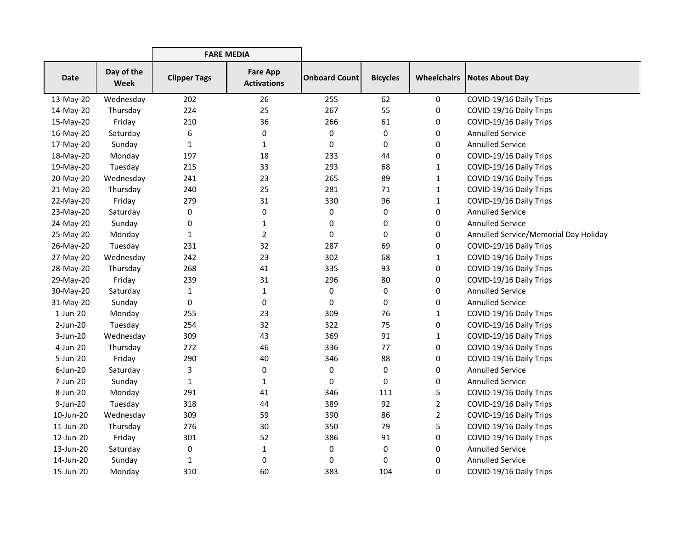|             |                           | <b>FARE MEDIA</b>   |                                       |                      |                 |                    |                                       |
|-------------|---------------------------|---------------------|---------------------------------------|----------------------|-----------------|--------------------|---------------------------------------|
| <b>Date</b> | Day of the<br><b>Week</b> | <b>Clipper Tags</b> | <b>Fare App</b><br><b>Activations</b> | <b>Onboard Count</b> | <b>Bicycles</b> | <b>Wheelchairs</b> | <b>Notes About Day</b>                |
| 13-May-20   | Wednesday                 | 202                 | 26                                    | 255                  | 62              | 0                  | COVID-19/16 Daily Trips               |
| 14-May-20   | Thursday                  | 224                 | 25                                    | 267                  | 55              | 0                  | COVID-19/16 Daily Trips               |
| 15-May-20   | Friday                    | 210                 | 36                                    | 266                  | 61              | 0                  | COVID-19/16 Daily Trips               |
| 16-May-20   | Saturday                  | 6                   | 0                                     | 0                    | 0               | 0                  | <b>Annulled Service</b>               |
| 17-May-20   | Sunday                    | 1                   | 1                                     | $\pmb{0}$            | 0               | 0                  | <b>Annulled Service</b>               |
| 18-May-20   | Monday                    | 197                 | 18                                    | 233                  | 44              | 0                  | COVID-19/16 Daily Trips               |
| 19-May-20   | Tuesday                   | 215                 | 33                                    | 293                  | 68              | 1                  | COVID-19/16 Daily Trips               |
| 20-May-20   | Wednesday                 | 241                 | 23                                    | 265                  | 89              | 1                  | COVID-19/16 Daily Trips               |
| 21-May-20   | Thursday                  | 240                 | 25                                    | 281                  | 71              | 1                  | COVID-19/16 Daily Trips               |
| 22-May-20   | Friday                    | 279                 | 31                                    | 330                  | 96              | 1                  | COVID-19/16 Daily Trips               |
| 23-May-20   | Saturday                  | 0                   | 0                                     | 0                    | 0               | 0                  | <b>Annulled Service</b>               |
| 24-May-20   | Sunday                    | 0                   | 1                                     | 0                    | 0               | 0                  | <b>Annulled Service</b>               |
| 25-May-20   | Monday                    | $\mathbf{1}$        | $\overline{2}$                        | $\mathbf 0$          | 0               | 0                  | Annulled Service/Memorial Day Holiday |
| 26-May-20   | Tuesday                   | 231                 | 32                                    | 287                  | 69              | 0                  | COVID-19/16 Daily Trips               |
| 27-May-20   | Wednesday                 | 242                 | 23                                    | 302                  | 68              | 1                  | COVID-19/16 Daily Trips               |
| 28-May-20   | Thursday                  | 268                 | 41                                    | 335                  | 93              | 0                  | COVID-19/16 Daily Trips               |
| 29-May-20   | Friday                    | 239                 | 31                                    | 296                  | 80              | 0                  | COVID-19/16 Daily Trips               |
| 30-May-20   | Saturday                  | $\mathbf{1}$        | 1                                     | $\mathbf 0$          | 0               | 0                  | <b>Annulled Service</b>               |
| 31-May-20   | Sunday                    | 0                   | 0                                     | 0                    | 0               | 0                  | <b>Annulled Service</b>               |
| $1$ -Jun-20 | Monday                    | 255                 | 23                                    | 309                  | 76              | 1                  | COVID-19/16 Daily Trips               |
| $2-Jun-20$  | Tuesday                   | 254                 | 32                                    | 322                  | 75              | 0                  | COVID-19/16 Daily Trips               |
| 3-Jun-20    | Wednesday                 | 309                 | 43                                    | 369                  | 91              | $\mathbf{1}$       | COVID-19/16 Daily Trips               |
| 4-Jun-20    | Thursday                  | 272                 | 46                                    | 336                  | 77              | 0                  | COVID-19/16 Daily Trips               |
| 5-Jun-20    | Friday                    | 290                 | 40                                    | 346                  | 88              | 0                  | COVID-19/16 Daily Trips               |
| 6-Jun-20    | Saturday                  | 3                   | $\mathbf 0$                           | 0                    | 0               | 0                  | <b>Annulled Service</b>               |
| 7-Jun-20    | Sunday                    | 1                   | 1                                     | 0                    | 0               | 0                  | <b>Annulled Service</b>               |
| 8-Jun-20    | Monday                    | 291                 | 41                                    | 346                  | 111             | 5                  | COVID-19/16 Daily Trips               |
| 9-Jun-20    | Tuesday                   | 318                 | 44                                    | 389                  | 92              | $\overline{2}$     | COVID-19/16 Daily Trips               |
| 10-Jun-20   | Wednesday                 | 309                 | 59                                    | 390                  | 86              | $\overline{2}$     | COVID-19/16 Daily Trips               |
| 11-Jun-20   | Thursday                  | 276                 | 30                                    | 350                  | 79              | 5                  | COVID-19/16 Daily Trips               |
| 12-Jun-20   | Friday                    | 301                 | 52                                    | 386                  | 91              | 0                  | COVID-19/16 Daily Trips               |
| 13-Jun-20   | Saturday                  | 0                   | $\mathbf{1}$                          | 0                    | 0               | 0                  | <b>Annulled Service</b>               |
| 14-Jun-20   | Sunday                    | $\mathbf{1}$        | 0                                     | 0                    | 0               | 0                  | <b>Annulled Service</b>               |
| 15-Jun-20   | Monday                    | 310                 | 60                                    | 383                  | 104             | 0                  | COVID-19/16 Daily Trips               |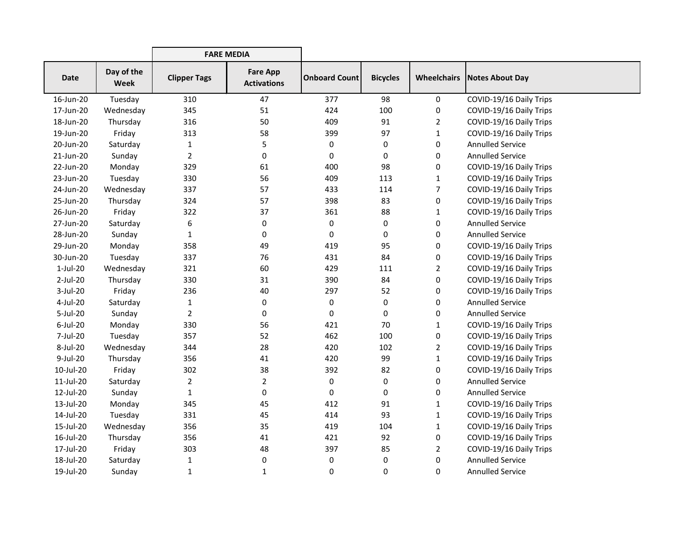|             |                    | <b>FARE MEDIA</b>   |                                       |                      |                 |                |                                      |
|-------------|--------------------|---------------------|---------------------------------------|----------------------|-----------------|----------------|--------------------------------------|
| Date        | Day of the<br>Week | <b>Clipper Tags</b> | <b>Fare App</b><br><b>Activations</b> | <b>Onboard Count</b> | <b>Bicycles</b> |                | <b>Wheelchairs   Notes About Day</b> |
| 16-Jun-20   | Tuesday            | 310                 | 47                                    | 377                  | 98              | 0              | COVID-19/16 Daily Trips              |
| 17-Jun-20   | Wednesday          | 345                 | 51                                    | 424                  | 100             | 0              | COVID-19/16 Daily Trips              |
| 18-Jun-20   | Thursday           | 316                 | 50                                    | 409                  | 91              | $\overline{2}$ | COVID-19/16 Daily Trips              |
| 19-Jun-20   | Friday             | 313                 | 58                                    | 399                  | 97              | $\mathbf{1}$   | COVID-19/16 Daily Trips              |
| 20-Jun-20   | Saturday           | $\mathbf{1}$        | 5                                     | 0                    | 0               | 0              | <b>Annulled Service</b>              |
| 21-Jun-20   | Sunday             | $\overline{2}$      | 0                                     | 0                    | 0               | 0              | <b>Annulled Service</b>              |
| 22-Jun-20   | Monday             | 329                 | 61                                    | 400                  | 98              | 0              | COVID-19/16 Daily Trips              |
| 23-Jun-20   | Tuesday            | 330                 | 56                                    | 409                  | 113             | 1              | COVID-19/16 Daily Trips              |
| 24-Jun-20   | Wednesday          | 337                 | 57                                    | 433                  | 114             | 7              | COVID-19/16 Daily Trips              |
| 25-Jun-20   | Thursday           | 324                 | 57                                    | 398                  | 83              | 0              | COVID-19/16 Daily Trips              |
| 26-Jun-20   | Friday             | 322                 | 37                                    | 361                  | 88              | 1              | COVID-19/16 Daily Trips              |
| 27-Jun-20   | Saturday           | 6                   | 0                                     | 0                    | 0               | 0              | <b>Annulled Service</b>              |
| 28-Jun-20   | Sunday             | 1                   | 0                                     | 0                    | 0               | 0              | <b>Annulled Service</b>              |
| 29-Jun-20   | Monday             | 358                 | 49                                    | 419                  | 95              | 0              | COVID-19/16 Daily Trips              |
| 30-Jun-20   | Tuesday            | 337                 | 76                                    | 431                  | 84              | 0              | COVID-19/16 Daily Trips              |
| $1-Jul-20$  | Wednesday          | 321                 | 60                                    | 429                  | 111             | $\overline{2}$ | COVID-19/16 Daily Trips              |
| 2-Jul-20    | Thursday           | 330                 | 31                                    | 390                  | 84              | 0              | COVID-19/16 Daily Trips              |
| 3-Jul-20    | Friday             | 236                 | 40                                    | 297                  | 52              | 0              | COVID-19/16 Daily Trips              |
| 4-Jul-20    | Saturday           | $\mathbf{1}$        | 0                                     | 0                    | 0               | 0              | <b>Annulled Service</b>              |
| 5-Jul-20    | Sunday             | $\overline{2}$      | 0                                     | 0                    | 0               | 0              | <b>Annulled Service</b>              |
| $6$ -Jul-20 | Monday             | 330                 | 56                                    | 421                  | 70              | 1              | COVID-19/16 Daily Trips              |
| 7-Jul-20    | Tuesday            | 357                 | 52                                    | 462                  | 100             | 0              | COVID-19/16 Daily Trips              |
| 8-Jul-20    | Wednesday          | 344                 | 28                                    | 420                  | 102             | 2              | COVID-19/16 Daily Trips              |
| 9-Jul-20    | Thursday           | 356                 | 41                                    | 420                  | 99              | $\mathbf{1}$   | COVID-19/16 Daily Trips              |
| 10-Jul-20   | Friday             | 302                 | 38                                    | 392                  | 82              | 0              | COVID-19/16 Daily Trips              |
| 11-Jul-20   | Saturday           | 2                   | $\overline{2}$                        | 0                    | 0               | 0              | <b>Annulled Service</b>              |
| 12-Jul-20   | Sunday             | 1                   | 0                                     | 0                    | 0               | 0              | <b>Annulled Service</b>              |
| 13-Jul-20   | Monday             | 345                 | 45                                    | 412                  | 91              | $\mathbf{1}$   | COVID-19/16 Daily Trips              |
| 14-Jul-20   | Tuesday            | 331                 | 45                                    | 414                  | 93              | $\mathbf{1}$   | COVID-19/16 Daily Trips              |
| 15-Jul-20   | Wednesday          | 356                 | 35                                    | 419                  | 104             | $\mathbf{1}$   | COVID-19/16 Daily Trips              |
| 16-Jul-20   | Thursday           | 356                 | 41                                    | 421                  | 92              | 0              | COVID-19/16 Daily Trips              |
| 17-Jul-20   | Friday             | 303                 | 48                                    | 397                  | 85              | $\overline{2}$ | COVID-19/16 Daily Trips              |
| 18-Jul-20   | Saturday           | 1                   | 0                                     | 0                    | 0               | 0              | <b>Annulled Service</b>              |
| 19-Jul-20   | Sunday             | $\mathbf{1}$        | $\mathbf{1}$                          | 0                    | 0               | 0              | <b>Annulled Service</b>              |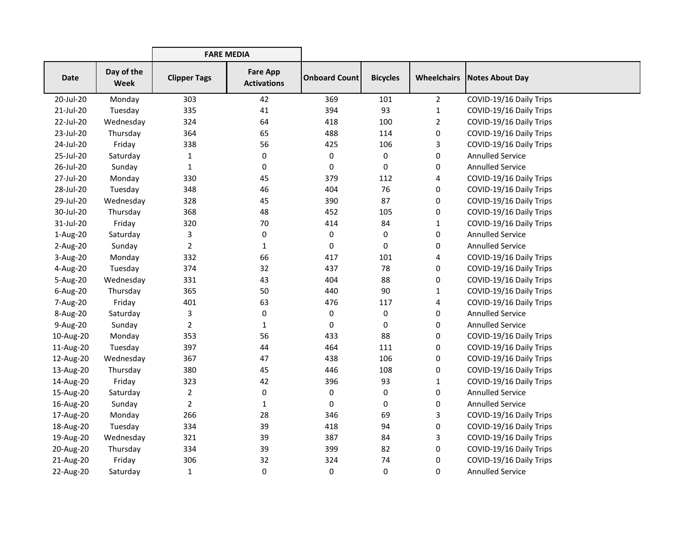|             |                    | <b>FARE MEDIA</b>   |                                       |                      |                 |                |                                      |
|-------------|--------------------|---------------------|---------------------------------------|----------------------|-----------------|----------------|--------------------------------------|
| <b>Date</b> | Day of the<br>Week | <b>Clipper Tags</b> | <b>Fare App</b><br><b>Activations</b> | <b>Onboard Count</b> | <b>Bicycles</b> |                | <b>Wheelchairs   Notes About Day</b> |
| 20-Jul-20   | Monday             | 303                 | 42                                    | 369                  | 101             | $\overline{2}$ | COVID-19/16 Daily Trips              |
| 21-Jul-20   | Tuesday            | 335                 | 41                                    | 394                  | 93              | $\mathbf{1}$   | COVID-19/16 Daily Trips              |
| 22-Jul-20   | Wednesday          | 324                 | 64                                    | 418                  | 100             | $\overline{2}$ | COVID-19/16 Daily Trips              |
| 23-Jul-20   | Thursday           | 364                 | 65                                    | 488                  | 114             | 0              | COVID-19/16 Daily Trips              |
| 24-Jul-20   | Friday             | 338                 | 56                                    | 425                  | 106             | 3              | COVID-19/16 Daily Trips              |
| 25-Jul-20   | Saturday           | $\mathbf{1}$        | 0                                     | 0                    | 0               | 0              | <b>Annulled Service</b>              |
| 26-Jul-20   | Sunday             | $\mathbf{1}$        | 0                                     | 0                    | 0               | 0              | <b>Annulled Service</b>              |
| 27-Jul-20   | Monday             | 330                 | 45                                    | 379                  | 112             | 4              | COVID-19/16 Daily Trips              |
| 28-Jul-20   | Tuesday            | 348                 | 46                                    | 404                  | 76              | 0              | COVID-19/16 Daily Trips              |
| 29-Jul-20   | Wednesday          | 328                 | 45                                    | 390                  | 87              | 0              | COVID-19/16 Daily Trips              |
| 30-Jul-20   | Thursday           | 368                 | 48                                    | 452                  | 105             | 0              | COVID-19/16 Daily Trips              |
| 31-Jul-20   | Friday             | 320                 | 70                                    | 414                  | 84              | 1              | COVID-19/16 Daily Trips              |
| 1-Aug-20    | Saturday           | 3                   | 0                                     | 0                    | 0               | 0              | <b>Annulled Service</b>              |
| 2-Aug-20    | Sunday             | $\overline{2}$      | 1                                     | 0                    | 0               | 0              | <b>Annulled Service</b>              |
| 3-Aug-20    | Monday             | 332                 | 66                                    | 417                  | 101             | 4              | COVID-19/16 Daily Trips              |
| 4-Aug-20    | Tuesday            | 374                 | 32                                    | 437                  | 78              | 0              | COVID-19/16 Daily Trips              |
| 5-Aug-20    | Wednesday          | 331                 | 43                                    | 404                  | 88              | 0              | COVID-19/16 Daily Trips              |
| 6-Aug-20    | Thursday           | 365                 | 50                                    | 440                  | 90              | 1              | COVID-19/16 Daily Trips              |
| 7-Aug-20    | Friday             | 401                 | 63                                    | 476                  | 117             | 4              | COVID-19/16 Daily Trips              |
| 8-Aug-20    | Saturday           | 3                   | 0                                     | 0                    | 0               | 0              | <b>Annulled Service</b>              |
| 9-Aug-20    | Sunday             | $\overline{2}$      | 1                                     | 0                    | 0               | 0              | <b>Annulled Service</b>              |
| 10-Aug-20   | Monday             | 353                 | 56                                    | 433                  | 88              | 0              | COVID-19/16 Daily Trips              |
| 11-Aug-20   | Tuesday            | 397                 | 44                                    | 464                  | 111             | 0              | COVID-19/16 Daily Trips              |
| 12-Aug-20   | Wednesday          | 367                 | 47                                    | 438                  | 106             | 0              | COVID-19/16 Daily Trips              |
| 13-Aug-20   | Thursday           | 380                 | 45                                    | 446                  | 108             | 0              | COVID-19/16 Daily Trips              |
| 14-Aug-20   | Friday             | 323                 | 42                                    | 396                  | 93              | 1              | COVID-19/16 Daily Trips              |
| 15-Aug-20   | Saturday           | $\overline{2}$      | 0                                     | 0                    | 0               | 0              | <b>Annulled Service</b>              |
| 16-Aug-20   | Sunday             | $\overline{2}$      | 1                                     | 0                    | 0               | 0              | <b>Annulled Service</b>              |
| 17-Aug-20   | Monday             | 266                 | 28                                    | 346                  | 69              | 3              | COVID-19/16 Daily Trips              |
| 18-Aug-20   | Tuesday            | 334                 | 39                                    | 418                  | 94              | 0              | COVID-19/16 Daily Trips              |
| 19-Aug-20   | Wednesday          | 321                 | 39                                    | 387                  | 84              | 3              | COVID-19/16 Daily Trips              |
| 20-Aug-20   | Thursday           | 334                 | 39                                    | 399                  | 82              | 0              | COVID-19/16 Daily Trips              |
| 21-Aug-20   | Friday             | 306                 | 32                                    | 324                  | 74              | 0              | COVID-19/16 Daily Trips              |
| 22-Aug-20   | Saturday           | $\mathbf{1}$        | 0                                     | 0                    | 0               | 0              | <b>Annulled Service</b>              |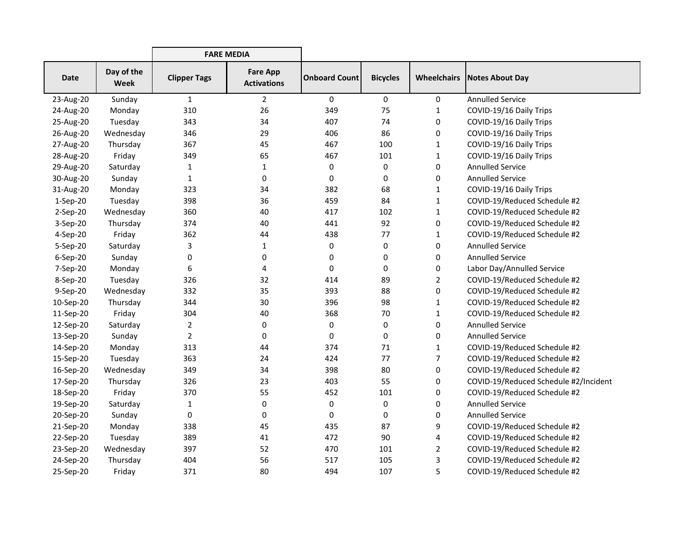|             |                           | <b>FARE MEDIA</b>   |                                       |                      |                 |                    |                                       |
|-------------|---------------------------|---------------------|---------------------------------------|----------------------|-----------------|--------------------|---------------------------------------|
| <b>Date</b> | Day of the<br><b>Week</b> | <b>Clipper Tags</b> | <b>Fare App</b><br><b>Activations</b> | <b>Onboard Count</b> | <b>Bicycles</b> | <b>Wheelchairs</b> | Notes About Day                       |
| 23-Aug-20   | Sunday                    | $\mathbf{1}$        | $\overline{2}$                        | $\mathbf 0$          | $\mathbf 0$     | 0                  | <b>Annulled Service</b>               |
| 24-Aug-20   | Monday                    | 310                 | 26                                    | 349                  | 75              | 1                  | COVID-19/16 Daily Trips               |
| 25-Aug-20   | Tuesday                   | 343                 | 34                                    | 407                  | 74              | 0                  | COVID-19/16 Daily Trips               |
| 26-Aug-20   | Wednesday                 | 346                 | 29                                    | 406                  | 86              | 0                  | COVID-19/16 Daily Trips               |
| 27-Aug-20   | Thursday                  | 367                 | 45                                    | 467                  | 100             | 1                  | COVID-19/16 Daily Trips               |
| 28-Aug-20   | Friday                    | 349                 | 65                                    | 467                  | 101             | $\mathbf{1}$       | COVID-19/16 Daily Trips               |
| 29-Aug-20   | Saturday                  | $\mathbf{1}$        | $\mathbf{1}$                          | 0                    | 0               | 0                  | <b>Annulled Service</b>               |
| 30-Aug-20   | Sunday                    | $\mathbf{1}$        | 0                                     | 0                    | 0               | 0                  | <b>Annulled Service</b>               |
| 31-Aug-20   | Monday                    | 323                 | 34                                    | 382                  | 68              | $\mathbf{1}$       | COVID-19/16 Daily Trips               |
| 1-Sep-20    | Tuesday                   | 398                 | 36                                    | 459                  | 84              | $\mathbf{1}$       | COVID-19/Reduced Schedule #2          |
| 2-Sep-20    | Wednesday                 | 360                 | 40                                    | 417                  | 102             | 1                  | COVID-19/Reduced Schedule #2          |
| $3-Sep-20$  | Thursday                  | 374                 | 40                                    | 441                  | 92              | 0                  | COVID-19/Reduced Schedule #2          |
| 4-Sep-20    | Friday                    | 362                 | 44                                    | 438                  | 77              | 1                  | COVID-19/Reduced Schedule #2          |
| 5-Sep-20    | Saturday                  | 3                   | $\mathbf{1}$                          | 0                    | 0               | 0                  | <b>Annulled Service</b>               |
| 6-Sep-20    | Sunday                    | 0                   | 0                                     | 0                    | 0               | 0                  | <b>Annulled Service</b>               |
| 7-Sep-20    | Monday                    | 6                   | 4                                     | 0                    | 0               | 0                  | Labor Day/Annulled Service            |
| 8-Sep-20    | Tuesday                   | 326                 | 32                                    | 414                  | 89              | $\overline{2}$     | COVID-19/Reduced Schedule #2          |
| 9-Sep-20    | Wednesday                 | 332                 | 35                                    | 393                  | 88              | 0                  | COVID-19/Reduced Schedule #2          |
| 10-Sep-20   | Thursday                  | 344                 | 30                                    | 396                  | 98              | $\mathbf{1}$       | COVID-19/Reduced Schedule #2          |
| 11-Sep-20   | Friday                    | 304                 | 40                                    | 368                  | 70              | $\mathbf{1}$       | COVID-19/Reduced Schedule #2          |
| 12-Sep-20   | Saturday                  | $\overline{2}$      | 0                                     | 0                    | 0               | 0                  | <b>Annulled Service</b>               |
| 13-Sep-20   | Sunday                    | $\overline{2}$      | 0                                     | 0                    | 0               | 0                  | <b>Annulled Service</b>               |
| 14-Sep-20   | Monday                    | 313                 | 44                                    | 374                  | 71              | 1                  | COVID-19/Reduced Schedule #2          |
| 15-Sep-20   | Tuesday                   | 363                 | 24                                    | 424                  | 77              | $\overline{7}$     | COVID-19/Reduced Schedule #2          |
| 16-Sep-20   | Wednesday                 | 349                 | 34                                    | 398                  | 80              | 0                  | COVID-19/Reduced Schedule #2          |
| 17-Sep-20   | Thursday                  | 326                 | 23                                    | 403                  | 55              | 0                  | COVID-19/Reduced Schedule #2/Incident |
| 18-Sep-20   | Friday                    | 370                 | 55                                    | 452                  | 101             | 0                  | COVID-19/Reduced Schedule #2          |
| 19-Sep-20   | Saturday                  | $\mathbf{1}$        | 0                                     | 0                    | 0               | 0                  | <b>Annulled Service</b>               |
| 20-Sep-20   | Sunday                    | 0                   | $\mathbf 0$                           | $\pmb{0}$            | 0               | 0                  | <b>Annulled Service</b>               |
| 21-Sep-20   | Monday                    | 338                 | 45                                    | 435                  | 87              | 9                  | COVID-19/Reduced Schedule #2          |
| 22-Sep-20   | Tuesday                   | 389                 | 41                                    | 472                  | 90              | 4                  | COVID-19/Reduced Schedule #2          |
| 23-Sep-20   | Wednesday                 | 397                 | 52                                    | 470                  | 101             | $\overline{2}$     | COVID-19/Reduced Schedule #2          |
| 24-Sep-20   | Thursday                  | 404                 | 56                                    | 517                  | 105             | 3                  | COVID-19/Reduced Schedule #2          |
| 25-Sep-20   | Friday                    | 371                 | 80                                    | 494                  | 107             | 5                  | COVID-19/Reduced Schedule #2          |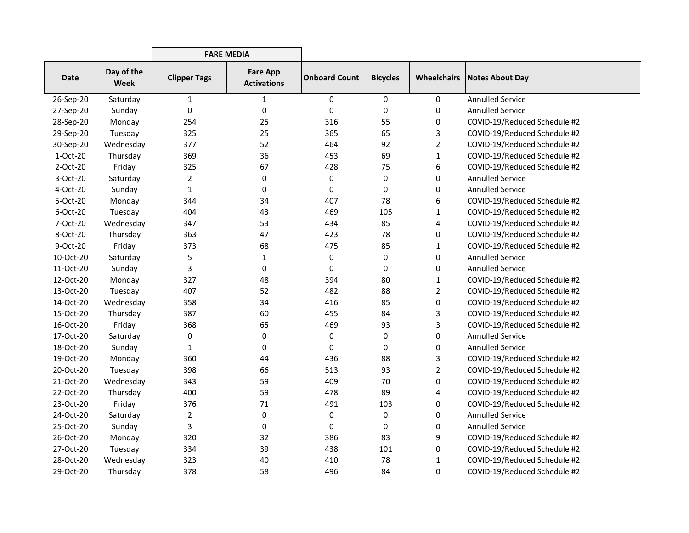|             |                           | <b>FARE MEDIA</b>   |                                       |                      |                 |                    |                              |
|-------------|---------------------------|---------------------|---------------------------------------|----------------------|-----------------|--------------------|------------------------------|
| <b>Date</b> | Day of the<br><b>Week</b> | <b>Clipper Tags</b> | <b>Fare App</b><br><b>Activations</b> | <b>Onboard Count</b> | <b>Bicycles</b> | <b>Wheelchairs</b> | <b>Notes About Day</b>       |
| 26-Sep-20   | Saturday                  | $\mathbf{1}$        | 1                                     | 0                    | 0               | 0                  | <b>Annulled Service</b>      |
| 27-Sep-20   | Sunday                    | 0                   | 0                                     | $\pmb{0}$            | 0               | 0                  | <b>Annulled Service</b>      |
| 28-Sep-20   | Monday                    | 254                 | 25                                    | 316                  | 55              | 0                  | COVID-19/Reduced Schedule #2 |
| 29-Sep-20   | Tuesday                   | 325                 | 25                                    | 365                  | 65              | 3                  | COVID-19/Reduced Schedule #2 |
| 30-Sep-20   | Wednesday                 | 377                 | 52                                    | 464                  | 92              | $\overline{2}$     | COVID-19/Reduced Schedule #2 |
| 1-Oct-20    | Thursday                  | 369                 | 36                                    | 453                  | 69              | 1                  | COVID-19/Reduced Schedule #2 |
| 2-Oct-20    | Friday                    | 325                 | 67                                    | 428                  | 75              | 6                  | COVID-19/Reduced Schedule #2 |
| 3-Oct-20    | Saturday                  | $\overline{2}$      | 0                                     | $\mathbf 0$          | 0               | 0                  | <b>Annulled Service</b>      |
| 4-Oct-20    | Sunday                    | $\mathbf{1}$        | 0                                     | $\mathbf 0$          | 0               | 0                  | <b>Annulled Service</b>      |
| 5-Oct-20    | Monday                    | 344                 | 34                                    | 407                  | 78              | 6                  | COVID-19/Reduced Schedule #2 |
| 6-Oct-20    | Tuesday                   | 404                 | 43                                    | 469                  | 105             | 1                  | COVID-19/Reduced Schedule #2 |
| 7-Oct-20    | Wednesday                 | 347                 | 53                                    | 434                  | 85              | 4                  | COVID-19/Reduced Schedule #2 |
| 8-Oct-20    | Thursday                  | 363                 | 47                                    | 423                  | 78              | 0                  | COVID-19/Reduced Schedule #2 |
| 9-Oct-20    | Friday                    | 373                 | 68                                    | 475                  | 85              | $\mathbf{1}$       | COVID-19/Reduced Schedule #2 |
| 10-Oct-20   | Saturday                  | 5                   | $\mathbf{1}$                          | $\pmb{0}$            | 0               | 0                  | <b>Annulled Service</b>      |
| 11-Oct-20   | Sunday                    | 3                   | 0                                     | 0                    | 0               | 0                  | <b>Annulled Service</b>      |
| 12-Oct-20   | Monday                    | 327                 | 48                                    | 394                  | 80              | 1                  | COVID-19/Reduced Schedule #2 |
| 13-Oct-20   | Tuesday                   | 407                 | 52                                    | 482                  | 88              | $\overline{2}$     | COVID-19/Reduced Schedule #2 |
| 14-Oct-20   | Wednesday                 | 358                 | 34                                    | 416                  | 85              | 0                  | COVID-19/Reduced Schedule #2 |
| 15-Oct-20   | Thursday                  | 387                 | 60                                    | 455                  | 84              | 3                  | COVID-19/Reduced Schedule #2 |
| 16-Oct-20   | Friday                    | 368                 | 65                                    | 469                  | 93              | 3                  | COVID-19/Reduced Schedule #2 |
| 17-Oct-20   | Saturday                  | 0                   | 0                                     | $\pmb{0}$            | 0               | 0                  | <b>Annulled Service</b>      |
| 18-Oct-20   | Sunday                    | $\mathbf{1}$        | 0                                     | 0                    | 0               | 0                  | <b>Annulled Service</b>      |
| 19-Oct-20   | Monday                    | 360                 | 44                                    | 436                  | 88              | 3                  | COVID-19/Reduced Schedule #2 |
| 20-Oct-20   | Tuesday                   | 398                 | 66                                    | 513                  | 93              | 2                  | COVID-19/Reduced Schedule #2 |
| 21-Oct-20   | Wednesday                 | 343                 | 59                                    | 409                  | 70              | 0                  | COVID-19/Reduced Schedule #2 |
| 22-Oct-20   | Thursday                  | 400                 | 59                                    | 478                  | 89              | 4                  | COVID-19/Reduced Schedule #2 |
| 23-Oct-20   | Friday                    | 376                 | 71                                    | 491                  | 103             | 0                  | COVID-19/Reduced Schedule #2 |
| 24-Oct-20   | Saturday                  | $\overline{2}$      | 0                                     | $\pmb{0}$            | 0               | 0                  | <b>Annulled Service</b>      |
| 25-Oct-20   | Sunday                    | 3                   | 0                                     | $\mathbf 0$          | 0               | 0                  | <b>Annulled Service</b>      |
| 26-Oct-20   | Monday                    | 320                 | 32                                    | 386                  | 83              | 9                  | COVID-19/Reduced Schedule #2 |
| 27-Oct-20   | Tuesday                   | 334                 | 39                                    | 438                  | 101             | 0                  | COVID-19/Reduced Schedule #2 |
| 28-Oct-20   | Wednesday                 | 323                 | 40                                    | 410                  | 78              | 1                  | COVID-19/Reduced Schedule #2 |
| 29-Oct-20   | Thursday                  | 378                 | 58                                    | 496                  | 84              | 0                  | COVID-19/Reduced Schedule #2 |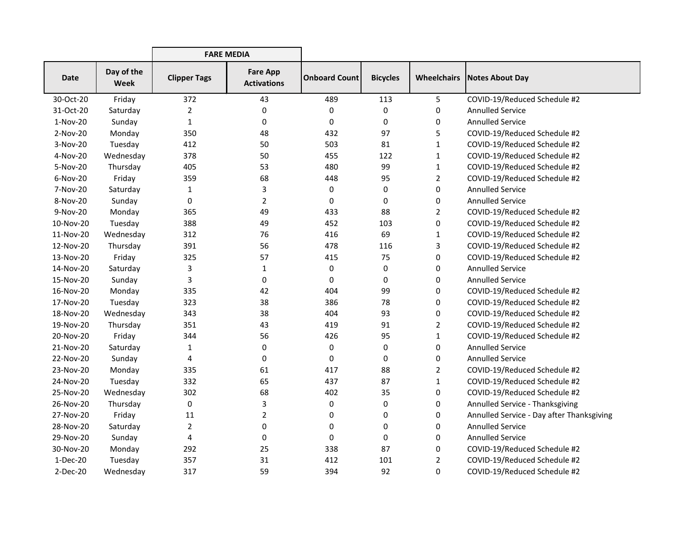|             |                           | <b>FARE MEDIA</b>   |                                       |                      |                 |                    |                                           |
|-------------|---------------------------|---------------------|---------------------------------------|----------------------|-----------------|--------------------|-------------------------------------------|
| <b>Date</b> | Day of the<br><b>Week</b> | <b>Clipper Tags</b> | <b>Fare App</b><br><b>Activations</b> | <b>Onboard Count</b> | <b>Bicycles</b> | <b>Wheelchairs</b> | Notes About Day                           |
| 30-Oct-20   | Friday                    | 372                 | 43                                    | 489                  | 113             | 5                  | COVID-19/Reduced Schedule #2              |
| 31-Oct-20   | Saturday                  | $\overline{2}$      | $\mathbf 0$                           | 0                    | 0               | 0                  | <b>Annulled Service</b>                   |
| 1-Nov-20    | Sunday                    | $\mathbf{1}$        | 0                                     | 0                    | 0               | 0                  | <b>Annulled Service</b>                   |
| 2-Nov-20    | Monday                    | 350                 | 48                                    | 432                  | 97              | 5                  | COVID-19/Reduced Schedule #2              |
| 3-Nov-20    | Tuesday                   | 412                 | 50                                    | 503                  | 81              | 1                  | COVID-19/Reduced Schedule #2              |
| 4-Nov-20    | Wednesday                 | 378                 | 50                                    | 455                  | 122             | 1                  | COVID-19/Reduced Schedule #2              |
| 5-Nov-20    | Thursday                  | 405                 | 53                                    | 480                  | 99              | $\mathbf{1}$       | COVID-19/Reduced Schedule #2              |
| 6-Nov-20    | Friday                    | 359                 | 68                                    | 448                  | 95              | $\overline{2}$     | COVID-19/Reduced Schedule #2              |
| 7-Nov-20    | Saturday                  | $\mathbf{1}$        | 3                                     | 0                    | 0               | 0                  | <b>Annulled Service</b>                   |
| 8-Nov-20    | Sunday                    | 0                   | $\overline{2}$                        | 0                    | 0               | 0                  | <b>Annulled Service</b>                   |
| 9-Nov-20    | Monday                    | 365                 | 49                                    | 433                  | 88              | 2                  | COVID-19/Reduced Schedule #2              |
| 10-Nov-20   | Tuesday                   | 388                 | 49                                    | 452                  | 103             | 0                  | COVID-19/Reduced Schedule #2              |
| 11-Nov-20   | Wednesday                 | 312                 | 76                                    | 416                  | 69              | 1                  | COVID-19/Reduced Schedule #2              |
| 12-Nov-20   | Thursday                  | 391                 | 56                                    | 478                  | 116             | 3                  | COVID-19/Reduced Schedule #2              |
| 13-Nov-20   | Friday                    | 325                 | 57                                    | 415                  | 75              | 0                  | COVID-19/Reduced Schedule #2              |
| 14-Nov-20   | Saturday                  | 3                   | 1                                     | 0                    | 0               | 0                  | <b>Annulled Service</b>                   |
| 15-Nov-20   | Sunday                    | 3                   | 0                                     | 0                    | 0               | 0                  | <b>Annulled Service</b>                   |
| 16-Nov-20   | Monday                    | 335                 | 42                                    | 404                  | 99              | 0                  | COVID-19/Reduced Schedule #2              |
| 17-Nov-20   | Tuesday                   | 323                 | 38                                    | 386                  | 78              | 0                  | COVID-19/Reduced Schedule #2              |
| 18-Nov-20   | Wednesday                 | 343                 | 38                                    | 404                  | 93              | 0                  | COVID-19/Reduced Schedule #2              |
| 19-Nov-20   | Thursday                  | 351                 | 43                                    | 419                  | 91              | 2                  | COVID-19/Reduced Schedule #2              |
| 20-Nov-20   | Friday                    | 344                 | 56                                    | 426                  | 95              | 1                  | COVID-19/Reduced Schedule #2              |
| 21-Nov-20   | Saturday                  | $\mathbf{1}$        | 0                                     | 0                    | 0               | 0                  | <b>Annulled Service</b>                   |
| 22-Nov-20   | Sunday                    | 4                   | 0                                     | 0                    | 0               | 0                  | <b>Annulled Service</b>                   |
| 23-Nov-20   | Monday                    | 335                 | 61                                    | 417                  | 88              | 2                  | COVID-19/Reduced Schedule #2              |
| 24-Nov-20   | Tuesday                   | 332                 | 65                                    | 437                  | 87              | 1                  | COVID-19/Reduced Schedule #2              |
| 25-Nov-20   | Wednesday                 | 302                 | 68                                    | 402                  | 35              | 0                  | COVID-19/Reduced Schedule #2              |
| 26-Nov-20   | Thursday                  | 0                   | 3                                     | 0                    | 0               | 0                  | Annulled Service - Thanksgiving           |
| 27-Nov-20   | Friday                    | 11                  | $\overline{2}$                        | 0                    | 0               | 0                  | Annulled Service - Day after Thanksgiving |
| 28-Nov-20   | Saturday                  | $\overline{2}$      | 0                                     | 0                    | 0               | 0                  | <b>Annulled Service</b>                   |
| 29-Nov-20   | Sunday                    | 4                   | 0                                     | 0                    | 0               | 0                  | <b>Annulled Service</b>                   |
| 30-Nov-20   | Monday                    | 292                 | 25                                    | 338                  | 87              | 0                  | COVID-19/Reduced Schedule #2              |
| $1-Dec-20$  | Tuesday                   | 357                 | 31                                    | 412                  | 101             | 2                  | COVID-19/Reduced Schedule #2              |
| 2-Dec-20    | Wednesday                 | 317                 | 59                                    | 394                  | 92              | 0                  | COVID-19/Reduced Schedule #2              |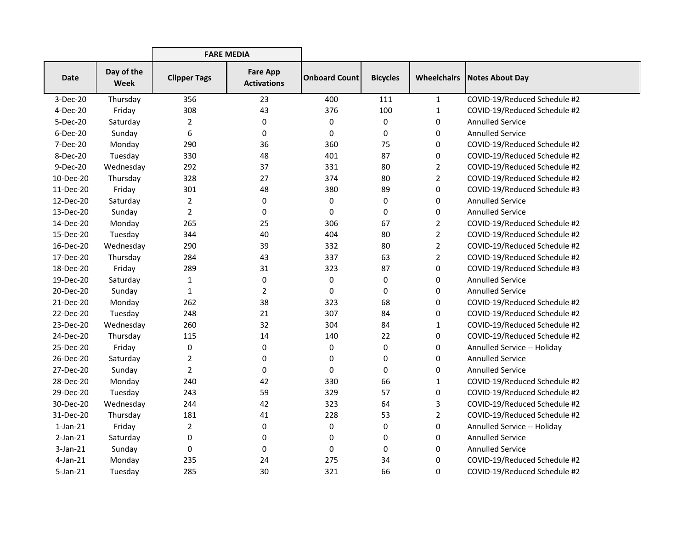|                |                           | <b>FARE MEDIA</b>   |                                       |                      |                 |                |                                      |
|----------------|---------------------------|---------------------|---------------------------------------|----------------------|-----------------|----------------|--------------------------------------|
| <b>Date</b>    | Day of the<br><b>Week</b> | <b>Clipper Tags</b> | <b>Fare App</b><br><b>Activations</b> | <b>Onboard Count</b> | <b>Bicycles</b> |                | <b>Wheelchairs   Notes About Day</b> |
| 3-Dec-20       | Thursday                  | 356                 | 23                                    | 400                  | 111             | $\mathbf{1}$   | COVID-19/Reduced Schedule #2         |
| 4-Dec-20       | Friday                    | 308                 | 43                                    | 376                  | 100             | $\mathbf{1}$   | COVID-19/Reduced Schedule #2         |
| 5-Dec-20       | Saturday                  | 2                   | 0                                     | 0                    | 0               | 0              | <b>Annulled Service</b>              |
| $6-Dec-20$     | Sunday                    | 6                   | 0                                     | 0                    | 0               | 0              | <b>Annulled Service</b>              |
| 7-Dec-20       | Monday                    | 290                 | 36                                    | 360                  | 75              | 0              | COVID-19/Reduced Schedule #2         |
| 8-Dec-20       | Tuesday                   | 330                 | 48                                    | 401                  | 87              | 0              | COVID-19/Reduced Schedule #2         |
| 9-Dec-20       | Wednesday                 | 292                 | 37                                    | 331                  | 80              | $\overline{2}$ | COVID-19/Reduced Schedule #2         |
| 10-Dec-20      | Thursday                  | 328                 | 27                                    | 374                  | 80              | $\overline{2}$ | COVID-19/Reduced Schedule #2         |
| 11-Dec-20      | Friday                    | 301                 | 48                                    | 380                  | 89              | $\mathbf 0$    | COVID-19/Reduced Schedule #3         |
| 12-Dec-20      | Saturday                  | 2                   | 0                                     | 0                    | 0               | 0              | <b>Annulled Service</b>              |
| 13-Dec-20      | Sunday                    | $\overline{2}$      | 0                                     | 0                    | 0               | 0              | <b>Annulled Service</b>              |
| 14-Dec-20      | Monday                    | 265                 | 25                                    | 306                  | 67              | $\overline{2}$ | COVID-19/Reduced Schedule #2         |
| 15-Dec-20      | Tuesday                   | 344                 | 40                                    | 404                  | 80              | $\overline{2}$ | COVID-19/Reduced Schedule #2         |
| 16-Dec-20      | Wednesday                 | 290                 | 39                                    | 332                  | 80              | $\overline{2}$ | COVID-19/Reduced Schedule #2         |
| 17-Dec-20      | Thursday                  | 284                 | 43                                    | 337                  | 63              | $\overline{2}$ | COVID-19/Reduced Schedule #2         |
| 18-Dec-20      | Friday                    | 289                 | 31                                    | 323                  | 87              | 0              | COVID-19/Reduced Schedule #3         |
| 19-Dec-20      | Saturday                  | $\mathbf{1}$        | 0                                     | 0                    | 0               | 0              | <b>Annulled Service</b>              |
| 20-Dec-20      | Sunday                    | 1                   | $\overline{2}$                        | 0                    | 0               | 0              | <b>Annulled Service</b>              |
| 21-Dec-20      | Monday                    | 262                 | 38                                    | 323                  | 68              | 0              | COVID-19/Reduced Schedule #2         |
| 22-Dec-20      | Tuesday                   | 248                 | 21                                    | 307                  | 84              | 0              | COVID-19/Reduced Schedule #2         |
| 23-Dec-20      | Wednesday                 | 260                 | 32                                    | 304                  | 84              | 1              | COVID-19/Reduced Schedule #2         |
| 24-Dec-20      | Thursday                  | 115                 | 14                                    | 140                  | 22              | 0              | COVID-19/Reduced Schedule #2         |
| 25-Dec-20      | Friday                    | 0                   | 0                                     | 0                    | 0               | 0              | Annulled Service -- Holiday          |
| 26-Dec-20      | Saturday                  | $\overline{2}$      | 0                                     | 0                    | 0               | 0              | <b>Annulled Service</b>              |
| 27-Dec-20      | Sunday                    | $\overline{2}$      | 0                                     | 0                    | 0               | 0              | <b>Annulled Service</b>              |
| 28-Dec-20      | Monday                    | 240                 | 42                                    | 330                  | 66              | 1              | COVID-19/Reduced Schedule #2         |
| 29-Dec-20      | Tuesday                   | 243                 | 59                                    | 329                  | 57              | 0              | COVID-19/Reduced Schedule #2         |
| 30-Dec-20      | Wednesday                 | 244                 | 42                                    | 323                  | 64              | 3              | COVID-19/Reduced Schedule #2         |
| 31-Dec-20      | Thursday                  | 181                 | 41                                    | 228                  | 53              | $\overline{2}$ | COVID-19/Reduced Schedule #2         |
| $1$ -Jan- $21$ | Friday                    | 2                   | 0                                     | 0                    | 0               | 0              | Annulled Service -- Holiday          |
| $2$ -Jan- $21$ | Saturday                  | 0                   | 0                                     | 0                    | 0               | 0              | <b>Annulled Service</b>              |
| $3-Jan-21$     | Sunday                    | 0                   | 0                                     | 0                    | 0               | 0              | <b>Annulled Service</b>              |
| $4$ -Jan-21    | Monday                    | 235                 | 24                                    | 275                  | 34              | 0              | COVID-19/Reduced Schedule #2         |
| $5$ -Jan-21    | Tuesday                   | 285                 | 30                                    | 321                  | 66              | 0              | COVID-19/Reduced Schedule #2         |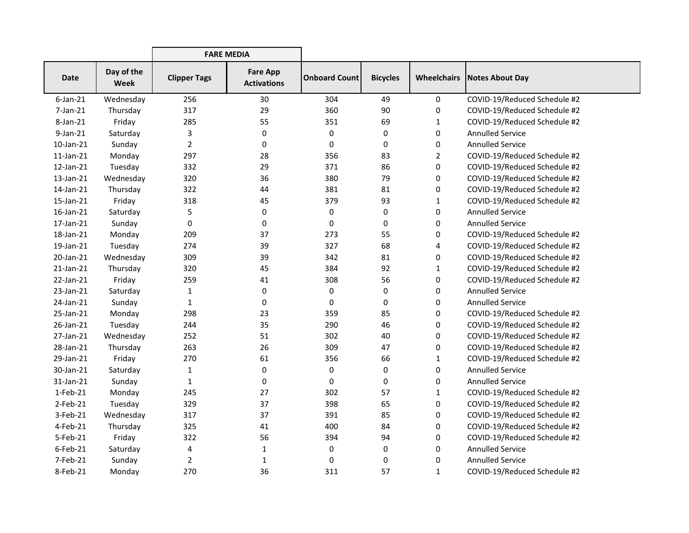|                 |                           | <b>FARE MEDIA</b>   |                                       |                      |                 |                    |                              |
|-----------------|---------------------------|---------------------|---------------------------------------|----------------------|-----------------|--------------------|------------------------------|
| <b>Date</b>     | Day of the<br><b>Week</b> | <b>Clipper Tags</b> | <b>Fare App</b><br><b>Activations</b> | <b>Onboard Count</b> | <b>Bicycles</b> | <b>Wheelchairs</b> | Notes About Day              |
| $6$ -Jan-21     | Wednesday                 | 256                 | 30                                    | 304                  | 49              | 0                  | COVID-19/Reduced Schedule #2 |
| 7-Jan-21        | Thursday                  | 317                 | 29                                    | 360                  | 90              | 0                  | COVID-19/Reduced Schedule #2 |
| 8-Jan-21        | Friday                    | 285                 | 55                                    | 351                  | 69              | 1                  | COVID-19/Reduced Schedule #2 |
| 9-Jan-21        | Saturday                  | 3                   | 0                                     | 0                    | 0               | 0                  | <b>Annulled Service</b>      |
| 10-Jan-21       | Sunday                    | $\overline{2}$      | 0                                     | 0                    | 0               | 0                  | <b>Annulled Service</b>      |
| $11$ -Jan- $21$ | Monday                    | 297                 | 28                                    | 356                  | 83              | $\overline{2}$     | COVID-19/Reduced Schedule #2 |
| 12-Jan-21       | Tuesday                   | 332                 | 29                                    | 371                  | 86              | 0                  | COVID-19/Reduced Schedule #2 |
| 13-Jan-21       | Wednesday                 | 320                 | 36                                    | 380                  | 79              | 0                  | COVID-19/Reduced Schedule #2 |
| 14-Jan-21       | Thursday                  | 322                 | 44                                    | 381                  | 81              | 0                  | COVID-19/Reduced Schedule #2 |
| 15-Jan-21       | Friday                    | 318                 | 45                                    | 379                  | 93              | $\mathbf{1}$       | COVID-19/Reduced Schedule #2 |
| 16-Jan-21       | Saturday                  | 5                   | 0                                     | 0                    | 0               | 0                  | <b>Annulled Service</b>      |
| 17-Jan-21       | Sunday                    | 0                   | 0                                     | 0                    | 0               | 0                  | <b>Annulled Service</b>      |
| 18-Jan-21       | Monday                    | 209                 | 37                                    | 273                  | 55              | 0                  | COVID-19/Reduced Schedule #2 |
| 19-Jan-21       | Tuesday                   | 274                 | 39                                    | 327                  | 68              | 4                  | COVID-19/Reduced Schedule #2 |
| 20-Jan-21       | Wednesday                 | 309                 | 39                                    | 342                  | 81              | 0                  | COVID-19/Reduced Schedule #2 |
| $21$ -Jan- $21$ | Thursday                  | 320                 | 45                                    | 384                  | 92              | 1                  | COVID-19/Reduced Schedule #2 |
| 22-Jan-21       | Friday                    | 259                 | 41                                    | 308                  | 56              | 0                  | COVID-19/Reduced Schedule #2 |
| 23-Jan-21       | Saturday                  | $\mathbf{1}$        | 0                                     | 0                    | 0               | 0                  | <b>Annulled Service</b>      |
| 24-Jan-21       | Sunday                    | $\mathbf{1}$        | 0                                     | 0                    | 0               | 0                  | <b>Annulled Service</b>      |
| 25-Jan-21       | Monday                    | 298                 | 23                                    | 359                  | 85              | 0                  | COVID-19/Reduced Schedule #2 |
| 26-Jan-21       | Tuesday                   | 244                 | 35                                    | 290                  | 46              | 0                  | COVID-19/Reduced Schedule #2 |
| 27-Jan-21       | Wednesday                 | 252                 | 51                                    | 302                  | 40              | 0                  | COVID-19/Reduced Schedule #2 |
| 28-Jan-21       | Thursday                  | 263                 | 26                                    | 309                  | 47              | 0                  | COVID-19/Reduced Schedule #2 |
| 29-Jan-21       | Friday                    | 270                 | 61                                    | 356                  | 66              | $\mathbf{1}$       | COVID-19/Reduced Schedule #2 |
| 30-Jan-21       | Saturday                  | $\mathbf{1}$        | 0                                     | 0                    | 0               | 0                  | <b>Annulled Service</b>      |
| 31-Jan-21       | Sunday                    | 1                   | 0                                     | 0                    | 0               | 0                  | <b>Annulled Service</b>      |
| 1-Feb-21        | Monday                    | 245                 | 27                                    | 302                  | 57              | 1                  | COVID-19/Reduced Schedule #2 |
| $2$ -Feb-21     | Tuesday                   | 329                 | 37                                    | 398                  | 65              | 0                  | COVID-19/Reduced Schedule #2 |
| 3-Feb-21        | Wednesday                 | 317                 | 37                                    | 391                  | 85              | 0                  | COVID-19/Reduced Schedule #2 |
| 4-Feb-21        | Thursday                  | 325                 | 41                                    | 400                  | 84              | 0                  | COVID-19/Reduced Schedule #2 |
| 5-Feb-21        | Friday                    | 322                 | 56                                    | 394                  | 94              | 0                  | COVID-19/Reduced Schedule #2 |
| $6$ -Feb-21     | Saturday                  | 4                   | 1                                     | 0                    | 0               | 0                  | <b>Annulled Service</b>      |
| 7-Feb-21        | Sunday                    | $\overline{2}$      | 1                                     | 0                    | 0               | 0                  | <b>Annulled Service</b>      |
| 8-Feb-21        | Monday                    | 270                 | 36                                    | 311                  | 57              | $\mathbf{1}$       | COVID-19/Reduced Schedule #2 |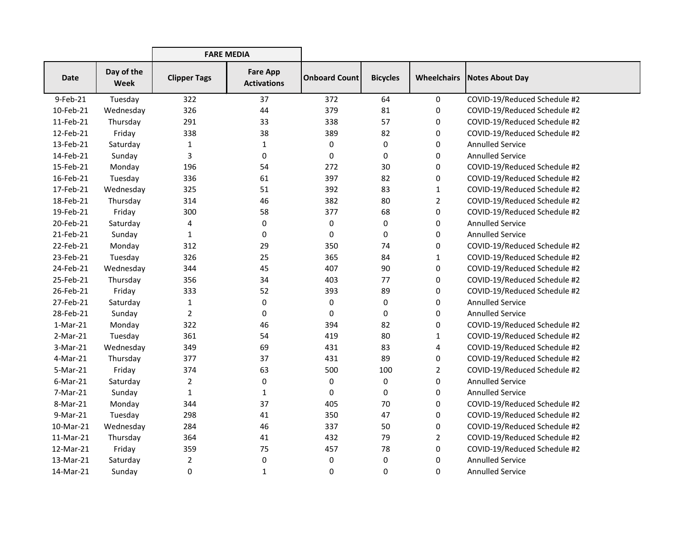|             |                           | <b>FARE MEDIA</b>   |                                       |                      |                 |                    |                              |
|-------------|---------------------------|---------------------|---------------------------------------|----------------------|-----------------|--------------------|------------------------------|
| <b>Date</b> | Day of the<br><b>Week</b> | <b>Clipper Tags</b> | <b>Fare App</b><br><b>Activations</b> | <b>Onboard Count</b> | <b>Bicycles</b> | <b>Wheelchairs</b> | Notes About Day              |
| 9-Feb-21    | Tuesday                   | 322                 | 37                                    | 372                  | 64              | 0                  | COVID-19/Reduced Schedule #2 |
| 10-Feb-21   | Wednesday                 | 326                 | 44                                    | 379                  | 81              | 0                  | COVID-19/Reduced Schedule #2 |
| 11-Feb-21   | Thursday                  | 291                 | 33                                    | 338                  | 57              | 0                  | COVID-19/Reduced Schedule #2 |
| 12-Feb-21   | Friday                    | 338                 | 38                                    | 389                  | 82              | 0                  | COVID-19/Reduced Schedule #2 |
| 13-Feb-21   | Saturday                  | 1                   | $\mathbf{1}$                          | 0                    | 0               | 0                  | <b>Annulled Service</b>      |
| 14-Feb-21   | Sunday                    | 3                   | 0                                     | 0                    | 0               | 0                  | <b>Annulled Service</b>      |
| 15-Feb-21   | Monday                    | 196                 | 54                                    | 272                  | 30              | 0                  | COVID-19/Reduced Schedule #2 |
| 16-Feb-21   | Tuesday                   | 336                 | 61                                    | 397                  | 82              | 0                  | COVID-19/Reduced Schedule #2 |
| 17-Feb-21   | Wednesday                 | 325                 | 51                                    | 392                  | 83              | $\mathbf{1}$       | COVID-19/Reduced Schedule #2 |
| 18-Feb-21   | Thursday                  | 314                 | 46                                    | 382                  | 80              | $\overline{2}$     | COVID-19/Reduced Schedule #2 |
| 19-Feb-21   | Friday                    | 300                 | 58                                    | 377                  | 68              | 0                  | COVID-19/Reduced Schedule #2 |
| 20-Feb-21   | Saturday                  | 4                   | 0                                     | 0                    | 0               | 0                  | <b>Annulled Service</b>      |
| 21-Feb-21   | Sunday                    | $\mathbf{1}$        | 0                                     | 0                    | 0               | 0                  | <b>Annulled Service</b>      |
| 22-Feb-21   | Monday                    | 312                 | 29                                    | 350                  | 74              | 0                  | COVID-19/Reduced Schedule #2 |
| 23-Feb-21   | Tuesday                   | 326                 | 25                                    | 365                  | 84              | $\mathbf{1}$       | COVID-19/Reduced Schedule #2 |
| 24-Feb-21   | Wednesday                 | 344                 | 45                                    | 407                  | 90              | 0                  | COVID-19/Reduced Schedule #2 |
| 25-Feb-21   | Thursday                  | 356                 | 34                                    | 403                  | 77              | 0                  | COVID-19/Reduced Schedule #2 |
| 26-Feb-21   | Friday                    | 333                 | 52                                    | 393                  | 89              | 0                  | COVID-19/Reduced Schedule #2 |
| 27-Feb-21   | Saturday                  | $\mathbf{1}$        | 0                                     | 0                    | 0               | 0                  | <b>Annulled Service</b>      |
| 28-Feb-21   | Sunday                    | $\overline{2}$      | 0                                     | 0                    | 0               | 0                  | <b>Annulled Service</b>      |
| $1-Mar-21$  | Monday                    | 322                 | 46                                    | 394                  | 82              | 0                  | COVID-19/Reduced Schedule #2 |
| $2-Mar-21$  | Tuesday                   | 361                 | 54                                    | 419                  | 80              | $\mathbf{1}$       | COVID-19/Reduced Schedule #2 |
| 3-Mar-21    | Wednesday                 | 349                 | 69                                    | 431                  | 83              | 4                  | COVID-19/Reduced Schedule #2 |
| 4-Mar-21    | Thursday                  | 377                 | 37                                    | 431                  | 89              | 0                  | COVID-19/Reduced Schedule #2 |
| 5-Mar-21    | Friday                    | 374                 | 63                                    | 500                  | 100             | 2                  | COVID-19/Reduced Schedule #2 |
| $6$ -Mar-21 | Saturday                  | $\overline{2}$      | 0                                     | 0                    | 0               | 0                  | <b>Annulled Service</b>      |
| 7-Mar-21    | Sunday                    | 1                   | 1                                     | 0                    | 0               | 0                  | <b>Annulled Service</b>      |
| 8-Mar-21    | Monday                    | 344                 | 37                                    | 405                  | 70              | 0                  | COVID-19/Reduced Schedule #2 |
| 9-Mar-21    | Tuesday                   | 298                 | 41                                    | 350                  | 47              | 0                  | COVID-19/Reduced Schedule #2 |
| 10-Mar-21   | Wednesday                 | 284                 | 46                                    | 337                  | 50              | 0                  | COVID-19/Reduced Schedule #2 |
| 11-Mar-21   | Thursday                  | 364                 | 41                                    | 432                  | 79              | $\overline{2}$     | COVID-19/Reduced Schedule #2 |
| 12-Mar-21   | Friday                    | 359                 | 75                                    | 457                  | 78              | 0                  | COVID-19/Reduced Schedule #2 |
| 13-Mar-21   | Saturday                  | $\overline{a}$      | 0                                     | 0                    | 0               | 0                  | <b>Annulled Service</b>      |
| 14-Mar-21   | Sunday                    | 0                   | $\mathbf{1}$                          | 0                    | 0               | 0                  | <b>Annulled Service</b>      |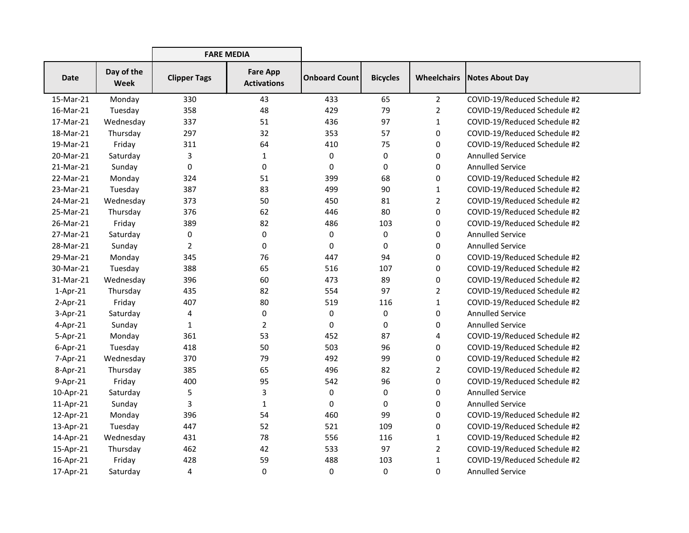|             |                           | <b>FARE MEDIA</b>   |                                       |                      |                 |                    |                              |
|-------------|---------------------------|---------------------|---------------------------------------|----------------------|-----------------|--------------------|------------------------------|
| <b>Date</b> | Day of the<br><b>Week</b> | <b>Clipper Tags</b> | <b>Fare App</b><br><b>Activations</b> | <b>Onboard Count</b> | <b>Bicycles</b> | <b>Wheelchairs</b> | Notes About Day              |
| 15-Mar-21   | Monday                    | 330                 | 43                                    | 433                  | 65              | $2^{\circ}$        | COVID-19/Reduced Schedule #2 |
| 16-Mar-21   | Tuesday                   | 358                 | 48                                    | 429                  | 79              | $\overline{2}$     | COVID-19/Reduced Schedule #2 |
| 17-Mar-21   | Wednesday                 | 337                 | 51                                    | 436                  | 97              | $\mathbf{1}$       | COVID-19/Reduced Schedule #2 |
| 18-Mar-21   | Thursday                  | 297                 | 32                                    | 353                  | 57              | 0                  | COVID-19/Reduced Schedule #2 |
| 19-Mar-21   | Friday                    | 311                 | 64                                    | 410                  | 75              | 0                  | COVID-19/Reduced Schedule #2 |
| 20-Mar-21   | Saturday                  | 3                   | $\mathbf{1}$                          | 0                    | 0               | 0                  | <b>Annulled Service</b>      |
| 21-Mar-21   | Sunday                    | 0                   | 0                                     | 0                    | 0               | 0                  | <b>Annulled Service</b>      |
| 22-Mar-21   | Monday                    | 324                 | 51                                    | 399                  | 68              | 0                  | COVID-19/Reduced Schedule #2 |
| 23-Mar-21   | Tuesday                   | 387                 | 83                                    | 499                  | 90              | $\mathbf{1}$       | COVID-19/Reduced Schedule #2 |
| 24-Mar-21   | Wednesday                 | 373                 | 50                                    | 450                  | 81              | $\overline{2}$     | COVID-19/Reduced Schedule #2 |
| 25-Mar-21   | Thursday                  | 376                 | 62                                    | 446                  | 80              | 0                  | COVID-19/Reduced Schedule #2 |
| 26-Mar-21   | Friday                    | 389                 | 82                                    | 486                  | 103             | 0                  | COVID-19/Reduced Schedule #2 |
| 27-Mar-21   | Saturday                  | 0                   | $\pmb{0}$                             | 0                    | 0               | 0                  | <b>Annulled Service</b>      |
| 28-Mar-21   | Sunday                    | $\overline{2}$      | 0                                     | 0                    | 0               | 0                  | <b>Annulled Service</b>      |
| 29-Mar-21   | Monday                    | 345                 | 76                                    | 447                  | 94              | 0                  | COVID-19/Reduced Schedule #2 |
| 30-Mar-21   | Tuesday                   | 388                 | 65                                    | 516                  | 107             | 0                  | COVID-19/Reduced Schedule #2 |
| 31-Mar-21   | Wednesday                 | 396                 | 60                                    | 473                  | 89              | 0                  | COVID-19/Reduced Schedule #2 |
| $1-Apr-21$  | Thursday                  | 435                 | 82                                    | 554                  | 97              | $\overline{2}$     | COVID-19/Reduced Schedule #2 |
| $2-Apr-21$  | Friday                    | 407                 | 80                                    | 519                  | 116             | $\mathbf{1}$       | COVID-19/Reduced Schedule #2 |
| $3-Apr-21$  | Saturday                  | 4                   | 0                                     | 0                    | 0               | 0                  | <b>Annulled Service</b>      |
| 4-Apr-21    | Sunday                    | $\mathbf{1}$        | $\overline{2}$                        | 0                    | 0               | 0                  | <b>Annulled Service</b>      |
| 5-Apr-21    | Monday                    | 361                 | 53                                    | 452                  | 87              | 4                  | COVID-19/Reduced Schedule #2 |
| $6$ -Apr-21 | Tuesday                   | 418                 | 50                                    | 503                  | 96              | 0                  | COVID-19/Reduced Schedule #2 |
| 7-Apr-21    | Wednesday                 | 370                 | 79                                    | 492                  | 99              | 0                  | COVID-19/Reduced Schedule #2 |
| 8-Apr-21    | Thursday                  | 385                 | 65                                    | 496                  | 82              | $\overline{2}$     | COVID-19/Reduced Schedule #2 |
| 9-Apr-21    | Friday                    | 400                 | 95                                    | 542                  | 96              | 0                  | COVID-19/Reduced Schedule #2 |
| 10-Apr-21   | Saturday                  | 5                   | 3                                     | 0                    | 0               | 0                  | <b>Annulled Service</b>      |
| 11-Apr-21   | Sunday                    | 3                   | $\mathbf{1}$                          | 0                    | 0               | 0                  | <b>Annulled Service</b>      |
| 12-Apr-21   | Monday                    | 396                 | 54                                    | 460                  | 99              | 0                  | COVID-19/Reduced Schedule #2 |
| 13-Apr-21   | Tuesday                   | 447                 | 52                                    | 521                  | 109             | 0                  | COVID-19/Reduced Schedule #2 |
| 14-Apr-21   | Wednesday                 | 431                 | 78                                    | 556                  | 116             | 1                  | COVID-19/Reduced Schedule #2 |
| 15-Apr-21   | Thursday                  | 462                 | 42                                    | 533                  | 97              | $\overline{2}$     | COVID-19/Reduced Schedule #2 |
| 16-Apr-21   | Friday                    | 428                 | 59                                    | 488                  | 103             | $\mathbf{1}$       | COVID-19/Reduced Schedule #2 |
| 17-Apr-21   | Saturday                  | 4                   | 0                                     | 0                    | 0               | 0                  | <b>Annulled Service</b>      |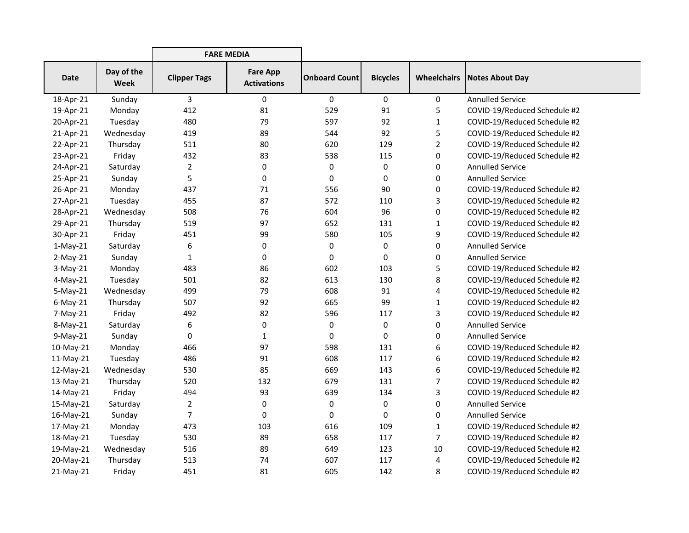|             |                    | <b>FARE MEDIA</b>   |                                       |                      |                 |                    |                              |
|-------------|--------------------|---------------------|---------------------------------------|----------------------|-----------------|--------------------|------------------------------|
| <b>Date</b> | Day of the<br>Week | <b>Clipper Tags</b> | <b>Fare App</b><br><b>Activations</b> | <b>Onboard Count</b> | <b>Bicycles</b> | <b>Wheelchairs</b> | <b>Notes About Day</b>       |
| 18-Apr-21   | Sunday             | 3                   | 0                                     | $\mathbf 0$          | 0               | 0                  | <b>Annulled Service</b>      |
| 19-Apr-21   | Monday             | 412                 | 81                                    | 529                  | 91              | 5                  | COVID-19/Reduced Schedule #2 |
| 20-Apr-21   | Tuesday            | 480                 | 79                                    | 597                  | 92              | 1                  | COVID-19/Reduced Schedule #2 |
| 21-Apr-21   | Wednesday          | 419                 | 89                                    | 544                  | 92              | 5                  | COVID-19/Reduced Schedule #2 |
| 22-Apr-21   | Thursday           | 511                 | 80                                    | 620                  | 129             | 2                  | COVID-19/Reduced Schedule #2 |
| 23-Apr-21   | Friday             | 432                 | 83                                    | 538                  | 115             | 0                  | COVID-19/Reduced Schedule #2 |
| 24-Apr-21   | Saturday           | 2                   | 0                                     | $\pmb{0}$            | 0               | 0                  | <b>Annulled Service</b>      |
| 25-Apr-21   | Sunday             | 5                   | 0                                     | $\mathbf 0$          | 0               | 0                  | <b>Annulled Service</b>      |
| 26-Apr-21   | Monday             | 437                 | 71                                    | 556                  | 90              | 0                  | COVID-19/Reduced Schedule #2 |
| 27-Apr-21   | Tuesday            | 455                 | 87                                    | 572                  | 110             | 3                  | COVID-19/Reduced Schedule #2 |
| 28-Apr-21   | Wednesday          | 508                 | 76                                    | 604                  | 96              | 0                  | COVID-19/Reduced Schedule #2 |
| 29-Apr-21   | Thursday           | 519                 | 97                                    | 652                  | 131             | 1                  | COVID-19/Reduced Schedule #2 |
| 30-Apr-21   | Friday             | 451                 | 99                                    | 580                  | 105             | 9                  | COVID-19/Reduced Schedule #2 |
| $1-May-21$  | Saturday           | 6                   | 0                                     | $\pmb{0}$            | 0               | 0                  | <b>Annulled Service</b>      |
| $2-May-21$  | Sunday             | $\mathbf{1}$        | 0                                     | $\mathbf 0$          | 0               | 0                  | <b>Annulled Service</b>      |
| $3-May-21$  | Monday             | 483                 | 86                                    | 602                  | 103             | 5                  | COVID-19/Reduced Schedule #2 |
| 4-May-21    | Tuesday            | 501                 | 82                                    | 613                  | 130             | 8                  | COVID-19/Reduced Schedule #2 |
| $5-May-21$  | Wednesday          | 499                 | 79                                    | 608                  | 91              | 4                  | COVID-19/Reduced Schedule #2 |
| $6$ -May-21 | Thursday           | 507                 | 92                                    | 665                  | 99              | 1                  | COVID-19/Reduced Schedule #2 |
| $7-May-21$  | Friday             | 492                 | 82                                    | 596                  | 117             | 3                  | COVID-19/Reduced Schedule #2 |
| 8-May-21    | Saturday           | 6                   | 0                                     | $\pmb{0}$            | 0               | 0                  | <b>Annulled Service</b>      |
| $9-May-21$  | Sunday             | 0                   | 1                                     | $\mathbf 0$          | 0               | 0                  | <b>Annulled Service</b>      |
| 10-May-21   | Monday             | 466                 | 97                                    | 598                  | 131             | 6                  | COVID-19/Reduced Schedule #2 |
| 11-May-21   | Tuesday            | 486                 | 91                                    | 608                  | 117             | 6                  | COVID-19/Reduced Schedule #2 |
| 12-May-21   | Wednesday          | 530                 | 85                                    | 669                  | 143             | 6                  | COVID-19/Reduced Schedule #2 |
| 13-May-21   | Thursday           | 520                 | 132                                   | 679                  | 131             | 7                  | COVID-19/Reduced Schedule #2 |
| 14-May-21   | Friday             | 494                 | 93                                    | 639                  | 134             | 3                  | COVID-19/Reduced Schedule #2 |
| 15-May-21   | Saturday           | $\overline{2}$      | 0                                     | 0                    | 0               | 0                  | <b>Annulled Service</b>      |
| 16-May-21   | Sunday             | 7                   | $\mathbf 0$                           | $\pmb{0}$            | 0               | 0                  | <b>Annulled Service</b>      |
| 17-May-21   | Monday             | 473                 | 103                                   | 616                  | 109             | 1                  | COVID-19/Reduced Schedule #2 |
| 18-May-21   | Tuesday            | 530                 | 89                                    | 658                  | 117             | 7                  | COVID-19/Reduced Schedule #2 |
| 19-May-21   | Wednesday          | 516                 | 89                                    | 649                  | 123             | 10                 | COVID-19/Reduced Schedule #2 |
| 20-May-21   | Thursday           | 513                 | 74                                    | 607                  | 117             | 4                  | COVID-19/Reduced Schedule #2 |
| 21-May-21   | Friday             | 451                 | 81                                    | 605                  | 142             | 8                  | COVID-19/Reduced Schedule #2 |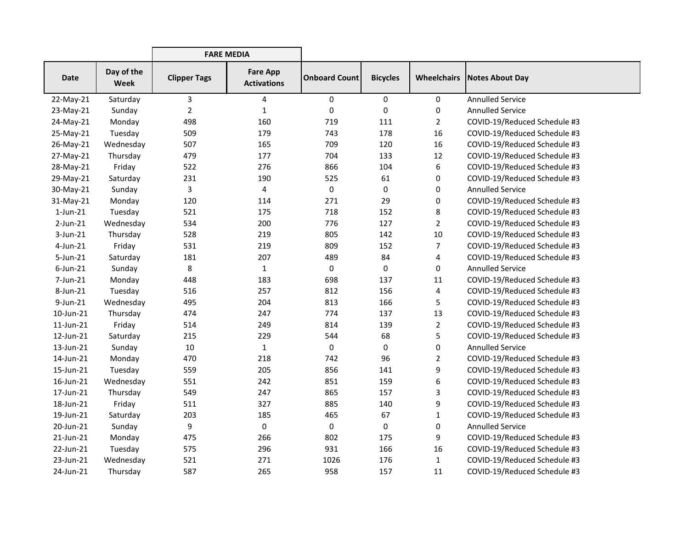|                 |                    | <b>FARE MEDIA</b>   |                                       |                      |                 |                    |                              |
|-----------------|--------------------|---------------------|---------------------------------------|----------------------|-----------------|--------------------|------------------------------|
| <b>Date</b>     | Day of the<br>Week | <b>Clipper Tags</b> | <b>Fare App</b><br><b>Activations</b> | <b>Onboard Count</b> | <b>Bicycles</b> | <b>Wheelchairs</b> | <b>Notes About Day</b>       |
| 22-May-21       | Saturday           | 3                   | 4                                     | 0                    | 0               | 0                  | <b>Annulled Service</b>      |
| 23-May-21       | Sunday             | $\overline{2}$      | $\mathbf{1}$                          | $\pmb{0}$            | 0               | 0                  | <b>Annulled Service</b>      |
| 24-May-21       | Monday             | 498                 | 160                                   | 719                  | 111             | 2                  | COVID-19/Reduced Schedule #3 |
| 25-May-21       | Tuesday            | 509                 | 179                                   | 743                  | 178             | 16                 | COVID-19/Reduced Schedule #3 |
| 26-May-21       | Wednesday          | 507                 | 165                                   | 709                  | 120             | 16                 | COVID-19/Reduced Schedule #3 |
| 27-May-21       | Thursday           | 479                 | 177                                   | 704                  | 133             | 12                 | COVID-19/Reduced Schedule #3 |
| 28-May-21       | Friday             | 522                 | 276                                   | 866                  | 104             | 6                  | COVID-19/Reduced Schedule #3 |
| 29-May-21       | Saturday           | 231                 | 190                                   | 525                  | 61              | 0                  | COVID-19/Reduced Schedule #3 |
| 30-May-21       | Sunday             | 3                   | 4                                     | $\pmb{0}$            | 0               | 0                  | <b>Annulled Service</b>      |
| 31-May-21       | Monday             | 120                 | 114                                   | 271                  | 29              | 0                  | COVID-19/Reduced Schedule #3 |
| $1$ -Jun- $21$  | Tuesday            | 521                 | 175                                   | 718                  | 152             | 8                  | COVID-19/Reduced Schedule #3 |
| $2$ -Jun- $21$  | Wednesday          | 534                 | 200                                   | 776                  | 127             | $\overline{2}$     | COVID-19/Reduced Schedule #3 |
| $3$ -Jun-21     | Thursday           | 528                 | 219                                   | 805                  | 142             | 10                 | COVID-19/Reduced Schedule #3 |
| $4$ -Jun-21     | Friday             | 531                 | 219                                   | 809                  | 152             | 7                  | COVID-19/Reduced Schedule #3 |
| 5-Jun-21        | Saturday           | 181                 | 207                                   | 489                  | 84              | 4                  | COVID-19/Reduced Schedule #3 |
| $6$ -Jun-21     | Sunday             | 8                   | $\mathbf{1}$                          | $\mathbf 0$          | 0               | 0                  | <b>Annulled Service</b>      |
| 7-Jun-21        | Monday             | 448                 | 183                                   | 698                  | 137             | 11                 | COVID-19/Reduced Schedule #3 |
| 8-Jun-21        | Tuesday            | 516                 | 257                                   | 812                  | 156             | 4                  | COVID-19/Reduced Schedule #3 |
| 9-Jun-21        | Wednesday          | 495                 | 204                                   | 813                  | 166             | 5                  | COVID-19/Reduced Schedule #3 |
| 10-Jun-21       | Thursday           | 474                 | 247                                   | 774                  | 137             | 13                 | COVID-19/Reduced Schedule #3 |
| $11$ -Jun- $21$ | Friday             | 514                 | 249                                   | 814                  | 139             | $\overline{2}$     | COVID-19/Reduced Schedule #3 |
| 12-Jun-21       | Saturday           | 215                 | 229                                   | 544                  | 68              | 5                  | COVID-19/Reduced Schedule #3 |
| 13-Jun-21       | Sunday             | 10                  | $\mathbf{1}$                          | 0                    | 0               | 0                  | <b>Annulled Service</b>      |
| 14-Jun-21       | Monday             | 470                 | 218                                   | 742                  | 96              | $\overline{2}$     | COVID-19/Reduced Schedule #3 |
| 15-Jun-21       | Tuesday            | 559                 | 205                                   | 856                  | 141             | 9                  | COVID-19/Reduced Schedule #3 |
| 16-Jun-21       | Wednesday          | 551                 | 242                                   | 851                  | 159             | 6                  | COVID-19/Reduced Schedule #3 |
| 17-Jun-21       | Thursday           | 549                 | 247                                   | 865                  | 157             | 3                  | COVID-19/Reduced Schedule #3 |
| 18-Jun-21       | Friday             | 511                 | 327                                   | 885                  | 140             | 9                  | COVID-19/Reduced Schedule #3 |
| 19-Jun-21       | Saturday           | 203                 | 185                                   | 465                  | 67              | $\mathbf{1}$       | COVID-19/Reduced Schedule #3 |
| 20-Jun-21       | Sunday             | 9                   | 0                                     | 0                    | 0               | 0                  | <b>Annulled Service</b>      |
| 21-Jun-21       | Monday             | 475                 | 266                                   | 802                  | 175             | 9                  | COVID-19/Reduced Schedule #3 |
| 22-Jun-21       | Tuesday            | 575                 | 296                                   | 931                  | 166             | 16                 | COVID-19/Reduced Schedule #3 |
| 23-Jun-21       | Wednesday          | 521                 | 271                                   | 1026                 | 176             | 1                  | COVID-19/Reduced Schedule #3 |
| 24-Jun-21       | Thursday           | 587                 | 265                                   | 958                  | 157             | 11                 | COVID-19/Reduced Schedule #3 |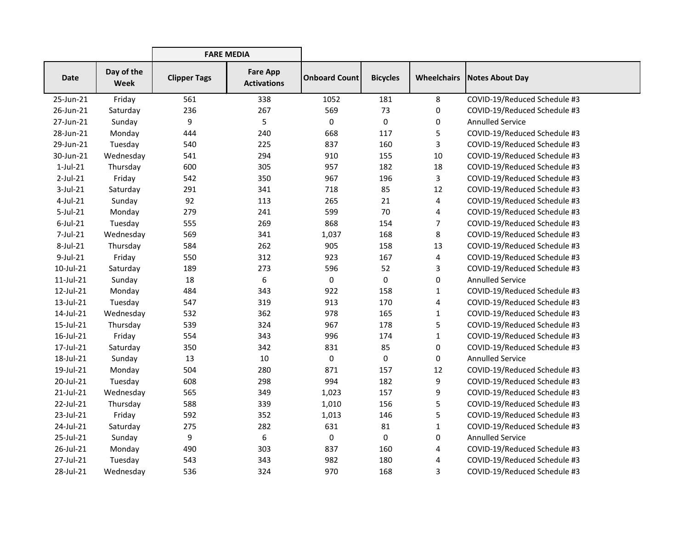|              |                    | <b>FARE MEDIA</b>   |                                       |                      |                 |                    |                              |
|--------------|--------------------|---------------------|---------------------------------------|----------------------|-----------------|--------------------|------------------------------|
| <b>Date</b>  | Day of the<br>Week | <b>Clipper Tags</b> | <b>Fare App</b><br><b>Activations</b> | <b>Onboard Count</b> | <b>Bicycles</b> | <b>Wheelchairs</b> | Notes About Day              |
| 25-Jun-21    | Friday             | 561                 | 338                                   | 1052                 | 181             | 8                  | COVID-19/Reduced Schedule #3 |
| 26-Jun-21    | Saturday           | 236                 | 267                                   | 569                  | 73              | 0                  | COVID-19/Reduced Schedule #3 |
| 27-Jun-21    | Sunday             | 9                   | 5                                     | 0                    | $\mathbf 0$     | 0                  | <b>Annulled Service</b>      |
| 28-Jun-21    | Monday             | 444                 | 240                                   | 668                  | 117             | 5                  | COVID-19/Reduced Schedule #3 |
| 29-Jun-21    | Tuesday            | 540                 | 225                                   | 837                  | 160             | 3                  | COVID-19/Reduced Schedule #3 |
| 30-Jun-21    | Wednesday          | 541                 | 294                                   | 910                  | 155             | 10                 | COVID-19/Reduced Schedule #3 |
| $1$ -Jul-21  | Thursday           | 600                 | 305                                   | 957                  | 182             | 18                 | COVID-19/Reduced Schedule #3 |
| $2$ -Jul-21  | Friday             | 542                 | 350                                   | 967                  | 196             | 3                  | COVID-19/Reduced Schedule #3 |
| $3$ -Jul-21  | Saturday           | 291                 | 341                                   | 718                  | 85              | 12                 | COVID-19/Reduced Schedule #3 |
| $4$ -Jul-21  | Sunday             | 92                  | 113                                   | 265                  | 21              | 4                  | COVID-19/Reduced Schedule #3 |
| $5$ -Jul-21  | Monday             | 279                 | 241                                   | 599                  | 70              | 4                  | COVID-19/Reduced Schedule #3 |
| $6$ -Jul-21  | Tuesday            | 555                 | 269                                   | 868                  | 154             | $\overline{7}$     | COVID-19/Reduced Schedule #3 |
| 7-Jul-21     | Wednesday          | 569                 | 341                                   | 1,037                | 168             | 8                  | COVID-19/Reduced Schedule #3 |
| 8-Jul-21     | Thursday           | 584                 | 262                                   | 905                  | 158             | 13                 | COVID-19/Reduced Schedule #3 |
| $9$ -Jul-21  | Friday             | 550                 | 312                                   | 923                  | 167             | 4                  | COVID-19/Reduced Schedule #3 |
| 10-Jul-21    | Saturday           | 189                 | 273                                   | 596                  | 52              | 3                  | COVID-19/Reduced Schedule #3 |
| $11$ -Jul-21 | Sunday             | 18                  | 6                                     | 0                    | 0               | $\mathbf 0$        | <b>Annulled Service</b>      |
| 12-Jul-21    | Monday             | 484                 | 343                                   | 922                  | 158             | 1                  | COVID-19/Reduced Schedule #3 |
| 13-Jul-21    | Tuesday            | 547                 | 319                                   | 913                  | 170             | 4                  | COVID-19/Reduced Schedule #3 |
| 14-Jul-21    | Wednesday          | 532                 | 362                                   | 978                  | 165             | $\mathbf{1}$       | COVID-19/Reduced Schedule #3 |
| 15-Jul-21    | Thursday           | 539                 | 324                                   | 967                  | 178             | 5                  | COVID-19/Reduced Schedule #3 |
| 16-Jul-21    | Friday             | 554                 | 343                                   | 996                  | 174             | $\mathbf{1}$       | COVID-19/Reduced Schedule #3 |
| 17-Jul-21    | Saturday           | 350                 | 342                                   | 831                  | 85              | 0                  | COVID-19/Reduced Schedule #3 |
| 18-Jul-21    | Sunday             | 13                  | 10                                    | 0                    | 0               | $\mathbf 0$        | <b>Annulled Service</b>      |
| 19-Jul-21    | Monday             | 504                 | 280                                   | 871                  | 157             | 12                 | COVID-19/Reduced Schedule #3 |
| 20-Jul-21    | Tuesday            | 608                 | 298                                   | 994                  | 182             | 9                  | COVID-19/Reduced Schedule #3 |
| 21-Jul-21    | Wednesday          | 565                 | 349                                   | 1,023                | 157             | 9                  | COVID-19/Reduced Schedule #3 |
| 22-Jul-21    | Thursday           | 588                 | 339                                   | 1,010                | 156             | 5                  | COVID-19/Reduced Schedule #3 |
| 23-Jul-21    | Friday             | 592                 | 352                                   | 1,013                | 146             | 5                  | COVID-19/Reduced Schedule #3 |
| 24-Jul-21    | Saturday           | 275                 | 282                                   | 631                  | 81              | $\mathbf{1}$       | COVID-19/Reduced Schedule #3 |
| 25-Jul-21    | Sunday             | 9                   | 6                                     | 0                    | 0               | 0                  | <b>Annulled Service</b>      |
| 26-Jul-21    | Monday             | 490                 | 303                                   | 837                  | 160             | 4                  | COVID-19/Reduced Schedule #3 |
| 27-Jul-21    | Tuesday            | 543                 | 343                                   | 982                  | 180             | 4                  | COVID-19/Reduced Schedule #3 |
| 28-Jul-21    | Wednesday          | 536                 | 324                                   | 970                  | 168             | 3                  | COVID-19/Reduced Schedule #3 |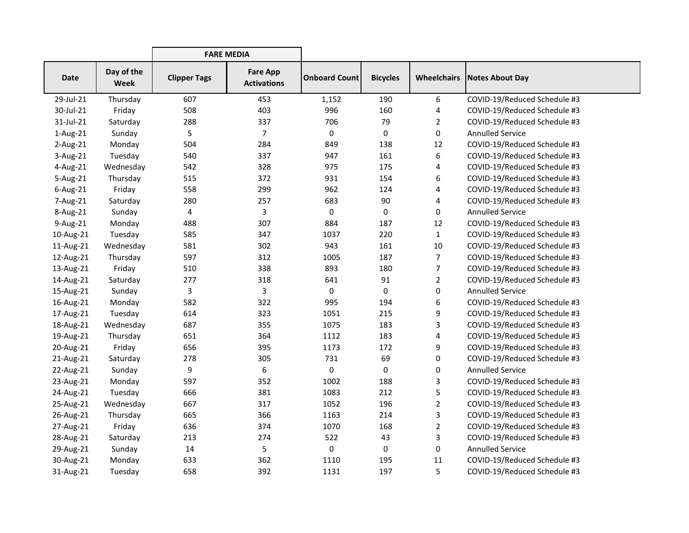|             |                    | <b>FARE MEDIA</b>   |                                       |                      |                 |                    |                              |
|-------------|--------------------|---------------------|---------------------------------------|----------------------|-----------------|--------------------|------------------------------|
| <b>Date</b> | Day of the<br>Week | <b>Clipper Tags</b> | <b>Fare App</b><br><b>Activations</b> | <b>Onboard Count</b> | <b>Bicycles</b> | <b>Wheelchairs</b> | Notes About Day              |
| 29-Jul-21   | Thursday           | 607                 | 453                                   | 1,152                | 190             | 6                  | COVID-19/Reduced Schedule #3 |
| 30-Jul-21   | Friday             | 508                 | 403                                   | 996                  | 160             | 4                  | COVID-19/Reduced Schedule #3 |
| 31-Jul-21   | Saturday           | 288                 | 337                                   | 706                  | 79              | $\overline{2}$     | COVID-19/Reduced Schedule #3 |
| 1-Aug-21    | Sunday             | 5                   | 7                                     | 0                    | 0               | 0                  | <b>Annulled Service</b>      |
| $2$ -Aug-21 | Monday             | 504                 | 284                                   | 849                  | 138             | 12                 | COVID-19/Reduced Schedule #3 |
| 3-Aug-21    | Tuesday            | 540                 | 337                                   | 947                  | 161             | 6                  | COVID-19/Reduced Schedule #3 |
| 4-Aug-21    | Wednesday          | 542                 | 328                                   | 975                  | 175             | 4                  | COVID-19/Reduced Schedule #3 |
| 5-Aug-21    | Thursday           | 515                 | 372                                   | 931                  | 154             | 6                  | COVID-19/Reduced Schedule #3 |
| 6-Aug-21    | Friday             | 558                 | 299                                   | 962                  | 124             | 4                  | COVID-19/Reduced Schedule #3 |
| 7-Aug-21    | Saturday           | 280                 | 257                                   | 683                  | 90              | 4                  | COVID-19/Reduced Schedule #3 |
| 8-Aug-21    | Sunday             | 4                   | 3                                     | 0                    | 0               | 0                  | <b>Annulled Service</b>      |
| 9-Aug-21    | Monday             | 488                 | 307                                   | 884                  | 187             | 12                 | COVID-19/Reduced Schedule #3 |
| 10-Aug-21   | Tuesday            | 585                 | 347                                   | 1037                 | 220             | $\mathbf{1}$       | COVID-19/Reduced Schedule #3 |
| 11-Aug-21   | Wednesday          | 581                 | 302                                   | 943                  | 161             | 10                 | COVID-19/Reduced Schedule #3 |
| 12-Aug-21   | Thursday           | 597                 | 312                                   | 1005                 | 187             | $\overline{7}$     | COVID-19/Reduced Schedule #3 |
| 13-Aug-21   | Friday             | 510                 | 338                                   | 893                  | 180             | 7                  | COVID-19/Reduced Schedule #3 |
| 14-Aug-21   | Saturday           | 277                 | 318                                   | 641                  | 91              | $\overline{2}$     | COVID-19/Reduced Schedule #3 |
| 15-Aug-21   | Sunday             | 3                   | 3                                     | 0                    | 0               | 0                  | <b>Annulled Service</b>      |
| 16-Aug-21   | Monday             | 582                 | 322                                   | 995                  | 194             | 6                  | COVID-19/Reduced Schedule #3 |
| 17-Aug-21   | Tuesday            | 614                 | 323                                   | 1051                 | 215             | 9                  | COVID-19/Reduced Schedule #3 |
| 18-Aug-21   | Wednesday          | 687                 | 355                                   | 1075                 | 183             | 3                  | COVID-19/Reduced Schedule #3 |
| 19-Aug-21   | Thursday           | 651                 | 364                                   | 1112                 | 183             | 4                  | COVID-19/Reduced Schedule #3 |
| 20-Aug-21   | Friday             | 656                 | 395                                   | 1173                 | 172             | 9                  | COVID-19/Reduced Schedule #3 |
| 21-Aug-21   | Saturday           | 278                 | 305                                   | 731                  | 69              | 0                  | COVID-19/Reduced Schedule #3 |
| 22-Aug-21   | Sunday             | 9                   | 6                                     | 0                    | 0               | 0                  | <b>Annulled Service</b>      |
| 23-Aug-21   | Monday             | 597                 | 352                                   | 1002                 | 188             | 3                  | COVID-19/Reduced Schedule #3 |
| 24-Aug-21   | Tuesday            | 666                 | 381                                   | 1083                 | 212             | 5                  | COVID-19/Reduced Schedule #3 |
| 25-Aug-21   | Wednesday          | 667                 | 317                                   | 1052                 | 196             | $\overline{2}$     | COVID-19/Reduced Schedule #3 |
| 26-Aug-21   | Thursday           | 665                 | 366                                   | 1163                 | 214             | 3                  | COVID-19/Reduced Schedule #3 |
| 27-Aug-21   | Friday             | 636                 | 374                                   | 1070                 | 168             | $\overline{2}$     | COVID-19/Reduced Schedule #3 |
| 28-Aug-21   | Saturday           | 213                 | 274                                   | 522                  | 43              | 3                  | COVID-19/Reduced Schedule #3 |
| 29-Aug-21   | Sunday             | 14                  | 5                                     | 0                    | 0               | 0                  | <b>Annulled Service</b>      |
| 30-Aug-21   | Monday             | 633                 | 362                                   | 1110                 | 195             | 11                 | COVID-19/Reduced Schedule #3 |
| 31-Aug-21   | Tuesday            | 658                 | 392                                   | 1131                 | 197             | 5                  | COVID-19/Reduced Schedule #3 |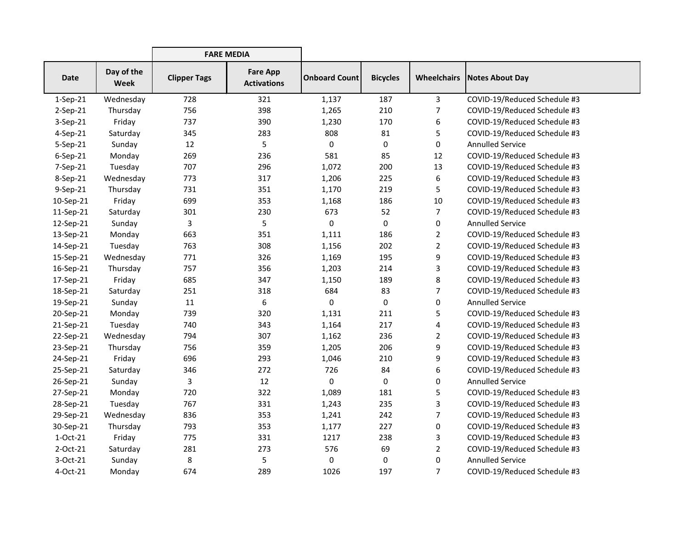|             |                           | <b>FARE MEDIA</b>   |                                       |                      |                 |                    |                              |
|-------------|---------------------------|---------------------|---------------------------------------|----------------------|-----------------|--------------------|------------------------------|
| <b>Date</b> | Day of the<br><b>Week</b> | <b>Clipper Tags</b> | <b>Fare App</b><br><b>Activations</b> | <b>Onboard Count</b> | <b>Bicycles</b> | <b>Wheelchairs</b> | <b>Notes About Day</b>       |
| $1-Sep-21$  | Wednesday                 | 728                 | 321                                   | 1,137                | 187             | $\mathsf{3}$       | COVID-19/Reduced Schedule #3 |
| $2-Sep-21$  | Thursday                  | 756                 | 398                                   | 1,265                | 210             | $\overline{7}$     | COVID-19/Reduced Schedule #3 |
| $3-Sep-21$  | Friday                    | 737                 | 390                                   | 1,230                | 170             | 6                  | COVID-19/Reduced Schedule #3 |
| 4-Sep-21    | Saturday                  | 345                 | 283                                   | 808                  | 81              | 5                  | COVID-19/Reduced Schedule #3 |
| $5-Sep-21$  | Sunday                    | 12                  | 5                                     | 0                    | 0               | 0                  | <b>Annulled Service</b>      |
| 6-Sep-21    | Monday                    | 269                 | 236                                   | 581                  | 85              | 12                 | COVID-19/Reduced Schedule #3 |
| $7-Sep-21$  | Tuesday                   | 707                 | 296                                   | 1,072                | 200             | 13                 | COVID-19/Reduced Schedule #3 |
| 8-Sep-21    | Wednesday                 | 773                 | 317                                   | 1,206                | 225             | 6                  | COVID-19/Reduced Schedule #3 |
| 9-Sep-21    | Thursday                  | 731                 | 351                                   | 1,170                | 219             | 5                  | COVID-19/Reduced Schedule #3 |
| 10-Sep-21   | Friday                    | 699                 | 353                                   | 1,168                | 186             | 10                 | COVID-19/Reduced Schedule #3 |
| 11-Sep-21   | Saturday                  | 301                 | 230                                   | 673                  | 52              | $\overline{7}$     | COVID-19/Reduced Schedule #3 |
| 12-Sep-21   | Sunday                    | 3                   | 5                                     | 0                    | 0               | 0                  | <b>Annulled Service</b>      |
| 13-Sep-21   | Monday                    | 663                 | 351                                   | 1,111                | 186             | $\overline{2}$     | COVID-19/Reduced Schedule #3 |
| 14-Sep-21   | Tuesday                   | 763                 | 308                                   | 1,156                | 202             | $\overline{2}$     | COVID-19/Reduced Schedule #3 |
| 15-Sep-21   | Wednesday                 | 771                 | 326                                   | 1,169                | 195             | 9                  | COVID-19/Reduced Schedule #3 |
| 16-Sep-21   | Thursday                  | 757                 | 356                                   | 1,203                | 214             | 3                  | COVID-19/Reduced Schedule #3 |
| 17-Sep-21   | Friday                    | 685                 | 347                                   | 1,150                | 189             | 8                  | COVID-19/Reduced Schedule #3 |
| 18-Sep-21   | Saturday                  | 251                 | 318                                   | 684                  | 83              | $\overline{7}$     | COVID-19/Reduced Schedule #3 |
| 19-Sep-21   | Sunday                    | 11                  | 6                                     | 0                    | 0               | 0                  | <b>Annulled Service</b>      |
| 20-Sep-21   | Monday                    | 739                 | 320                                   | 1,131                | 211             | 5                  | COVID-19/Reduced Schedule #3 |
| 21-Sep-21   | Tuesday                   | 740                 | 343                                   | 1,164                | 217             | 4                  | COVID-19/Reduced Schedule #3 |
| 22-Sep-21   | Wednesday                 | 794                 | 307                                   | 1,162                | 236             | $\overline{2}$     | COVID-19/Reduced Schedule #3 |
| 23-Sep-21   | Thursday                  | 756                 | 359                                   | 1,205                | 206             | 9                  | COVID-19/Reduced Schedule #3 |
| 24-Sep-21   | Friday                    | 696                 | 293                                   | 1,046                | 210             | 9                  | COVID-19/Reduced Schedule #3 |
| 25-Sep-21   | Saturday                  | 346                 | 272                                   | 726                  | 84              | 6                  | COVID-19/Reduced Schedule #3 |
| 26-Sep-21   | Sunday                    | 3                   | 12                                    | 0                    | 0               | 0                  | <b>Annulled Service</b>      |
| 27-Sep-21   | Monday                    | 720                 | 322                                   | 1,089                | 181             | 5                  | COVID-19/Reduced Schedule #3 |
| 28-Sep-21   | Tuesday                   | 767                 | 331                                   | 1,243                | 235             | 3                  | COVID-19/Reduced Schedule #3 |
| 29-Sep-21   | Wednesday                 | 836                 | 353                                   | 1,241                | 242             | 7                  | COVID-19/Reduced Schedule #3 |
| 30-Sep-21   | Thursday                  | 793                 | 353                                   | 1,177                | 227             | 0                  | COVID-19/Reduced Schedule #3 |
| $1-Oct-21$  | Friday                    | 775                 | 331                                   | 1217                 | 238             | 3                  | COVID-19/Reduced Schedule #3 |
| 2-Oct-21    | Saturday                  | 281                 | 273                                   | 576                  | 69              | $\overline{2}$     | COVID-19/Reduced Schedule #3 |
| 3-Oct-21    | Sunday                    | 8                   | 5                                     | 0                    | 0               | 0                  | <b>Annulled Service</b>      |
| 4-Oct-21    | Monday                    | 674                 | 289                                   | 1026                 | 197             | 7                  | COVID-19/Reduced Schedule #3 |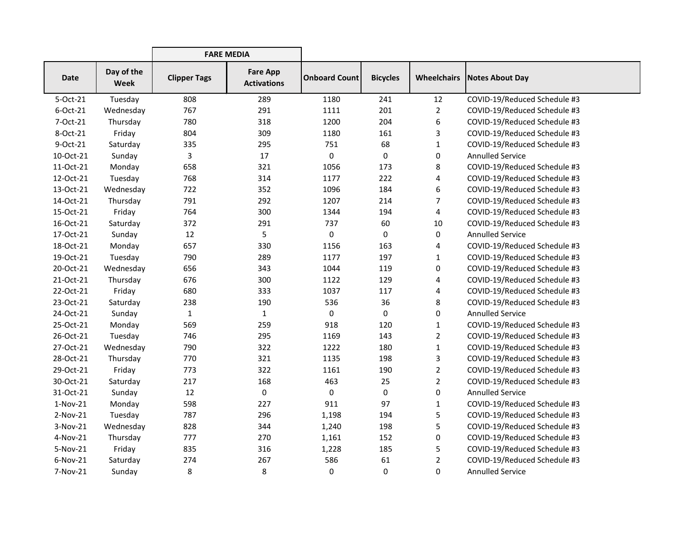|            |                    | <b>FARE MEDIA</b>   |                                       |                      |                 |                    |                              |
|------------|--------------------|---------------------|---------------------------------------|----------------------|-----------------|--------------------|------------------------------|
| Date       | Day of the<br>Week | <b>Clipper Tags</b> | <b>Fare App</b><br><b>Activations</b> | <b>Onboard Count</b> | <b>Bicycles</b> | <b>Wheelchairs</b> | Notes About Day              |
| 5-Oct-21   | Tuesday            | 808                 | 289                                   | 1180                 | 241             | 12                 | COVID-19/Reduced Schedule #3 |
| 6-Oct-21   | Wednesday          | 767                 | 291                                   | 1111                 | 201             | $\overline{2}$     | COVID-19/Reduced Schedule #3 |
| 7-Oct-21   | Thursday           | 780                 | 318                                   | 1200                 | 204             | 6                  | COVID-19/Reduced Schedule #3 |
| 8-Oct-21   | Friday             | 804                 | 309                                   | 1180                 | 161             | 3                  | COVID-19/Reduced Schedule #3 |
| 9-Oct-21   | Saturday           | 335                 | 295                                   | 751                  | 68              | $\mathbf{1}$       | COVID-19/Reduced Schedule #3 |
| 10-Oct-21  | Sunday             | 3                   | 17                                    | 0                    | 0               | $\pmb{0}$          | <b>Annulled Service</b>      |
| 11-Oct-21  | Monday             | 658                 | 321                                   | 1056                 | 173             | 8                  | COVID-19/Reduced Schedule #3 |
| 12-Oct-21  | Tuesday            | 768                 | 314                                   | 1177                 | 222             | 4                  | COVID-19/Reduced Schedule #3 |
| 13-Oct-21  | Wednesday          | 722                 | 352                                   | 1096                 | 184             | 6                  | COVID-19/Reduced Schedule #3 |
| 14-Oct-21  | Thursday           | 791                 | 292                                   | 1207                 | 214             | 7                  | COVID-19/Reduced Schedule #3 |
| 15-Oct-21  | Friday             | 764                 | 300                                   | 1344                 | 194             | $\overline{4}$     | COVID-19/Reduced Schedule #3 |
| 16-Oct-21  | Saturday           | 372                 | 291                                   | 737                  | 60              | 10                 | COVID-19/Reduced Schedule #3 |
| 17-Oct-21  | Sunday             | 12                  | 5                                     | 0                    | 0               | 0                  | <b>Annulled Service</b>      |
| 18-Oct-21  | Monday             | 657                 | 330                                   | 1156                 | 163             | 4                  | COVID-19/Reduced Schedule #3 |
| 19-Oct-21  | Tuesday            | 790                 | 289                                   | 1177                 | 197             | $\mathbf{1}$       | COVID-19/Reduced Schedule #3 |
| 20-Oct-21  | Wednesday          | 656                 | 343                                   | 1044                 | 119             | 0                  | COVID-19/Reduced Schedule #3 |
| 21-Oct-21  | Thursday           | 676                 | 300                                   | 1122                 | 129             | 4                  | COVID-19/Reduced Schedule #3 |
| 22-Oct-21  | Friday             | 680                 | 333                                   | 1037                 | 117             | 4                  | COVID-19/Reduced Schedule #3 |
| 23-Oct-21  | Saturday           | 238                 | 190                                   | 536                  | 36              | 8                  | COVID-19/Reduced Schedule #3 |
| 24-Oct-21  | Sunday             | $\mathbf{1}$        | $\mathbf{1}$                          | 0                    | 0               | 0                  | <b>Annulled Service</b>      |
| 25-Oct-21  | Monday             | 569                 | 259                                   | 918                  | 120             | $\mathbf{1}$       | COVID-19/Reduced Schedule #3 |
| 26-Oct-21  | Tuesday            | 746                 | 295                                   | 1169                 | 143             | $\overline{2}$     | COVID-19/Reduced Schedule #3 |
| 27-Oct-21  | Wednesday          | 790                 | 322                                   | 1222                 | 180             | $\mathbf{1}$       | COVID-19/Reduced Schedule #3 |
| 28-Oct-21  | Thursday           | 770                 | 321                                   | 1135                 | 198             | 3                  | COVID-19/Reduced Schedule #3 |
| 29-Oct-21  | Friday             | 773                 | 322                                   | 1161                 | 190             | $\overline{2}$     | COVID-19/Reduced Schedule #3 |
| 30-Oct-21  | Saturday           | 217                 | 168                                   | 463                  | 25              | $\overline{2}$     | COVID-19/Reduced Schedule #3 |
| 31-Oct-21  | Sunday             | 12                  | 0                                     | 0                    | 0               | $\mathbf 0$        | <b>Annulled Service</b>      |
| $1-Nov-21$ | Monday             | 598                 | 227                                   | 911                  | 97              | $\mathbf{1}$       | COVID-19/Reduced Schedule #3 |
| $2-Nov-21$ | Tuesday            | 787                 | 296                                   | 1,198                | 194             | 5                  | COVID-19/Reduced Schedule #3 |
| $3-Nov-21$ | Wednesday          | 828                 | 344                                   | 1,240                | 198             | 5                  | COVID-19/Reduced Schedule #3 |
| 4-Nov-21   | Thursday           | 777                 | 270                                   | 1,161                | 152             | $\pmb{0}$          | COVID-19/Reduced Schedule #3 |
| 5-Nov-21   | Friday             | 835                 | 316                                   | 1,228                | 185             | 5                  | COVID-19/Reduced Schedule #3 |
| $6-Nov-21$ | Saturday           | 274                 | 267                                   | 586                  | 61              | 2                  | COVID-19/Reduced Schedule #3 |
| 7-Nov-21   | Sunday             | 8                   | 8                                     | 0                    | 0               | 0                  | <b>Annulled Service</b>      |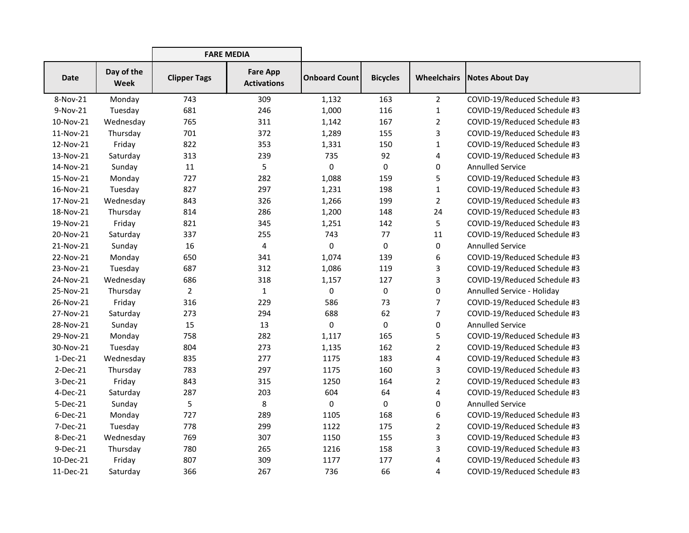|             |                    | <b>FARE MEDIA</b>   |                                       |                      |                 |                    |                              |
|-------------|--------------------|---------------------|---------------------------------------|----------------------|-----------------|--------------------|------------------------------|
| <b>Date</b> | Day of the<br>Week | <b>Clipper Tags</b> | <b>Fare App</b><br><b>Activations</b> | <b>Onboard Count</b> | <b>Bicycles</b> | <b>Wheelchairs</b> | Notes About Day              |
| 8-Nov-21    | Monday             | 743                 | 309                                   | 1,132                | 163             | $\overline{2}$     | COVID-19/Reduced Schedule #3 |
| 9-Nov-21    | Tuesday            | 681                 | 246                                   | 1,000                | 116             | $\mathbf{1}$       | COVID-19/Reduced Schedule #3 |
| 10-Nov-21   | Wednesday          | 765                 | 311                                   | 1,142                | 167             | $\overline{2}$     | COVID-19/Reduced Schedule #3 |
| 11-Nov-21   | Thursday           | 701                 | 372                                   | 1,289                | 155             | 3                  | COVID-19/Reduced Schedule #3 |
| 12-Nov-21   | Friday             | 822                 | 353                                   | 1,331                | 150             | $\mathbf{1}$       | COVID-19/Reduced Schedule #3 |
| 13-Nov-21   | Saturday           | 313                 | 239                                   | 735                  | 92              | 4                  | COVID-19/Reduced Schedule #3 |
| 14-Nov-21   | Sunday             | 11                  | 5                                     | 0                    | 0               | $\pmb{0}$          | <b>Annulled Service</b>      |
| 15-Nov-21   | Monday             | 727                 | 282                                   | 1,088                | 159             | 5                  | COVID-19/Reduced Schedule #3 |
| 16-Nov-21   | Tuesday            | 827                 | 297                                   | 1,231                | 198             | $\mathbf{1}$       | COVID-19/Reduced Schedule #3 |
| 17-Nov-21   | Wednesday          | 843                 | 326                                   | 1,266                | 199             | $\overline{2}$     | COVID-19/Reduced Schedule #3 |
| 18-Nov-21   | Thursday           | 814                 | 286                                   | 1,200                | 148             | 24                 | COVID-19/Reduced Schedule #3 |
| 19-Nov-21   | Friday             | 821                 | 345                                   | 1,251                | 142             | 5                  | COVID-19/Reduced Schedule #3 |
| 20-Nov-21   | Saturday           | 337                 | 255                                   | 743                  | 77              | 11                 | COVID-19/Reduced Schedule #3 |
| 21-Nov-21   | Sunday             | 16                  | 4                                     | 0                    | 0               | 0                  | <b>Annulled Service</b>      |
| 22-Nov-21   | Monday             | 650                 | 341                                   | 1,074                | 139             | 6                  | COVID-19/Reduced Schedule #3 |
| 23-Nov-21   | Tuesday            | 687                 | 312                                   | 1,086                | 119             | 3                  | COVID-19/Reduced Schedule #3 |
| 24-Nov-21   | Wednesday          | 686                 | 318                                   | 1,157                | 127             | 3                  | COVID-19/Reduced Schedule #3 |
| 25-Nov-21   | Thursday           | $\overline{2}$      | $\mathbf{1}$                          | 0                    | 0               | 0                  | Annulled Service - Holiday   |
| 26-Nov-21   | Friday             | 316                 | 229                                   | 586                  | 73              | $\overline{7}$     | COVID-19/Reduced Schedule #3 |
| 27-Nov-21   | Saturday           | 273                 | 294                                   | 688                  | 62              | $\overline{7}$     | COVID-19/Reduced Schedule #3 |
| 28-Nov-21   | Sunday             | 15                  | 13                                    | 0                    | 0               | 0                  | <b>Annulled Service</b>      |
| 29-Nov-21   | Monday             | 758                 | 282                                   | 1,117                | 165             | 5                  | COVID-19/Reduced Schedule #3 |
| 30-Nov-21   | Tuesday            | 804                 | 273                                   | 1,135                | 162             | $\overline{2}$     | COVID-19/Reduced Schedule #3 |
| 1-Dec-21    | Wednesday          | 835                 | 277                                   | 1175                 | 183             | 4                  | COVID-19/Reduced Schedule #3 |
| 2-Dec-21    | Thursday           | 783                 | 297                                   | 1175                 | 160             | 3                  | COVID-19/Reduced Schedule #3 |
| 3-Dec-21    | Friday             | 843                 | 315                                   | 1250                 | 164             | $\overline{2}$     | COVID-19/Reduced Schedule #3 |
| 4-Dec-21    | Saturday           | 287                 | 203                                   | 604                  | 64              | 4                  | COVID-19/Reduced Schedule #3 |
| 5-Dec-21    | Sunday             | 5                   | 8                                     | 0                    | 0               | 0                  | <b>Annulled Service</b>      |
| $6$ -Dec-21 | Monday             | 727                 | 289                                   | 1105                 | 168             | $\boldsymbol{6}$   | COVID-19/Reduced Schedule #3 |
| 7-Dec-21    | Tuesday            | 778                 | 299                                   | 1122                 | 175             | $\overline{2}$     | COVID-19/Reduced Schedule #3 |
| 8-Dec-21    | Wednesday          | 769                 | 307                                   | 1150                 | 155             | 3                  | COVID-19/Reduced Schedule #3 |
| 9-Dec-21    | Thursday           | 780                 | 265                                   | 1216                 | 158             | 3                  | COVID-19/Reduced Schedule #3 |
| 10-Dec-21   | Friday             | 807                 | 309                                   | 1177                 | 177             | 4                  | COVID-19/Reduced Schedule #3 |
| 11-Dec-21   | Saturday           | 366                 | 267                                   | 736                  | 66              | 4                  | COVID-19/Reduced Schedule #3 |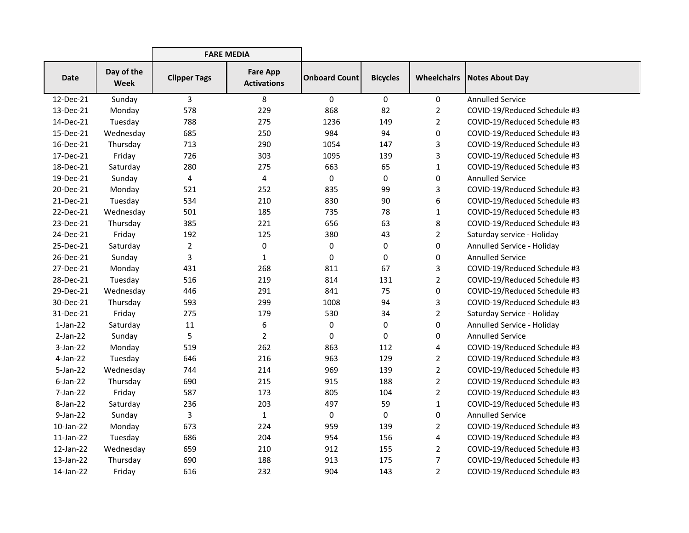|             |                           | <b>FARE MEDIA</b>   |                                       |                      |                 |                    |                              |
|-------------|---------------------------|---------------------|---------------------------------------|----------------------|-----------------|--------------------|------------------------------|
| <b>Date</b> | Day of the<br><b>Week</b> | <b>Clipper Tags</b> | <b>Fare App</b><br><b>Activations</b> | <b>Onboard Count</b> | <b>Bicycles</b> | <b>Wheelchairs</b> | <b>Notes About Day</b>       |
| 12-Dec-21   | Sunday                    | 3                   | 8                                     | 0                    | $\mathbf 0$     | 0                  | <b>Annulled Service</b>      |
| 13-Dec-21   | Monday                    | 578                 | 229                                   | 868                  | 82              | 2                  | COVID-19/Reduced Schedule #3 |
| 14-Dec-21   | Tuesday                   | 788                 | 275                                   | 1236                 | 149             | $\overline{2}$     | COVID-19/Reduced Schedule #3 |
| 15-Dec-21   | Wednesday                 | 685                 | 250                                   | 984                  | 94              | 0                  | COVID-19/Reduced Schedule #3 |
| 16-Dec-21   | Thursday                  | 713                 | 290                                   | 1054                 | 147             | 3                  | COVID-19/Reduced Schedule #3 |
| 17-Dec-21   | Friday                    | 726                 | 303                                   | 1095                 | 139             | 3                  | COVID-19/Reduced Schedule #3 |
| 18-Dec-21   | Saturday                  | 280                 | 275                                   | 663                  | 65              | 1                  | COVID-19/Reduced Schedule #3 |
| 19-Dec-21   | Sunday                    | 4                   | 4                                     | 0                    | 0               | 0                  | <b>Annulled Service</b>      |
| 20-Dec-21   | Monday                    | 521                 | 252                                   | 835                  | 99              | 3                  | COVID-19/Reduced Schedule #3 |
| 21-Dec-21   | Tuesday                   | 534                 | 210                                   | 830                  | 90              | 6                  | COVID-19/Reduced Schedule #3 |
| 22-Dec-21   | Wednesday                 | 501                 | 185                                   | 735                  | 78              | 1                  | COVID-19/Reduced Schedule #3 |
| 23-Dec-21   | Thursday                  | 385                 | 221                                   | 656                  | 63              | 8                  | COVID-19/Reduced Schedule #3 |
| 24-Dec-21   | Friday                    | 192                 | 125                                   | 380                  | 43              | $\overline{2}$     | Saturday service - Holiday   |
| 25-Dec-21   | Saturday                  | $\overline{2}$      | 0                                     | $\pmb{0}$            | 0               | 0                  | Annulled Service - Holiday   |
| 26-Dec-21   | Sunday                    | 3                   | $\mathbf{1}$                          | 0                    | 0               | 0                  | <b>Annulled Service</b>      |
| 27-Dec-21   | Monday                    | 431                 | 268                                   | 811                  | 67              | 3                  | COVID-19/Reduced Schedule #3 |
| 28-Dec-21   | Tuesday                   | 516                 | 219                                   | 814                  | 131             | $\overline{2}$     | COVID-19/Reduced Schedule #3 |
| 29-Dec-21   | Wednesday                 | 446                 | 291                                   | 841                  | 75              | 0                  | COVID-19/Reduced Schedule #3 |
| 30-Dec-21   | Thursday                  | 593                 | 299                                   | 1008                 | 94              | 3                  | COVID-19/Reduced Schedule #3 |
| 31-Dec-21   | Friday                    | 275                 | 179                                   | 530                  | 34              | $\overline{2}$     | Saturday Service - Holiday   |
| $1$ -Jan-22 | Saturday                  | 11                  | 6                                     | 0                    | 0               | 0                  | Annulled Service - Holiday   |
| $2-Jan-22$  | Sunday                    | 5                   | $\overline{2}$                        | 0                    | 0               | 0                  | <b>Annulled Service</b>      |
| $3-Jan-22$  | Monday                    | 519                 | 262                                   | 863                  | 112             | 4                  | COVID-19/Reduced Schedule #3 |
| 4-Jan-22    | Tuesday                   | 646                 | 216                                   | 963                  | 129             | $\overline{2}$     | COVID-19/Reduced Schedule #3 |
| $5$ -Jan-22 | Wednesday                 | 744                 | 214                                   | 969                  | 139             | $\overline{2}$     | COVID-19/Reduced Schedule #3 |
| $6$ -Jan-22 | Thursday                  | 690                 | 215                                   | 915                  | 188             | 2                  | COVID-19/Reduced Schedule #3 |
| 7-Jan-22    | Friday                    | 587                 | 173                                   | 805                  | 104             | $\overline{2}$     | COVID-19/Reduced Schedule #3 |
| 8-Jan-22    | Saturday                  | 236                 | 203                                   | 497                  | 59              | 1                  | COVID-19/Reduced Schedule #3 |
| $9$ -Jan-22 | Sunday                    | 3                   | $\mathbf{1}$                          | 0                    | 0               | 0                  | <b>Annulled Service</b>      |
| 10-Jan-22   | Monday                    | 673                 | 224                                   | 959                  | 139             | 2                  | COVID-19/Reduced Schedule #3 |
| 11-Jan-22   | Tuesday                   | 686                 | 204                                   | 954                  | 156             | 4                  | COVID-19/Reduced Schedule #3 |
| 12-Jan-22   | Wednesday                 | 659                 | 210                                   | 912                  | 155             | $\overline{2}$     | COVID-19/Reduced Schedule #3 |
| 13-Jan-22   | Thursday                  | 690                 | 188                                   | 913                  | 175             | 7                  | COVID-19/Reduced Schedule #3 |
| 14-Jan-22   | Friday                    | 616                 | 232                                   | 904                  | 143             | $\overline{2}$     | COVID-19/Reduced Schedule #3 |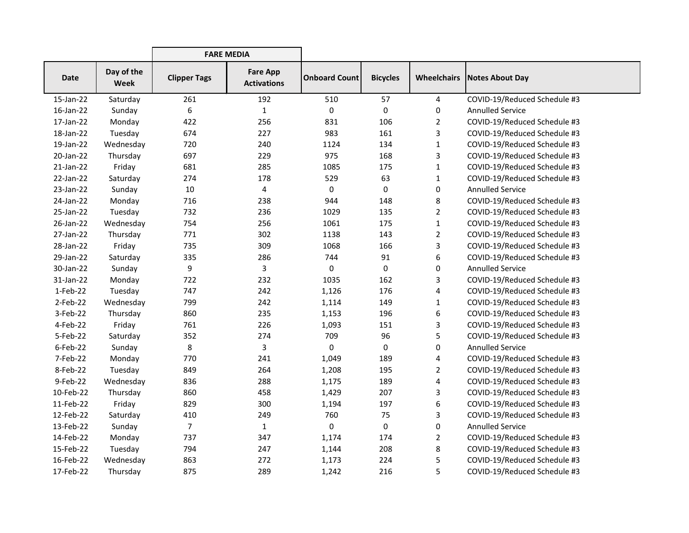|              |                    | <b>FARE MEDIA</b>   |                                       |                      |                 |                    |                              |
|--------------|--------------------|---------------------|---------------------------------------|----------------------|-----------------|--------------------|------------------------------|
| <b>Date</b>  | Day of the<br>Week | <b>Clipper Tags</b> | <b>Fare App</b><br><b>Activations</b> | <b>Onboard Count</b> | <b>Bicycles</b> | <b>Wheelchairs</b> | <b>Notes About Day</b>       |
| 15-Jan-22    | Saturday           | 261                 | 192                                   | 510                  | 57              | $\overline{4}$     | COVID-19/Reduced Schedule #3 |
| 16-Jan-22    | Sunday             | 6                   | $\mathbf{1}$                          | 0                    | $\mathbf 0$     | 0                  | <b>Annulled Service</b>      |
| 17-Jan-22    | Monday             | 422                 | 256                                   | 831                  | 106             | $\overline{2}$     | COVID-19/Reduced Schedule #3 |
| 18-Jan-22    | Tuesday            | 674                 | 227                                   | 983                  | 161             | 3                  | COVID-19/Reduced Schedule #3 |
| 19-Jan-22    | Wednesday          | 720                 | 240                                   | 1124                 | 134             | $\mathbf{1}$       | COVID-19/Reduced Schedule #3 |
| 20-Jan-22    | Thursday           | 697                 | 229                                   | 975                  | 168             | 3                  | COVID-19/Reduced Schedule #3 |
| $21$ -Jan-22 | Friday             | 681                 | 285                                   | 1085                 | 175             | $\mathbf{1}$       | COVID-19/Reduced Schedule #3 |
| 22-Jan-22    | Saturday           | 274                 | 178                                   | 529                  | 63              | $\mathbf{1}$       | COVID-19/Reduced Schedule #3 |
| 23-Jan-22    | Sunday             | 10                  | 4                                     | 0                    | 0               | 0                  | <b>Annulled Service</b>      |
| 24-Jan-22    | Monday             | 716                 | 238                                   | 944                  | 148             | 8                  | COVID-19/Reduced Schedule #3 |
| 25-Jan-22    | Tuesday            | 732                 | 236                                   | 1029                 | 135             | $\overline{2}$     | COVID-19/Reduced Schedule #3 |
| 26-Jan-22    | Wednesday          | 754                 | 256                                   | 1061                 | 175             | $\mathbf{1}$       | COVID-19/Reduced Schedule #3 |
| 27-Jan-22    | Thursday           | 771                 | 302                                   | 1138                 | 143             | $\overline{2}$     | COVID-19/Reduced Schedule #3 |
| 28-Jan-22    | Friday             | 735                 | 309                                   | 1068                 | 166             | 3                  | COVID-19/Reduced Schedule #3 |
| 29-Jan-22    | Saturday           | 335                 | 286                                   | 744                  | 91              | 6                  | COVID-19/Reduced Schedule #3 |
| 30-Jan-22    | Sunday             | 9                   | 3                                     | 0                    | 0               | 0                  | <b>Annulled Service</b>      |
| 31-Jan-22    | Monday             | 722                 | 232                                   | 1035                 | 162             | 3                  | COVID-19/Reduced Schedule #3 |
| 1-Feb-22     | Tuesday            | 747                 | 242                                   | 1,126                | 176             | 4                  | COVID-19/Reduced Schedule #3 |
| $2-Feb-22$   | Wednesday          | 799                 | 242                                   | 1,114                | 149             | $\mathbf{1}$       | COVID-19/Reduced Schedule #3 |
| 3-Feb-22     | Thursday           | 860                 | 235                                   | 1,153                | 196             | 6                  | COVID-19/Reduced Schedule #3 |
| 4-Feb-22     | Friday             | 761                 | 226                                   | 1,093                | 151             | 3                  | COVID-19/Reduced Schedule #3 |
| 5-Feb-22     | Saturday           | 352                 | 274                                   | 709                  | 96              | 5                  | COVID-19/Reduced Schedule #3 |
| 6-Feb-22     | Sunday             | 8                   | 3                                     | 0                    | 0               | 0                  | <b>Annulled Service</b>      |
| 7-Feb-22     | Monday             | 770                 | 241                                   | 1,049                | 189             | 4                  | COVID-19/Reduced Schedule #3 |
| 8-Feb-22     | Tuesday            | 849                 | 264                                   | 1,208                | 195             | $\overline{2}$     | COVID-19/Reduced Schedule #3 |
| 9-Feb-22     | Wednesday          | 836                 | 288                                   | 1,175                | 189             | 4                  | COVID-19/Reduced Schedule #3 |
| 10-Feb-22    | Thursday           | 860                 | 458                                   | 1,429                | 207             | 3                  | COVID-19/Reduced Schedule #3 |
| 11-Feb-22    | Friday             | 829                 | 300                                   | 1,194                | 197             | 6                  | COVID-19/Reduced Schedule #3 |
| 12-Feb-22    | Saturday           | 410                 | 249                                   | 760                  | 75              | 3                  | COVID-19/Reduced Schedule #3 |
| 13-Feb-22    | Sunday             | $\overline{7}$      | $\mathbf{1}$                          | 0                    | 0               | 0                  | <b>Annulled Service</b>      |
| 14-Feb-22    | Monday             | 737                 | 347                                   | 1,174                | 174             | $\overline{2}$     | COVID-19/Reduced Schedule #3 |
| 15-Feb-22    | Tuesday            | 794                 | 247                                   | 1,144                | 208             | 8                  | COVID-19/Reduced Schedule #3 |
| 16-Feb-22    | Wednesday          | 863                 | 272                                   | 1,173                | 224             | 5                  | COVID-19/Reduced Schedule #3 |
| 17-Feb-22    | Thursday           | 875                 | 289                                   | 1,242                | 216             | 5                  | COVID-19/Reduced Schedule #3 |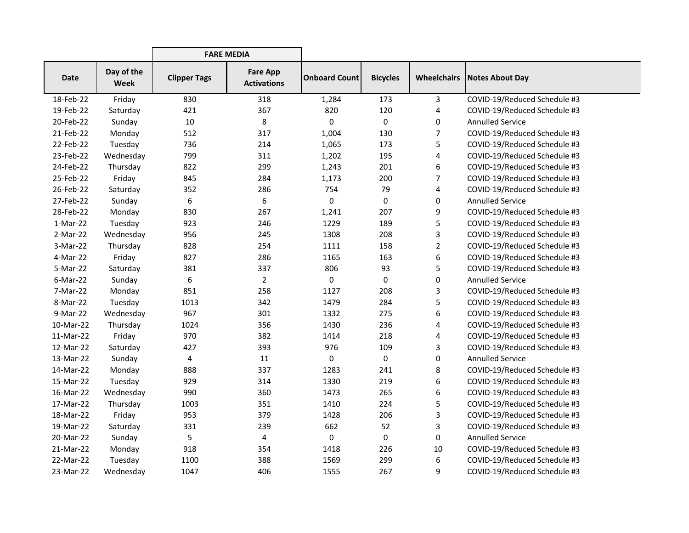|             |                           | <b>FARE MEDIA</b>   |                                       |                      |                 |                    |                              |
|-------------|---------------------------|---------------------|---------------------------------------|----------------------|-----------------|--------------------|------------------------------|
| <b>Date</b> | Day of the<br><b>Week</b> | <b>Clipper Tags</b> | <b>Fare App</b><br><b>Activations</b> | <b>Onboard Count</b> | <b>Bicycles</b> | <b>Wheelchairs</b> | Notes About Day              |
| 18-Feb-22   | Friday                    | 830                 | 318                                   | 1,284                | 173             | 3                  | COVID-19/Reduced Schedule #3 |
| 19-Feb-22   | Saturday                  | 421                 | 367                                   | 820                  | 120             | 4                  | COVID-19/Reduced Schedule #3 |
| 20-Feb-22   | Sunday                    | 10                  | 8                                     | 0                    | 0               | 0                  | <b>Annulled Service</b>      |
| 21-Feb-22   | Monday                    | 512                 | 317                                   | 1,004                | 130             | $\overline{7}$     | COVID-19/Reduced Schedule #3 |
| 22-Feb-22   | Tuesday                   | 736                 | 214                                   | 1,065                | 173             | 5                  | COVID-19/Reduced Schedule #3 |
| 23-Feb-22   | Wednesday                 | 799                 | 311                                   | 1,202                | 195             | 4                  | COVID-19/Reduced Schedule #3 |
| 24-Feb-22   | Thursday                  | 822                 | 299                                   | 1,243                | 201             | 6                  | COVID-19/Reduced Schedule #3 |
| 25-Feb-22   | Friday                    | 845                 | 284                                   | 1,173                | 200             | 7                  | COVID-19/Reduced Schedule #3 |
| 26-Feb-22   | Saturday                  | 352                 | 286                                   | 754                  | 79              | 4                  | COVID-19/Reduced Schedule #3 |
| 27-Feb-22   | Sunday                    | 6                   | 6                                     | 0                    | 0               | 0                  | <b>Annulled Service</b>      |
| 28-Feb-22   | Monday                    | 830                 | 267                                   | 1,241                | 207             | 9                  | COVID-19/Reduced Schedule #3 |
| $1-Mar-22$  | Tuesday                   | 923                 | 246                                   | 1229                 | 189             | 5                  | COVID-19/Reduced Schedule #3 |
| 2-Mar-22    | Wednesday                 | 956                 | 245                                   | 1308                 | 208             | 3                  | COVID-19/Reduced Schedule #3 |
| 3-Mar-22    | Thursday                  | 828                 | 254                                   | 1111                 | 158             | $\overline{2}$     | COVID-19/Reduced Schedule #3 |
| 4-Mar-22    | Friday                    | 827                 | 286                                   | 1165                 | 163             | 6                  | COVID-19/Reduced Schedule #3 |
| 5-Mar-22    | Saturday                  | 381                 | 337                                   | 806                  | 93              | 5                  | COVID-19/Reduced Schedule #3 |
| $6-Mar-22$  | Sunday                    | 6                   | $\overline{2}$                        | 0                    | 0               | 0                  | <b>Annulled Service</b>      |
| 7-Mar-22    | Monday                    | 851                 | 258                                   | 1127                 | 208             | 3                  | COVID-19/Reduced Schedule #3 |
| 8-Mar-22    | Tuesday                   | 1013                | 342                                   | 1479                 | 284             | 5                  | COVID-19/Reduced Schedule #3 |
| 9-Mar-22    | Wednesday                 | 967                 | 301                                   | 1332                 | 275             | 6                  | COVID-19/Reduced Schedule #3 |
| 10-Mar-22   | Thursday                  | 1024                | 356                                   | 1430                 | 236             | 4                  | COVID-19/Reduced Schedule #3 |
| 11-Mar-22   | Friday                    | 970                 | 382                                   | 1414                 | 218             | 4                  | COVID-19/Reduced Schedule #3 |
| 12-Mar-22   | Saturday                  | 427                 | 393                                   | 976                  | 109             | 3                  | COVID-19/Reduced Schedule #3 |
| 13-Mar-22   | Sunday                    | 4                   | 11                                    | 0                    | 0               | 0                  | <b>Annulled Service</b>      |
| 14-Mar-22   | Monday                    | 888                 | 337                                   | 1283                 | 241             | 8                  | COVID-19/Reduced Schedule #3 |
| 15-Mar-22   | Tuesday                   | 929                 | 314                                   | 1330                 | 219             | 6                  | COVID-19/Reduced Schedule #3 |
| 16-Mar-22   | Wednesday                 | 990                 | 360                                   | 1473                 | 265             | 6                  | COVID-19/Reduced Schedule #3 |
| 17-Mar-22   | Thursday                  | 1003                | 351                                   | 1410                 | 224             | 5                  | COVID-19/Reduced Schedule #3 |
| 18-Mar-22   | Friday                    | 953                 | 379                                   | 1428                 | 206             | 3                  | COVID-19/Reduced Schedule #3 |
| 19-Mar-22   | Saturday                  | 331                 | 239                                   | 662                  | 52              | 3                  | COVID-19/Reduced Schedule #3 |
| 20-Mar-22   | Sunday                    | 5                   | 4                                     | 0                    | 0               | 0                  | <b>Annulled Service</b>      |
| 21-Mar-22   | Monday                    | 918                 | 354                                   | 1418                 | 226             | 10                 | COVID-19/Reduced Schedule #3 |
| 22-Mar-22   | Tuesday                   | 1100                | 388                                   | 1569                 | 299             | 6                  | COVID-19/Reduced Schedule #3 |
| 23-Mar-22   | Wednesday                 | 1047                | 406                                   | 1555                 | 267             | 9                  | COVID-19/Reduced Schedule #3 |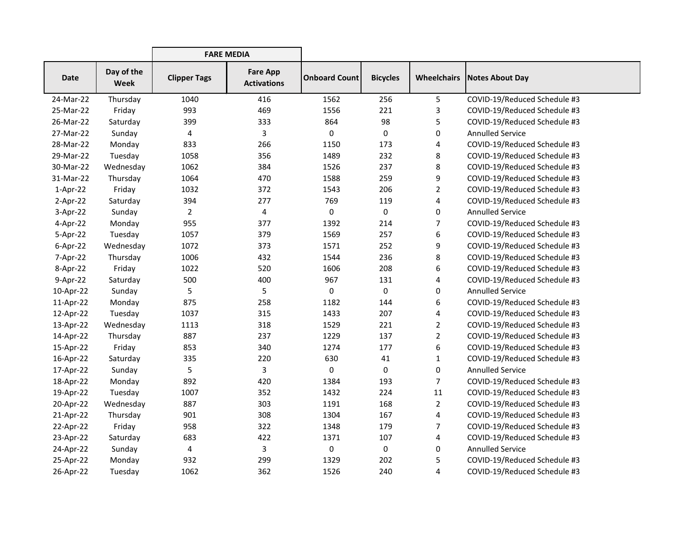|             |                    | <b>FARE MEDIA</b>   |                                       |                      |                 |                    |                              |
|-------------|--------------------|---------------------|---------------------------------------|----------------------|-----------------|--------------------|------------------------------|
| <b>Date</b> | Day of the<br>Week | <b>Clipper Tags</b> | <b>Fare App</b><br><b>Activations</b> | <b>Onboard Count</b> | <b>Bicycles</b> | <b>Wheelchairs</b> | Notes About Day              |
| 24-Mar-22   | Thursday           | 1040                | 416                                   | 1562                 | 256             | 5                  | COVID-19/Reduced Schedule #3 |
| 25-Mar-22   | Friday             | 993                 | 469                                   | 1556                 | 221             | 3                  | COVID-19/Reduced Schedule #3 |
| 26-Mar-22   | Saturday           | 399                 | 333                                   | 864                  | 98              | 5                  | COVID-19/Reduced Schedule #3 |
| 27-Mar-22   | Sunday             | 4                   | 3                                     | 0                    | 0               | 0                  | <b>Annulled Service</b>      |
| 28-Mar-22   | Monday             | 833                 | 266                                   | 1150                 | 173             | 4                  | COVID-19/Reduced Schedule #3 |
| 29-Mar-22   | Tuesday            | 1058                | 356                                   | 1489                 | 232             | 8                  | COVID-19/Reduced Schedule #3 |
| 30-Mar-22   | Wednesday          | 1062                | 384                                   | 1526                 | 237             | 8                  | COVID-19/Reduced Schedule #3 |
| 31-Mar-22   | Thursday           | 1064                | 470                                   | 1588                 | 259             | 9                  | COVID-19/Reduced Schedule #3 |
| $1-Apr-22$  | Friday             | 1032                | 372                                   | 1543                 | 206             | $\overline{2}$     | COVID-19/Reduced Schedule #3 |
| $2-Apr-22$  | Saturday           | 394                 | 277                                   | 769                  | 119             | 4                  | COVID-19/Reduced Schedule #3 |
| $3-Apr-22$  | Sunday             | $\overline{2}$      | 4                                     | 0                    | 0               | 0                  | <b>Annulled Service</b>      |
| 4-Apr-22    | Monday             | 955                 | 377                                   | 1392                 | 214             | 7                  | COVID-19/Reduced Schedule #3 |
| 5-Apr-22    | Tuesday            | 1057                | 379                                   | 1569                 | 257             | 6                  | COVID-19/Reduced Schedule #3 |
| $6$ -Apr-22 | Wednesday          | 1072                | 373                                   | 1571                 | 252             | 9                  | COVID-19/Reduced Schedule #3 |
| 7-Apr-22    | Thursday           | 1006                | 432                                   | 1544                 | 236             | 8                  | COVID-19/Reduced Schedule #3 |
| 8-Apr-22    | Friday             | 1022                | 520                                   | 1606                 | 208             | 6                  | COVID-19/Reduced Schedule #3 |
| 9-Apr-22    | Saturday           | 500                 | 400                                   | 967                  | 131             | 4                  | COVID-19/Reduced Schedule #3 |
| 10-Apr-22   | Sunday             | 5                   | 5                                     | 0                    | 0               | 0                  | <b>Annulled Service</b>      |
| 11-Apr-22   | Monday             | 875                 | 258                                   | 1182                 | 144             | 6                  | COVID-19/Reduced Schedule #3 |
| 12-Apr-22   | Tuesday            | 1037                | 315                                   | 1433                 | 207             | 4                  | COVID-19/Reduced Schedule #3 |
| 13-Apr-22   | Wednesday          | 1113                | 318                                   | 1529                 | 221             | $\overline{2}$     | COVID-19/Reduced Schedule #3 |
| 14-Apr-22   | Thursday           | 887                 | 237                                   | 1229                 | 137             | $\overline{2}$     | COVID-19/Reduced Schedule #3 |
| 15-Apr-22   | Friday             | 853                 | 340                                   | 1274                 | 177             | 6                  | COVID-19/Reduced Schedule #3 |
| 16-Apr-22   | Saturday           | 335                 | 220                                   | 630                  | 41              | $\mathbf{1}$       | COVID-19/Reduced Schedule #3 |
| 17-Apr-22   | Sunday             | 5                   | 3                                     | 0                    | 0               | 0                  | <b>Annulled Service</b>      |
| 18-Apr-22   | Monday             | 892                 | 420                                   | 1384                 | 193             | 7                  | COVID-19/Reduced Schedule #3 |
| 19-Apr-22   | Tuesday            | 1007                | 352                                   | 1432                 | 224             | 11                 | COVID-19/Reduced Schedule #3 |
| 20-Apr-22   | Wednesday          | 887                 | 303                                   | 1191                 | 168             | $\overline{2}$     | COVID-19/Reduced Schedule #3 |
| 21-Apr-22   | Thursday           | 901                 | 308                                   | 1304                 | 167             | 4                  | COVID-19/Reduced Schedule #3 |
| 22-Apr-22   | Friday             | 958                 | 322                                   | 1348                 | 179             | 7                  | COVID-19/Reduced Schedule #3 |
| 23-Apr-22   | Saturday           | 683                 | 422                                   | 1371                 | 107             | 4                  | COVID-19/Reduced Schedule #3 |
| 24-Apr-22   | Sunday             | 4                   | 3                                     | 0                    | 0               | 0                  | <b>Annulled Service</b>      |
| 25-Apr-22   | Monday             | 932                 | 299                                   | 1329                 | 202             | 5                  | COVID-19/Reduced Schedule #3 |
| 26-Apr-22   | Tuesday            | 1062                | 362                                   | 1526                 | 240             | 4                  | COVID-19/Reduced Schedule #3 |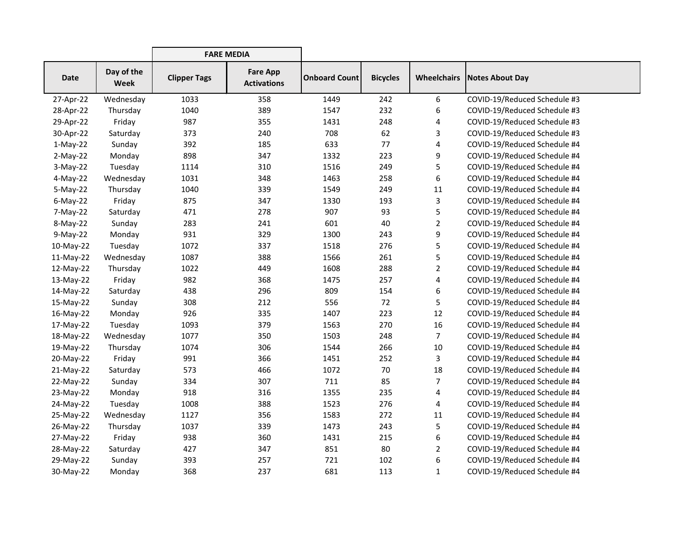|             |                           | <b>FARE MEDIA</b>   |                                       |                      |                 |                    |                              |
|-------------|---------------------------|---------------------|---------------------------------------|----------------------|-----------------|--------------------|------------------------------|
| <b>Date</b> | Day of the<br><b>Week</b> | <b>Clipper Tags</b> | <b>Fare App</b><br><b>Activations</b> | <b>Onboard Count</b> | <b>Bicycles</b> | <b>Wheelchairs</b> | <b>Notes About Day</b>       |
| 27-Apr-22   | Wednesday                 | 1033                | 358                                   | 1449                 | 242             | 6                  | COVID-19/Reduced Schedule #3 |
| 28-Apr-22   | Thursday                  | 1040                | 389                                   | 1547                 | 232             | 6                  | COVID-19/Reduced Schedule #3 |
| 29-Apr-22   | Friday                    | 987                 | 355                                   | 1431                 | 248             | 4                  | COVID-19/Reduced Schedule #3 |
| 30-Apr-22   | Saturday                  | 373                 | 240                                   | 708                  | 62              | 3                  | COVID-19/Reduced Schedule #3 |
| $1-May-22$  | Sunday                    | 392                 | 185                                   | 633                  | 77              | 4                  | COVID-19/Reduced Schedule #4 |
| $2-May-22$  | Monday                    | 898                 | 347                                   | 1332                 | 223             | 9                  | COVID-19/Reduced Schedule #4 |
| $3-May-22$  | Tuesday                   | 1114                | 310                                   | 1516                 | 249             | 5                  | COVID-19/Reduced Schedule #4 |
| 4-May-22    | Wednesday                 | 1031                | 348                                   | 1463                 | 258             | 6                  | COVID-19/Reduced Schedule #4 |
| $5-May-22$  | Thursday                  | 1040                | 339                                   | 1549                 | 249             | 11                 | COVID-19/Reduced Schedule #4 |
| $6$ -May-22 | Friday                    | 875                 | 347                                   | 1330                 | 193             | 3                  | COVID-19/Reduced Schedule #4 |
| 7-May-22    | Saturday                  | 471                 | 278                                   | 907                  | 93              | 5                  | COVID-19/Reduced Schedule #4 |
| 8-May-22    | Sunday                    | 283                 | 241                                   | 601                  | 40              | $\overline{2}$     | COVID-19/Reduced Schedule #4 |
| $9-May-22$  | Monday                    | 931                 | 329                                   | 1300                 | 243             | 9                  | COVID-19/Reduced Schedule #4 |
| 10-May-22   | Tuesday                   | 1072                | 337                                   | 1518                 | 276             | 5                  | COVID-19/Reduced Schedule #4 |
| 11-May-22   | Wednesday                 | 1087                | 388                                   | 1566                 | 261             | 5                  | COVID-19/Reduced Schedule #4 |
| 12-May-22   | Thursday                  | 1022                | 449                                   | 1608                 | 288             | $\overline{2}$     | COVID-19/Reduced Schedule #4 |
| 13-May-22   | Friday                    | 982                 | 368                                   | 1475                 | 257             | 4                  | COVID-19/Reduced Schedule #4 |
| 14-May-22   | Saturday                  | 438                 | 296                                   | 809                  | 154             | 6                  | COVID-19/Reduced Schedule #4 |
| 15-May-22   | Sunday                    | 308                 | 212                                   | 556                  | 72              | 5                  | COVID-19/Reduced Schedule #4 |
| 16-May-22   | Monday                    | 926                 | 335                                   | 1407                 | 223             | 12                 | COVID-19/Reduced Schedule #4 |
| 17-May-22   | Tuesday                   | 1093                | 379                                   | 1563                 | 270             | 16                 | COVID-19/Reduced Schedule #4 |
| 18-May-22   | Wednesday                 | 1077                | 350                                   | 1503                 | 248             | $\overline{7}$     | COVID-19/Reduced Schedule #4 |
| 19-May-22   | Thursday                  | 1074                | 306                                   | 1544                 | 266             | 10                 | COVID-19/Reduced Schedule #4 |
| 20-May-22   | Friday                    | 991                 | 366                                   | 1451                 | 252             | 3                  | COVID-19/Reduced Schedule #4 |
| 21-May-22   | Saturday                  | 573                 | 466                                   | 1072                 | 70              | 18                 | COVID-19/Reduced Schedule #4 |
| 22-May-22   | Sunday                    | 334                 | 307                                   | 711                  | 85              | $\overline{7}$     | COVID-19/Reduced Schedule #4 |
| 23-May-22   | Monday                    | 918                 | 316                                   | 1355                 | 235             | 4                  | COVID-19/Reduced Schedule #4 |
| 24-May-22   | Tuesday                   | 1008                | 388                                   | 1523                 | 276             | 4                  | COVID-19/Reduced Schedule #4 |
| 25-May-22   | Wednesday                 | 1127                | 356                                   | 1583                 | 272             | 11                 | COVID-19/Reduced Schedule #4 |
| 26-May-22   | Thursday                  | 1037                | 339                                   | 1473                 | 243             | 5                  | COVID-19/Reduced Schedule #4 |
| 27-May-22   | Friday                    | 938                 | 360                                   | 1431                 | 215             | 6                  | COVID-19/Reduced Schedule #4 |
| 28-May-22   | Saturday                  | 427                 | 347                                   | 851                  | 80              | 2                  | COVID-19/Reduced Schedule #4 |
| 29-May-22   | Sunday                    | 393                 | 257                                   | 721                  | 102             | 6                  | COVID-19/Reduced Schedule #4 |
| 30-May-22   | Monday                    | 368                 | 237                                   | 681                  | 113             | $\mathbf{1}$       | COVID-19/Reduced Schedule #4 |